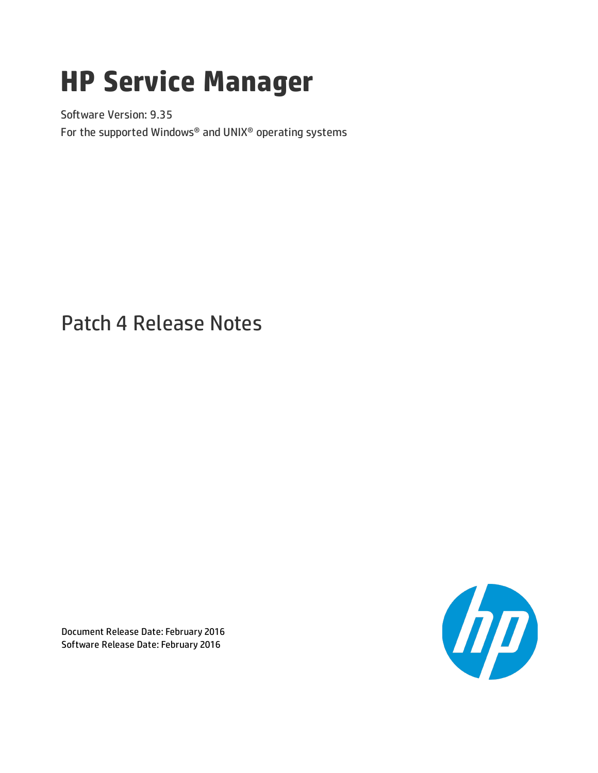# **HP Service Manager**

Software Version: 9.35 For the supported Windows® and UNIX® operating systems

## Patch 4 Release Notes

Document Release Date: February 2016 Software Release Date: February 2016

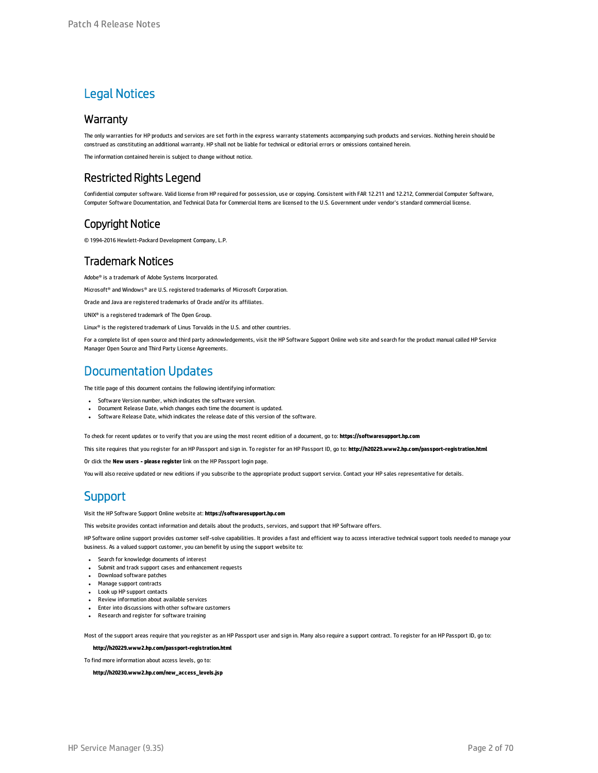### Legal Notices

#### **Warranty**

The only warranties for HP products and services are set forth in the express warranty statements accompanying such products and services. Nothing herein should be construed as constituting an additional warranty. HP shall not be liable for technical or editorial errors or omissions contained herein.

The information contained herein is subject to change without notice.

### Restricted Rights Legend

Confidential computer software. Valid license from HP required for possession, use or copying. Consistent with FAR 12.211 and 12.212, Commercial Computer Software, Computer Software Documentation, and Technical Data for Commercial Items are licensed to the U.S. Government under vendor's standard commercial license.

### Copyright Notice

© 1994-2016 Hewlett-Packard Development Company, L.P.

### Trademark Notices

Adobe® is a trademark of Adobe Systems Incorporated.

Microsoft® and Windows® are U.S. registered trademarks of Microsoft Corporation.

Oracle and Java are registered trademarks of Oracle and/or its affiliates.

UNIX® is a registered trademark of The Open Group.

Linux® is the registered trademark of Linus Torvalds in the U.S. and other countries.

For a complete list of open source and third party acknowledgements, visit the HP Software Support Online web site and search for the product manual called HP Service Manager Open Source and Third Party License Agreements.

### Documentation Updates

The title page of this document contains the following identifying information:

- Software Version number, which indicates the software version.
- <sup>l</sup> Document Release Date, which changes each time the document is updated.
- Software Release Date, which indicates the release date of this version of the software.

To check for recent updates or to verify that you are using the most recent edition of a document, go to: **https://softwaresupport.hp.com**

This site requires that you register for an HP Passport and sign in. To register for an HP Passport ID, go to: **http://h20229.www2.hp.com/passport-registration.html**

Or click the **New users - please register** link on the HP Passport login page.

You will also receive updated or new editions if you subscribe to the appropriate product support service. Contact your HP sales representative for details.

### **Support**

#### Visit the HP Software Support Online website at: **https://softwaresupport.hp.com**

This website provides contact information and details about the products, services, and support that HP Software offers.

HP Software online support provides customer self-solve capabilities. It provides a fast and efficient way to access interactive technical support tools needed to manage your business. As a valued support customer, you can benefit by using the support website to:

- **.** Search for knowledge documents of interest
- <sup>l</sup> Submit and track support cases and enhancement requests
- **.** Download software patches
- **Manage support contracts**
- Look up HP support contacts
- <sup>l</sup> Review information about available services
- Enter into discussions with other software customers
- Research and register for software training

Most of the support areas require that you register as an HP Passport user and sign in. Many also require a support contract. To register for an HP Passport ID, go to:

#### **http://h20229.www2.hp.com/passport-registration.html**

To find more information about access levels, go to:

**http://h20230.www2.hp.com/new\_access\_levels.jsp**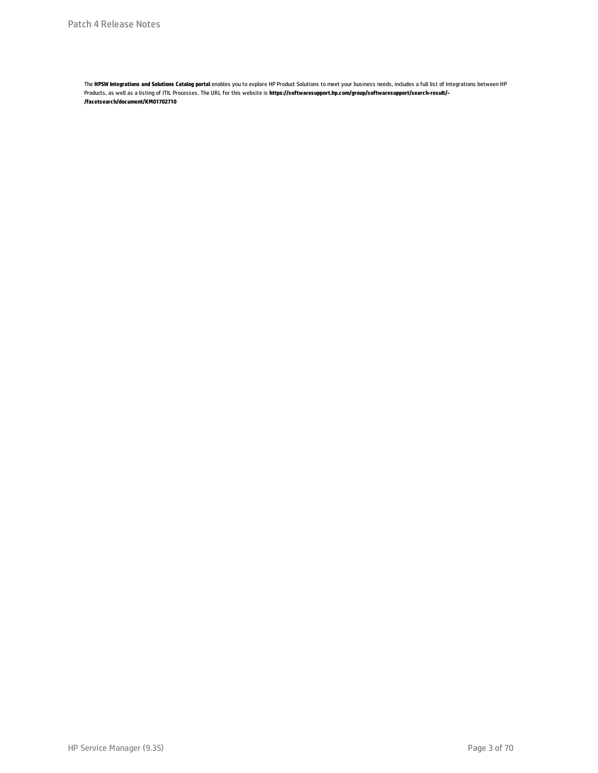The **HPSW Integrations and Solutions Catalog portal** enables you to explore HP Product Solutions to meet your business needs, includes a full list of Integrations between HP Products, as well as a listing of ITIL Processes. The URL for this website is **https://softwaresupport.hp.com/group/softwaresupport/search-result/- /facetsearch/document/KM01702710**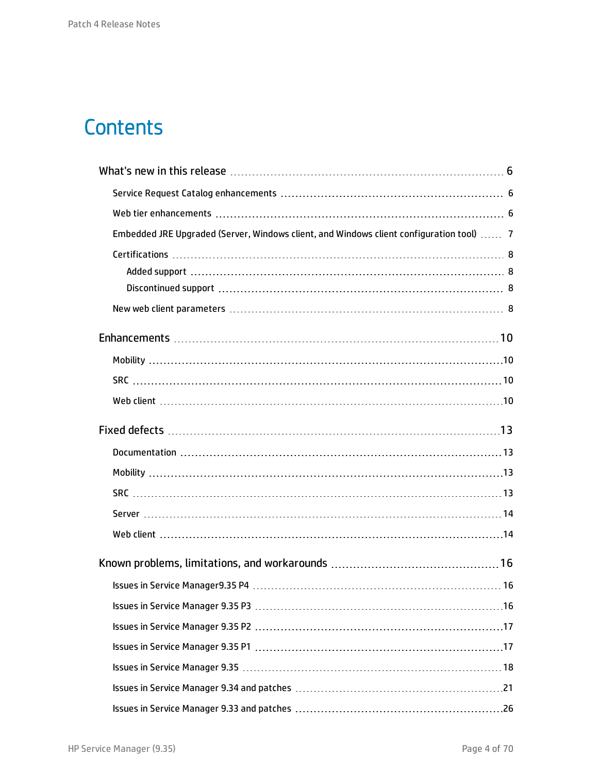## **Contents**

| Embedded JRE Upgraded (Server, Windows client, and Windows client configuration tool)  7 |  |
|------------------------------------------------------------------------------------------|--|
|                                                                                          |  |
|                                                                                          |  |
|                                                                                          |  |
|                                                                                          |  |
|                                                                                          |  |
|                                                                                          |  |
|                                                                                          |  |
|                                                                                          |  |
|                                                                                          |  |
|                                                                                          |  |
|                                                                                          |  |
|                                                                                          |  |
|                                                                                          |  |
|                                                                                          |  |
|                                                                                          |  |
|                                                                                          |  |
|                                                                                          |  |
|                                                                                          |  |
|                                                                                          |  |
|                                                                                          |  |
|                                                                                          |  |
|                                                                                          |  |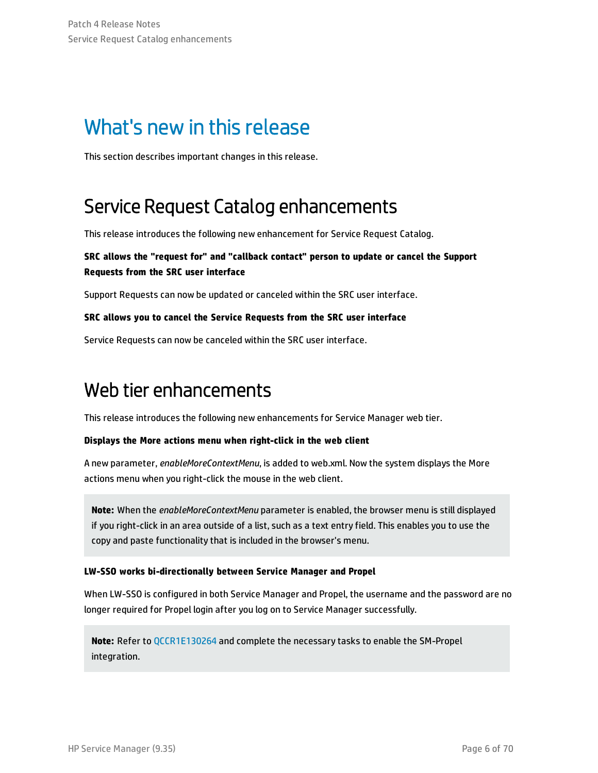## <span id="page-5-0"></span>What's new in this release

<span id="page-5-1"></span>This section describes important changes in this release.

## Service Request Catalog enhancements

This release introduces the following new enhancement for Service Request Catalog.

### **SRC allows the "request for" and "callback contact" person to update or cancel the Support Requests from the SRC user interface**

Support Requests can now be updated or canceled within the SRC user interface.

### **SRC allows you to cancel the Service Requests from the SRC user interface**

<span id="page-5-2"></span>Service Requests can now be canceled within the SRC user interface.

### Web tier enhancements

This release introduces the following new enhancements for Service Manager web tier.

### **Displays the More actions menu when right-click in the web client**

A new parameter, *enableMoreContextMenu*, is added to web.xml. Now the system displays the More actions menu when you right-click the mouse in the web client.

**Note:** When the *enableMoreContextMenu* parameter is enabled, the browser menu is still displayed if you right-click in an area outside of a list, such as a text entry field. This enables you to use the copy and paste functionality that is included in the browser's menu.

### **LW-SSO works bi-directionally between Service Manager and Propel**

When LW-SSO is configured in both Service Manager and Propel, the username and the password are no longer required for Propel login after you log on to Service Manager successfully.

**Note:** Refer to [QCCR1E130264](#page-9-4) and complete the necessary tasks to enable the SM-Propel integration.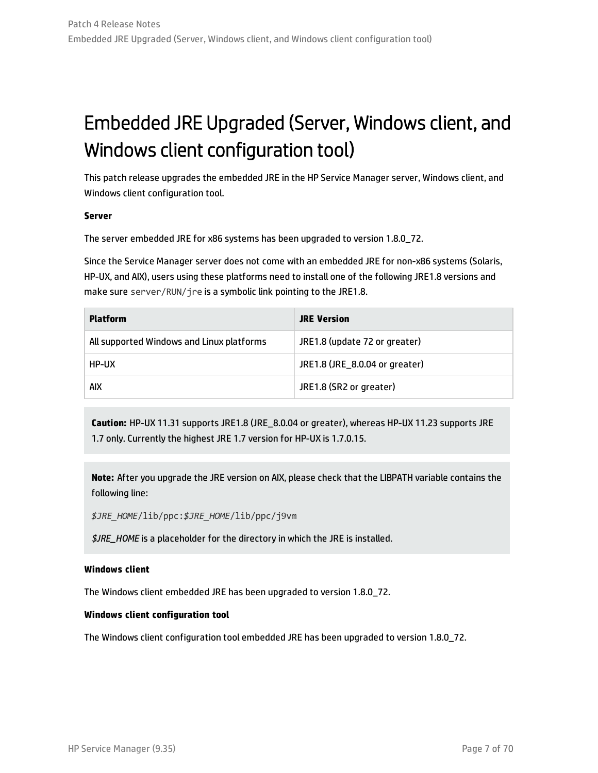## <span id="page-6-0"></span>Embedded JRE Upgraded (Server, Windows client, and Windows client configuration tool)

This patch release upgrades the embedded JRE in the HP Service Manager server, Windows client, and Windows client configuration tool.

#### **Server**

The server embedded JRE for x86 systems has been upgraded to version 1.8.0\_72.

Since the Service Manager server does not come with an embedded JRE for non-x86 systems (Solaris, HP-UX, and AIX), users using these platforms need to install one of the following JRE1.8 versions and make sure server/RUN/jre is a symbolic link pointing to the JRE1.8.

| <b>Platform</b>                           | <b>JRE Version</b>             |
|-------------------------------------------|--------------------------------|
| All supported Windows and Linux platforms | JRE1.8 (update 72 or greater)  |
| HP-UX                                     | JRE1.8 (JRE_8.0.04 or greater) |
| aix                                       | JRE1.8 (SR2 or greater)        |

**Caution:** HP-UX 11.31 supports JRE1.8 (JRE\_8.0.04 or greater), whereas HP-UX 11.23 supports JRE 1.7 only. Currently the highest JRE 1.7 version for HP-UX is 1.7.0.15.

**Note:** After you upgrade the JRE version on AIX, please check that the LIBPATH variable contains the following line:

*\$JRE\_HOME*/lib/ppc:*\$JRE\_HOME*/lib/ppc/j9vm

*\$JRE\_HOME* is a placeholder for the directory in which the JRE is installed.

#### **Windows client**

The Windows client embedded JRE has been upgraded to version 1.8.0\_72.

#### **Windows client configuration tool**

The Windows client configuration tool embedded JRE has been upgraded to version 1.8.0\_72.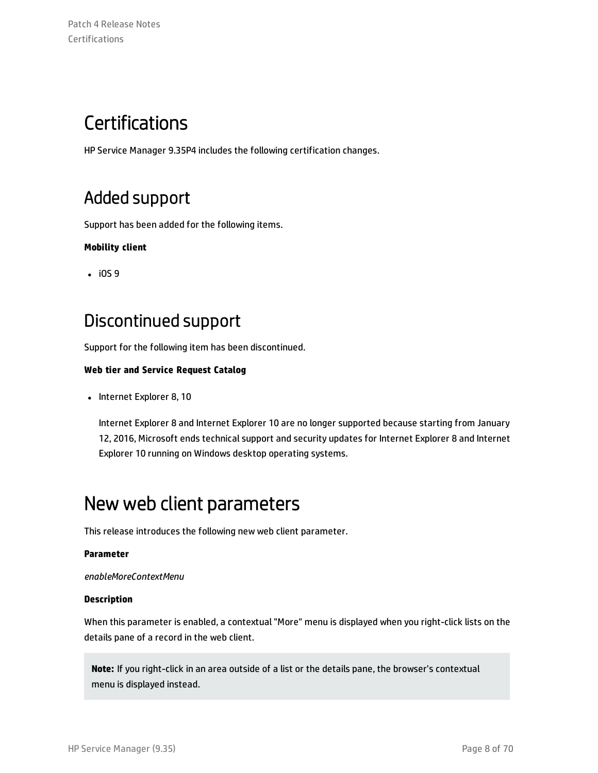## <span id="page-7-0"></span>**Certifications**

<span id="page-7-1"></span>HP Service Manager 9.35P4 includes the following certification changes.

### Added support

Support has been added for the following items.

### **Mobility client**

<span id="page-7-2"></span> $\cdot$  iOS 9

### Discontinued support

Support for the following item has been discontinued.

### **Web tier and Service Request Catalog**

• Internet Explorer 8, 10

Internet Explorer 8 and Internet Explorer 10 are no longer supported because starting from January 12, 2016, Microsoft ends technical support and security updates for Internet Explorer 8 and Internet Explorer 10 running on Windows desktop operating systems.

### <span id="page-7-3"></span>New web client parameters

This release introduces the following new web client parameter.

### **Parameter**

*enableMoreContextMenu*

### **Description**

When this parameter is enabled, a contextual "More" menu is displayed when you right-click lists on the details pane of a record in the web client.

**Note:** If you right-click in an area outside of a list or the details pane, the browser's contextual menu is displayed instead.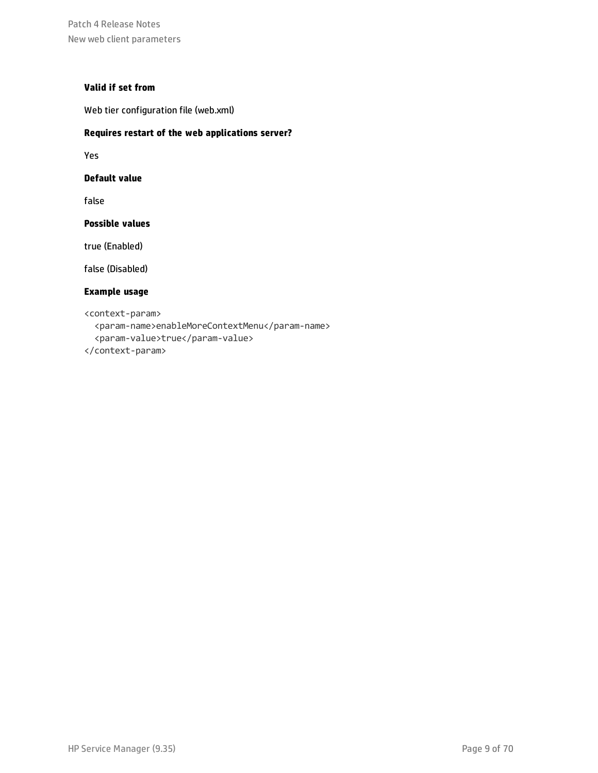Patch 4 Release Notes New web client parameters

### **Valid if set from**

Web tier configuration file (web.xml)

#### **Requires restart of the web applications server?**

Yes

#### **Default value**

false

#### **Possible values**

true (Enabled)

false (Disabled)

#### **Example usage**

<context-param>

<param-name>enableMoreContextMenu</param-name> <param-value>true</param-value>

</context-param>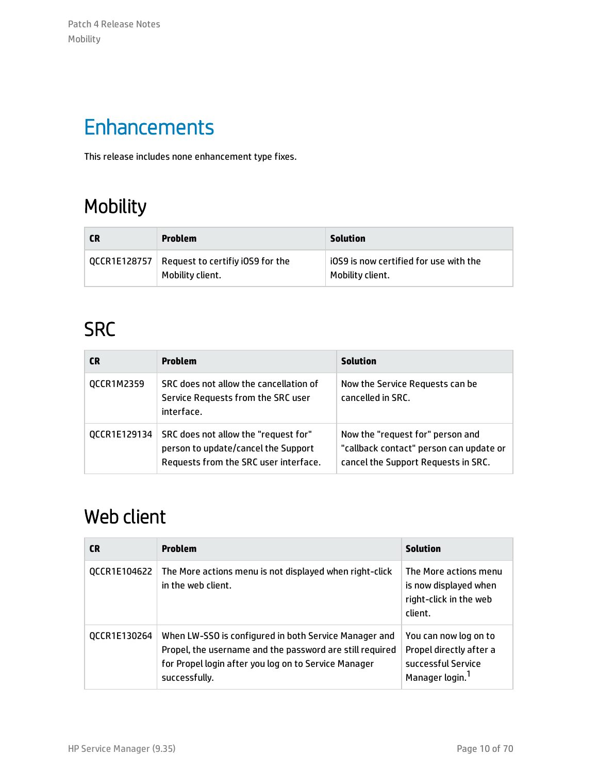Patch 4 Release Notes Mobility

## <span id="page-9-0"></span>**Enhancements**

<span id="page-9-1"></span>This release includes none enhancement type fixes.

## Mobility

| <b>CR</b> | Problem                                                             | <b>Solution</b>                                            |
|-----------|---------------------------------------------------------------------|------------------------------------------------------------|
|           | QCCR1E128757   Request to certifiy iOS9 for the<br>Mobility client. | iOS9 is now certified for use with the<br>Mobility client. |

## <span id="page-9-2"></span>**SRC**

| CR.          | <b>Problem</b>                                                                                                       | <b>Solution</b>                                                                                                    |
|--------------|----------------------------------------------------------------------------------------------------------------------|--------------------------------------------------------------------------------------------------------------------|
| QCCR1M2359   | SRC does not allow the cancellation of<br>Service Requests from the SRC user<br>interface.                           | Now the Service Requests can be<br>cancelled in SRC.                                                               |
| QCCR1E129134 | SRC does not allow the "request for"<br>person to update/cancel the Support<br>Requests from the SRC user interface. | Now the "request for" person and<br>"callback contact" person can update or<br>cancel the Support Requests in SRC. |

### <span id="page-9-3"></span>Web client

<span id="page-9-4"></span>

| CR.          | <b>Problem</b>                                                                                                                                                                             | <b>Solution</b>                                                                                       |
|--------------|--------------------------------------------------------------------------------------------------------------------------------------------------------------------------------------------|-------------------------------------------------------------------------------------------------------|
| QCCR1E104622 | The More actions menu is not displayed when right-click<br>in the web client.                                                                                                              | The More actions menu<br>is now displayed when<br>right-click in the web<br>client.                   |
| QCCR1E130264 | When LW-SSO is configured in both Service Manager and<br>Propel, the username and the password are still required<br>for Propel login after you log on to Service Manager<br>successfully. | You can now log on to<br>Propel directly after a<br>successful Service<br>Manager login. <sup>1</sup> |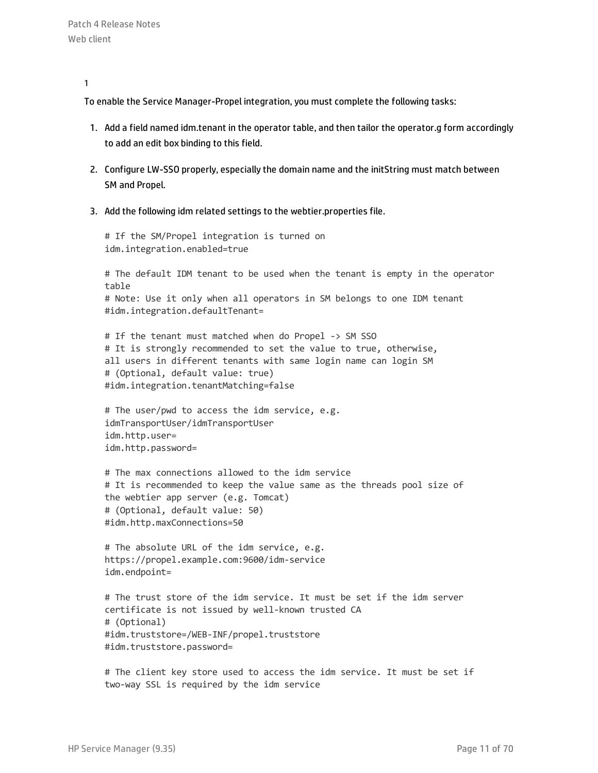1

To enable the Service Manager-Propel integration, you must complete the following tasks:

- 1. Add a field named idm.tenant in the operator table, and then tailor the operator.g form accordingly to add an edit box binding to this field.
- 2. Configure LW-SSO properly, especially the domain name and the initString must match between SM and Propel.
- 3. Add the following idm related settings to the webtier.properties file.

# If the SM/Propel integration is turned on idm.integration.enabled=true

# The default IDM tenant to be used when the tenant is empty in the operator table # Note: Use it only when all operators in SM belongs to one IDM tenant #idm.integration.defaultTenant=

# If the tenant must matched when do Propel -> SM SSO # It is strongly recommended to set the value to true, otherwise, all users in different tenants with same login name can login SM # (Optional, default value: true) #idm.integration.tenantMatching=false

# The user/pwd to access the idm service, e.g. idmTransportUser/idmTransportUser idm.http.user= idm.http.password=

# The max connections allowed to the idm service # It is recommended to keep the value same as the threads pool size of the webtier app server (e.g. Tomcat) # (Optional, default value: 50) #idm.http.maxConnections=50

# The absolute URL of the idm service, e.g. https://propel.example.com:9600/idm-service idm.endpoint=

# The trust store of the idm service. It must be set if the idm server certificate is not issued by well-known trusted CA # (Optional) #idm.truststore=/WEB-INF/propel.truststore #idm.truststore.password=

# The client key store used to access the idm service. It must be set if two-way SSL is required by the idm service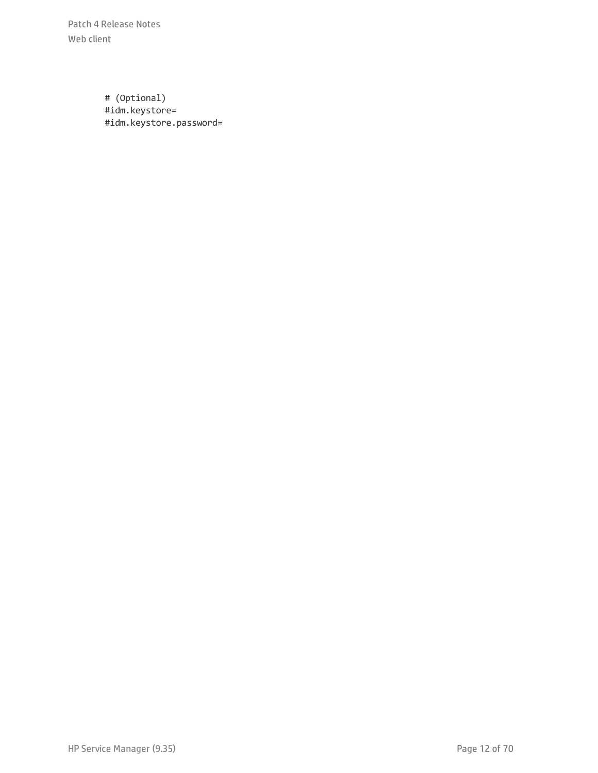Patch 4 Release Notes Web client

> # (Optional) #idm.keystore= #idm.keystore.password=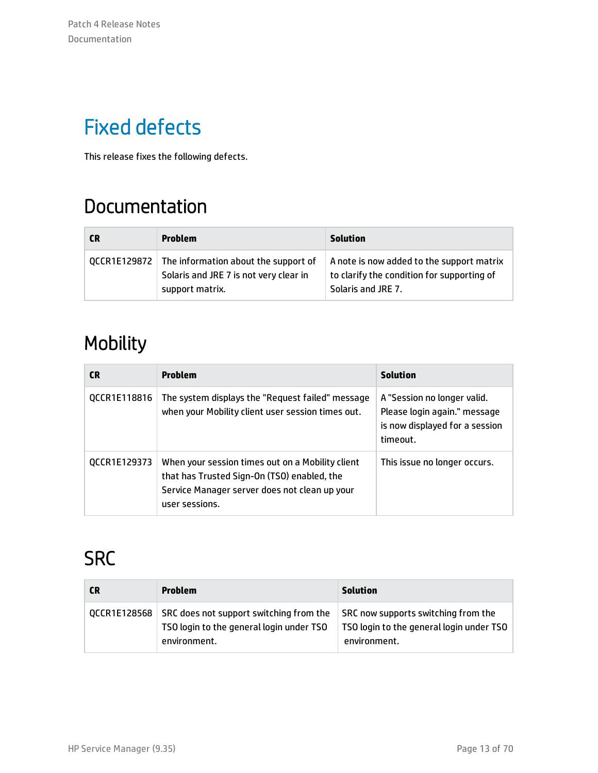## <span id="page-12-0"></span>Fixed defects

<span id="page-12-1"></span>This release fixes the following defects.

## Documentation

| <b>CR</b> | <b>Problem</b>                                                                                                   | Solution                                                                                                      |
|-----------|------------------------------------------------------------------------------------------------------------------|---------------------------------------------------------------------------------------------------------------|
|           | QCCR1E129872   The information about the support of<br>Solaris and JRE 7 is not very clear in<br>support matrix. | A note is now added to the support matrix<br>to clarify the condition for supporting of<br>Solaris and JRE 7. |

## <span id="page-12-2"></span>Mobility

| <b>CR</b>    | <b>Problem</b>                                                                                                                                                     | <b>Solution</b>                                                                                           |
|--------------|--------------------------------------------------------------------------------------------------------------------------------------------------------------------|-----------------------------------------------------------------------------------------------------------|
| QCCR1E118816 | The system displays the "Request failed" message<br>when your Mobility client user session times out.                                                              | A "Session no longer valid.<br>Please login again." message<br>is now displayed for a session<br>timeout. |
| QCCR1E129373 | When your session times out on a Mobility client<br>that has Trusted Sign-On (TSO) enabled, the<br>Service Manager server does not clean up your<br>user sessions. | This issue no longer occurs.                                                                              |

## <span id="page-12-3"></span>**SRC**

| <b>CR</b>    | <b>Problem</b>                                                                                      | Solution                                                                                        |
|--------------|-----------------------------------------------------------------------------------------------------|-------------------------------------------------------------------------------------------------|
| QCCR1E128568 | SRC does not support switching from the<br>TSO login to the general login under TSO<br>environment. | SRC now supports switching from the<br>TSO login to the general login under TSO<br>environment. |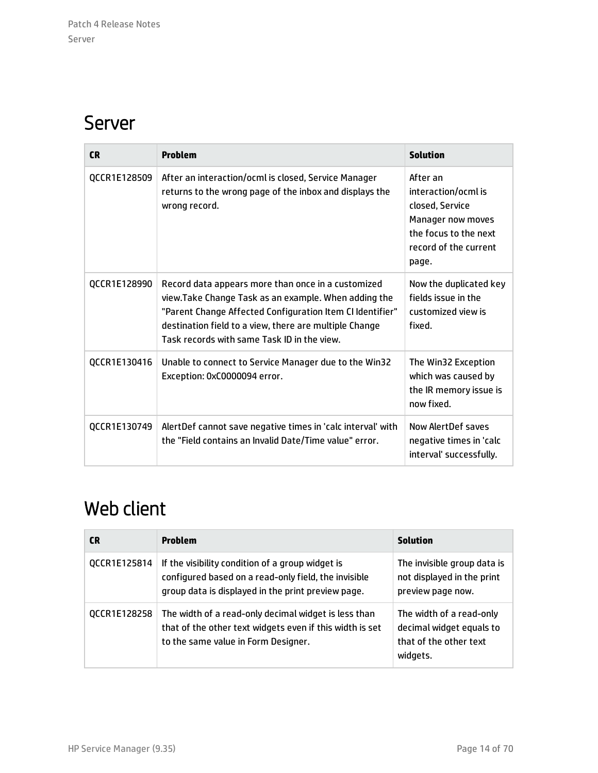### <span id="page-13-0"></span>Server

| <b>CR</b>    | <b>Problem</b>                                                                                                                                                                                                                                                                   | <b>Solution</b>                                                                                                                    |
|--------------|----------------------------------------------------------------------------------------------------------------------------------------------------------------------------------------------------------------------------------------------------------------------------------|------------------------------------------------------------------------------------------------------------------------------------|
| QCCR1E128509 | After an interaction/ocml is closed, Service Manager<br>returns to the wrong page of the inbox and displays the<br>wrong record.                                                                                                                                                 | After an<br>interaction/ocml is<br>closed, Service<br>Manager now moves<br>the focus to the next<br>record of the current<br>page. |
| QCCR1E128990 | Record data appears more than once in a customized<br>view.Take Change Task as an example. When adding the<br>"Parent Change Affected Configuration Item CI Identifier"<br>destination field to a view, there are multiple Change<br>Task records with same Task ID in the view. | Now the duplicated key<br>fields issue in the<br>customized view is<br>fixed.                                                      |
| QCCR1E130416 | Unable to connect to Service Manager due to the Win32<br>Exception: 0xC0000094 error.                                                                                                                                                                                            | The Win32 Exception<br>which was caused by<br>the IR memory issue is<br>now fixed.                                                 |
| QCCR1E130749 | AlertDef cannot save negative times in 'calc interval' with<br>the "Field contains an Invalid Date/Time value" error.                                                                                                                                                            | Now AlertDef saves<br>negative times in 'calc<br>interval' successfully.                                                           |

## <span id="page-13-1"></span>Web client

| <b>CR</b>    | <b>Problem</b>                                                                                                                                                 | <b>Solution</b>                                                                            |
|--------------|----------------------------------------------------------------------------------------------------------------------------------------------------------------|--------------------------------------------------------------------------------------------|
| QCCR1E125814 | If the visibility condition of a group widget is<br>configured based on a read-only field, the invisible<br>group data is displayed in the print preview page. | The invisible group data is<br>not displayed in the print<br>preview page now.             |
| QCCR1E128258 | The width of a read-only decimal widget is less than<br>that of the other text widgets even if this width is set<br>to the same value in Form Designer.        | The width of a read-only<br>decimal widget equals to<br>that of the other text<br>widgets. |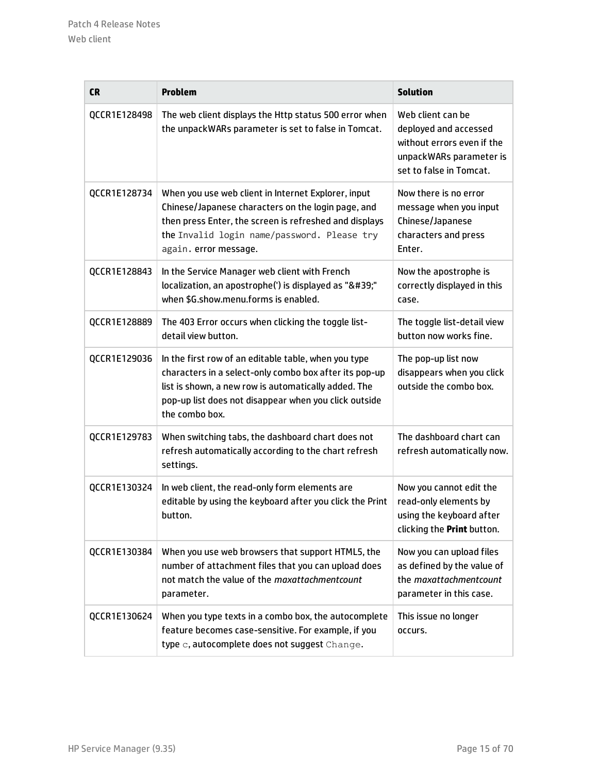| <b>CR</b>    | <b>Problem</b>                                                                                                                                                                                                                                    | <b>Solution</b>                                                                                                                |
|--------------|---------------------------------------------------------------------------------------------------------------------------------------------------------------------------------------------------------------------------------------------------|--------------------------------------------------------------------------------------------------------------------------------|
| QCCR1E128498 | The web client displays the Http status 500 error when<br>the unpackWARs parameter is set to false in Tomcat.                                                                                                                                     | Web client can be<br>deployed and accessed<br>without errors even if the<br>unpackWARs parameter is<br>set to false in Tomcat. |
| QCCR1E128734 | When you use web client in Internet Explorer, input<br>Chinese/Japanese characters on the login page, and<br>then press Enter, the screen is refreshed and displays<br>the Invalid login name/password. Please try<br>again. error message.       | Now there is no error<br>message when you input<br>Chinese/Japanese<br>characters and press<br>Enter.                          |
| QCCR1E128843 | In the Service Manager web client with French<br>localization, an apostrophe(') is displayed as "'"<br>when \$G.show.menu.forms is enabled.                                                                                                       | Now the apostrophe is<br>correctly displayed in this<br>case.                                                                  |
| QCCR1E128889 | The 403 Error occurs when clicking the toggle list-<br>detail view button.                                                                                                                                                                        | The toggle list-detail view<br>button now works fine.                                                                          |
| QCCR1E129036 | In the first row of an editable table, when you type<br>characters in a select-only combo box after its pop-up<br>list is shown, a new row is automatically added. The<br>pop-up list does not disappear when you click outside<br>the combo box. | The pop-up list now<br>disappears when you click<br>outside the combo box.                                                     |
| QCCR1E129783 | When switching tabs, the dashboard chart does not<br>refresh automatically according to the chart refresh<br>settings.                                                                                                                            | The dashboard chart can<br>refresh automatically now.                                                                          |
| QCCR1E130324 | In web client, the read-only form elements are<br>editable by using the keyboard after you click the Print<br>button.                                                                                                                             | Now you cannot edit the<br>read-only elements by<br>using the keyboard after<br>clicking the Print button.                     |
| QCCR1E130384 | When you use web browsers that support HTML5, the<br>number of attachment files that you can upload does<br>not match the value of the maxattachmentcount<br>parameter.                                                                           | Now you can upload files<br>as defined by the value of<br>the maxattachmentcount<br>parameter in this case.                    |
| QCCR1E130624 | When you type texts in a combo box, the autocomplete<br>feature becomes case-sensitive. For example, if you<br>type c, autocomplete does not suggest Change.                                                                                      | This issue no longer<br>occurs.                                                                                                |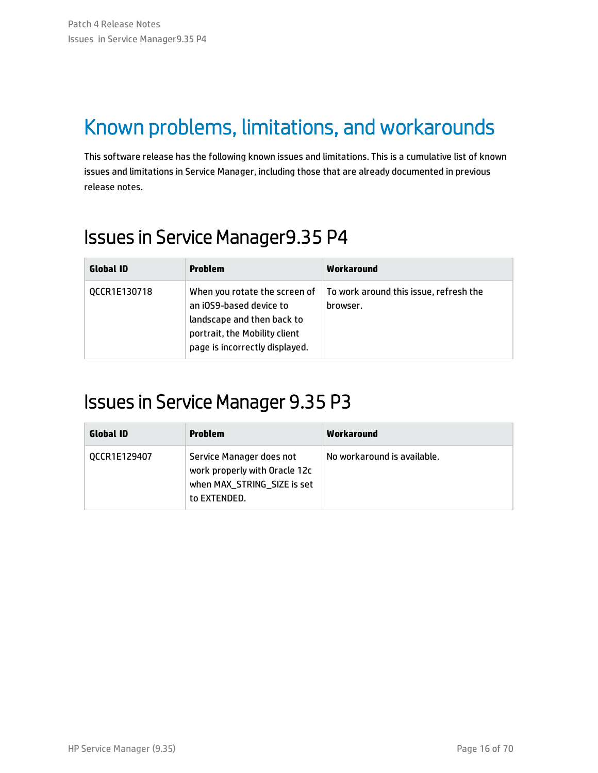## <span id="page-15-0"></span>Known problems, limitations, and workarounds

This software release has the following known issues and limitations. This is a cumulative list of known issues and limitations in Service Manager, including those that are already documented in previous release notes.

## <span id="page-15-1"></span>Issues in Service Manager9.35 P4

| <b>Global ID</b> | <b>Problem</b>                                                                                                                                            | Workaround                                         |
|------------------|-----------------------------------------------------------------------------------------------------------------------------------------------------------|----------------------------------------------------|
| QCCR1E130718     | When you rotate the screen of<br>an iOS9-based device to<br>landscape and then back to<br>portrait, the Mobility client<br>page is incorrectly displayed. | To work around this issue, refresh the<br>browser. |

### <span id="page-15-2"></span>Issues in Service Manager 9.35 P3

| <b>Global ID</b> | Problem                                                                                                  | Workaround                  |
|------------------|----------------------------------------------------------------------------------------------------------|-----------------------------|
| QCCR1E129407     | Service Manager does not<br>work properly with Oracle 12c<br>when MAX_STRING_SIZE is set<br>to EXTENDED. | No workaround is available. |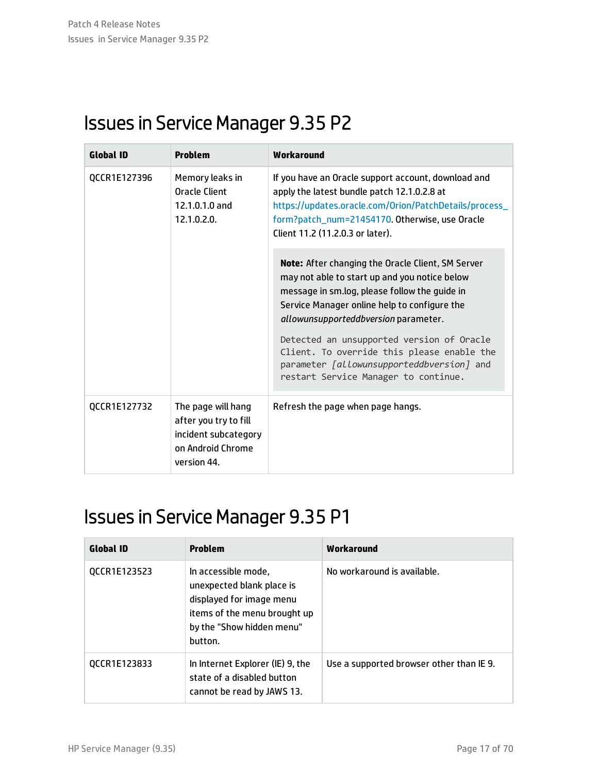## <span id="page-16-0"></span>Issues in Service Manager 9.35 P2

| <b>Global ID</b> | <b>Problem</b>                                                                                          | Workaround                                                                                                                                                                                                                                         |
|------------------|---------------------------------------------------------------------------------------------------------|----------------------------------------------------------------------------------------------------------------------------------------------------------------------------------------------------------------------------------------------------|
| OCCR1E127396     | Memory leaks in<br><b>Oracle Client</b><br>$12.1.0.1.0$ and<br>12.1.0.2.0.                              | If you have an Oracle support account, download and<br>apply the latest bundle patch 12.1.0.2.8 at<br>https://updates.oracle.com/Orion/PatchDetails/process_<br>form?patch_num=21454170. Otherwise, use Oracle<br>Client 11.2 (11.2.0.3 or later). |
|                  |                                                                                                         | <b>Note:</b> After changing the Oracle Client, SM Server<br>may not able to start up and you notice below<br>message in sm.log, please follow the guide in<br>Service Manager online help to configure the<br>allowunsupporteddbversion parameter. |
|                  |                                                                                                         | Detected an unsupported version of Oracle<br>Client. To override this please enable the<br>parameter [allowunsupporteddbversion] and<br>restart Service Manager to continue.                                                                       |
| QCCR1E127732     | The page will hang<br>after you try to fill<br>incident subcategory<br>on Android Chrome<br>version 44. | Refresh the page when page hangs.                                                                                                                                                                                                                  |

## <span id="page-16-1"></span>Issues in Service Manager 9.35 P1

| <b>Global ID</b> | <b>Problem</b>                                                                                                                                       | Workaround                               |
|------------------|------------------------------------------------------------------------------------------------------------------------------------------------------|------------------------------------------|
| QCCR1E123523     | In accessible mode,<br>unexpected blank place is<br>displayed for image menu<br>items of the menu brought up<br>by the "Show hidden menu"<br>button. | No workaround is available.              |
| QCCR1E123833     | In Internet Explorer (IE) 9, the<br>state of a disabled button<br>cannot be read by JAWS 13.                                                         | Use a supported browser other than IE 9. |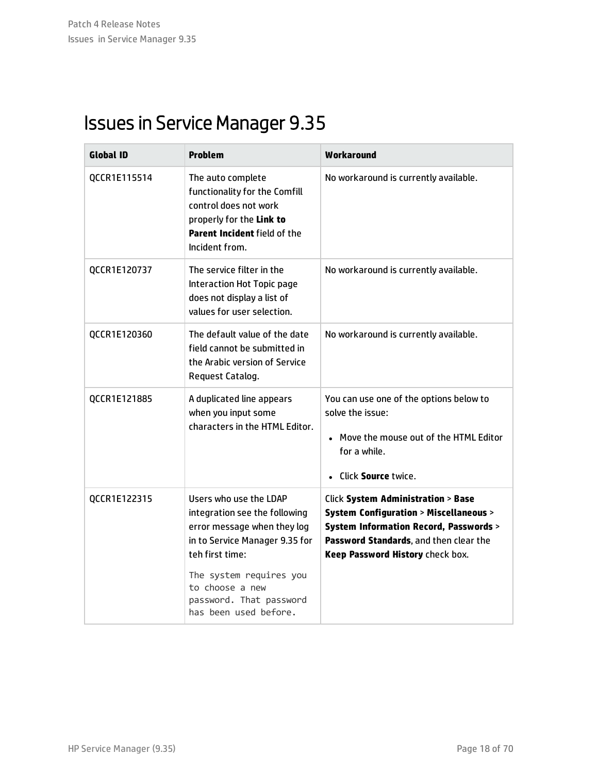## <span id="page-17-0"></span>Issues in Service Manager 9.35

| <b>Global ID</b> | <b>Problem</b>                                                                                                                                                                                                                                | Workaround                                                                                                                                                                                                                            |
|------------------|-----------------------------------------------------------------------------------------------------------------------------------------------------------------------------------------------------------------------------------------------|---------------------------------------------------------------------------------------------------------------------------------------------------------------------------------------------------------------------------------------|
| QCCR1E115514     | The auto complete<br>functionality for the Comfill<br>control does not work<br>properly for the Link to<br>Parent Incident field of the<br>Incident from.                                                                                     | No workaround is currently available.                                                                                                                                                                                                 |
| QCCR1E120737     | The service filter in the<br>Interaction Hot Topic page<br>does not display a list of<br>values for user selection.                                                                                                                           | No workaround is currently available.                                                                                                                                                                                                 |
| QCCR1E120360     | The default value of the date<br>field cannot be submitted in<br>the Arabic version of Service<br>Request Catalog.                                                                                                                            | No workaround is currently available.                                                                                                                                                                                                 |
| QCCR1E121885     | A duplicated line appears<br>when you input some<br>characters in the HTML Editor.                                                                                                                                                            | You can use one of the options below to<br>solve the issue:<br>• Move the mouse out of the HTML Editor<br>for a while.<br>• Click Source twice.                                                                                       |
| QCCR1E122315     | Users who use the LDAP<br>integration see the following<br>error message when they log<br>in to Service Manager 9.35 for<br>teh first time:<br>The system requires you<br>to choose a new<br>password. That password<br>has been used before. | <b>Click System Administration &gt; Base</b><br><b>System Configuration &gt; Miscellaneous &gt;</b><br><b>System Information Record, Passwords &gt;</b><br>Password Standards, and then clear the<br>Keep Password History check box. |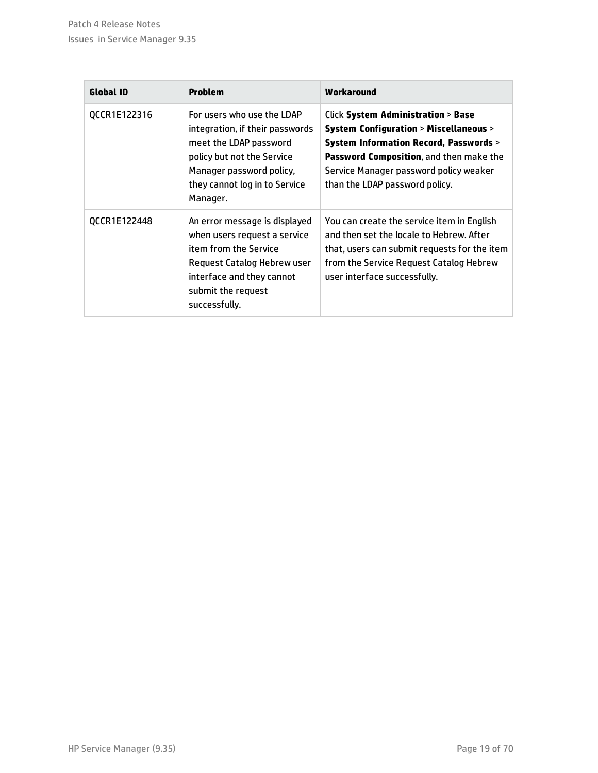| <b>Global ID</b> | Problem                                                                                                                                                                                        | Workaround                                                                                                                                                                                                                                                                     |
|------------------|------------------------------------------------------------------------------------------------------------------------------------------------------------------------------------------------|--------------------------------------------------------------------------------------------------------------------------------------------------------------------------------------------------------------------------------------------------------------------------------|
| QCCR1E122316     | For users who use the LDAP<br>integration, if their passwords<br>meet the LDAP password<br>policy but not the Service<br>Manager password policy,<br>they cannot log in to Service<br>Manager. | <b>Click System Administration &gt; Base</b><br><b>System Configuration &gt; Miscellaneous &gt;</b><br><b>System Information Record, Passwords &gt;</b><br>Password Composition, and then make the<br>Service Manager password policy weaker<br>than the LDAP password policy. |
| QCCR1E122448     | An error message is displayed<br>when users request a service<br>item from the Service<br>Request Catalog Hebrew user<br>interface and they cannot<br>submit the request<br>successfully.      | You can create the service item in English<br>and then set the locale to Hebrew. After<br>that, users can submit requests for the item<br>from the Service Request Catalog Hebrew<br>user interface successfully.                                                              |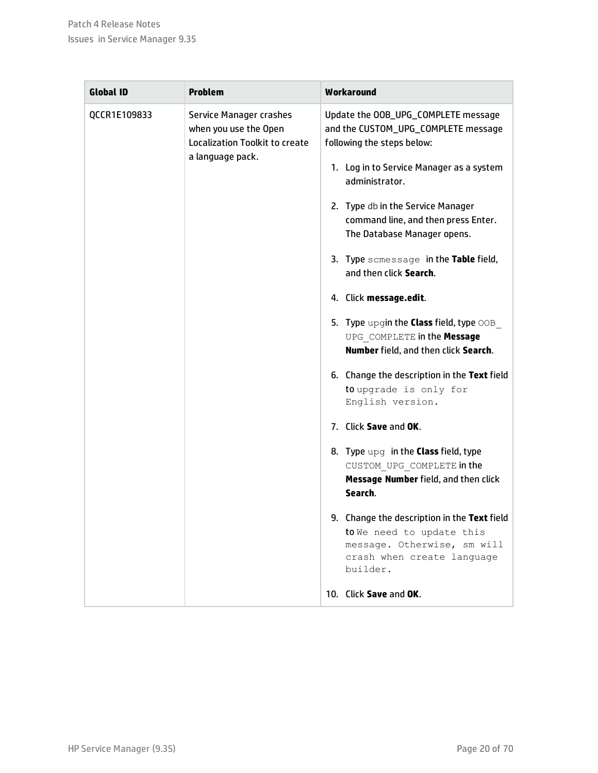| <b>Global ID</b> | <b>Problem</b>                                                                                         | Workaround                                                                                                                                                                                                                                                                                                                                                                                                                                                                                                                                                                                                                                                                                                                                                                                                                                                                                                                                   |
|------------------|--------------------------------------------------------------------------------------------------------|----------------------------------------------------------------------------------------------------------------------------------------------------------------------------------------------------------------------------------------------------------------------------------------------------------------------------------------------------------------------------------------------------------------------------------------------------------------------------------------------------------------------------------------------------------------------------------------------------------------------------------------------------------------------------------------------------------------------------------------------------------------------------------------------------------------------------------------------------------------------------------------------------------------------------------------------|
| QCCR1E109833     | Service Manager crashes<br>when you use the Open<br>Localization Toolkit to create<br>a language pack. | Update the OOB_UPG_COMPLETE message<br>and the CUSTOM_UPG_COMPLETE message<br>following the steps below:<br>1. Log in to Service Manager as a system<br>administrator.<br>2. Type db in the Service Manager<br>command line, and then press Enter.<br>The Database Manager opens.<br>3. Type scmessage in the Table field,<br>and then click Search.<br>4. Click message.edit.<br>5. Type upgin the <b>Class</b> field, type OOB<br>UPG COMPLETE in the Message<br>Number field, and then click Search.<br>6. Change the description in the Text field<br>to upgrade is only for<br>English version.<br>7. Click Save and OK.<br>8. Type upg in the <b>Class</b> field, type<br>CUSTOM UPG COMPLETE in the<br>Message Number field, and then click<br>Search.<br>9. Change the description in the Text field<br>to We need to update this<br>message. Otherwise, sm will<br>crash when create language<br>builder.<br>10. Click Save and OK. |
|                  |                                                                                                        |                                                                                                                                                                                                                                                                                                                                                                                                                                                                                                                                                                                                                                                                                                                                                                                                                                                                                                                                              |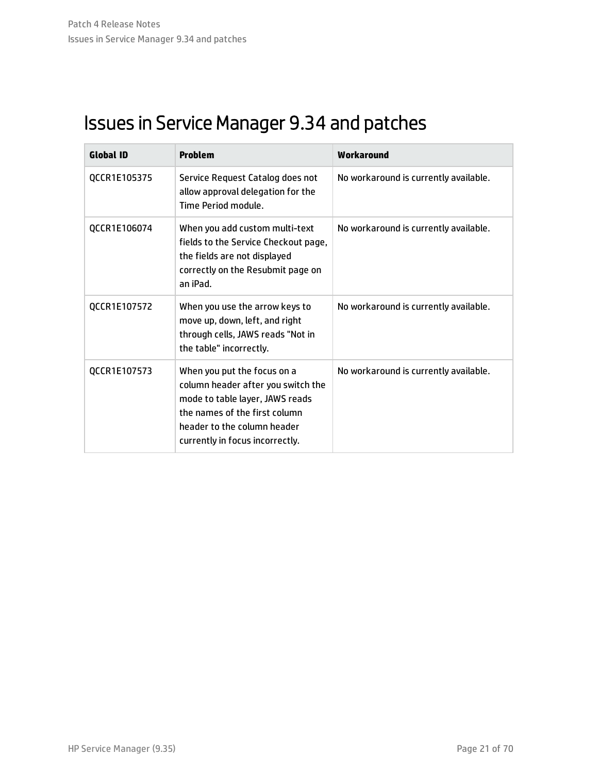## <span id="page-20-0"></span>Issues in Service Manager 9.34 and patches

| <b>Global ID</b> | <b>Problem</b>                                                                                                                                                                                          | Workaround                            |
|------------------|---------------------------------------------------------------------------------------------------------------------------------------------------------------------------------------------------------|---------------------------------------|
| QCCR1E105375     | Service Request Catalog does not<br>allow approval delegation for the<br>Time Period module.                                                                                                            | No workaround is currently available. |
| QCCR1E106074     | When you add custom multi-text<br>fields to the Service Checkout page,<br>the fields are not displayed<br>correctly on the Resubmit page on<br>an iPad.                                                 | No workaround is currently available. |
| QCCR1E107572     | When you use the arrow keys to<br>move up, down, left, and right<br>through cells, JAWS reads "Not in<br>the table" incorrectly.                                                                        | No workaround is currently available. |
| QCCR1E107573     | When you put the focus on a<br>column header after you switch the<br>mode to table layer, JAWS reads<br>the names of the first column<br>header to the column header<br>currently in focus incorrectly. | No workaround is currently available. |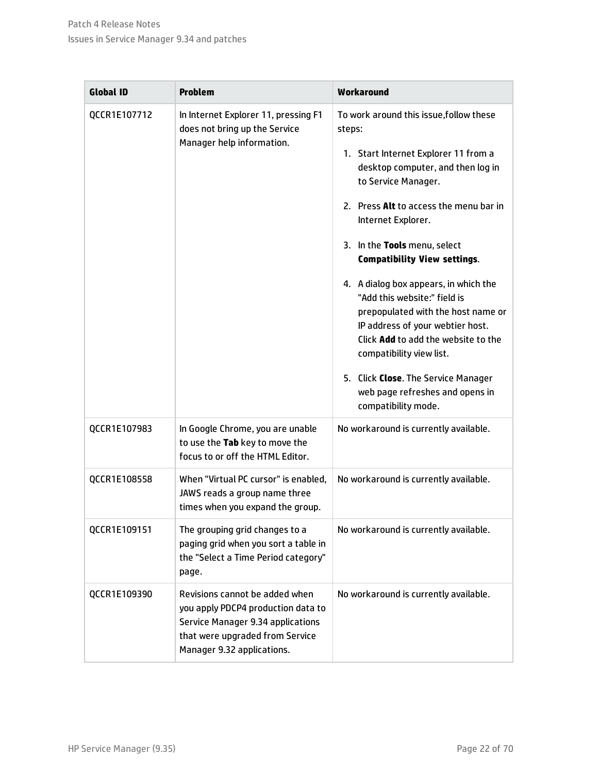| <b>Global ID</b> | <b>Problem</b>                                                                                                                                                             | Workaround                                                                                                                                                                                                                                                                                                                                                                                                                                                                                                                                                                                                          |
|------------------|----------------------------------------------------------------------------------------------------------------------------------------------------------------------------|---------------------------------------------------------------------------------------------------------------------------------------------------------------------------------------------------------------------------------------------------------------------------------------------------------------------------------------------------------------------------------------------------------------------------------------------------------------------------------------------------------------------------------------------------------------------------------------------------------------------|
| QCCR1E107712     | In Internet Explorer 11, pressing F1<br>does not bring up the Service<br>Manager help information.                                                                         | To work around this issue, follow these<br>steps:<br>1. Start Internet Explorer 11 from a<br>desktop computer, and then log in<br>to Service Manager.<br>2. Press Alt to access the menu bar in<br>Internet Explorer.<br>3. In the Tools menu, select<br><b>Compatibility View settings.</b><br>4. A dialog box appears, in which the<br>"Add this website:" field is<br>prepopulated with the host name or<br>IP address of your webtier host.<br>Click Add to add the website to the<br>compatibility view list.<br>5. Click Close. The Service Manager<br>web page refreshes and opens in<br>compatibility mode. |
| QCCR1E107983     | In Google Chrome, you are unable<br>to use the Tab key to move the<br>focus to or off the HTML Editor.                                                                     | No workaround is currently available.                                                                                                                                                                                                                                                                                                                                                                                                                                                                                                                                                                               |
| QCCR1E108558     | When "Virtual PC cursor" is enabled,<br>JAWS reads a group name three<br>times when you expand the group.                                                                  | No workaround is currently available.                                                                                                                                                                                                                                                                                                                                                                                                                                                                                                                                                                               |
| QCCR1E109151     | The grouping grid changes to a<br>paging grid when you sort a table in<br>the "Select a Time Period category"<br>page.                                                     | No workaround is currently available.                                                                                                                                                                                                                                                                                                                                                                                                                                                                                                                                                                               |
| QCCR1E109390     | Revisions cannot be added when<br>you apply PDCP4 production data to<br>Service Manager 9.34 applications<br>that were upgraded from Service<br>Manager 9.32 applications. | No workaround is currently available.                                                                                                                                                                                                                                                                                                                                                                                                                                                                                                                                                                               |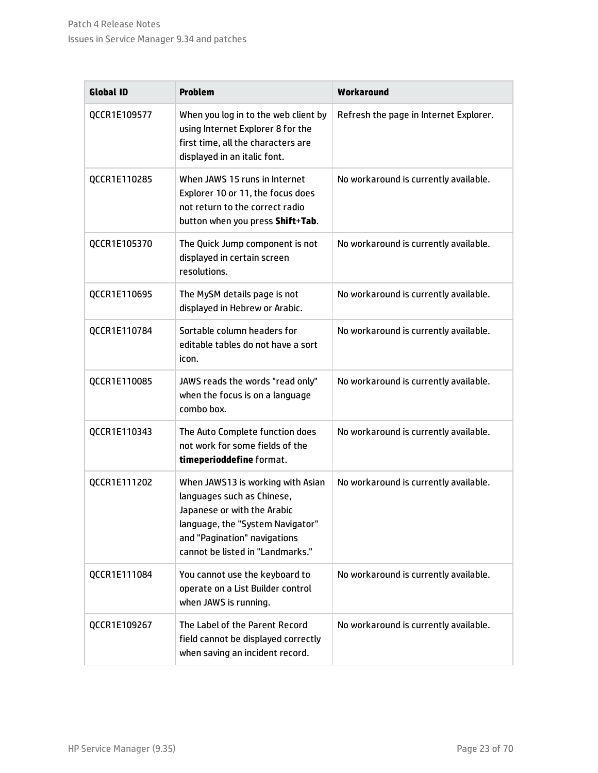| <b>Global ID</b> | <b>Problem</b>                                                                                                                                                                                         | Workaround                             |
|------------------|--------------------------------------------------------------------------------------------------------------------------------------------------------------------------------------------------------|----------------------------------------|
| QCCR1E109577     | When you log in to the web client by<br>using Internet Explorer 8 for the<br>first time, all the characters are<br>displayed in an italic font.                                                        | Refresh the page in Internet Explorer. |
| QCCR1E110285     | When JAWS 15 runs in Internet<br>Explorer 10 or 11, the focus does<br>not return to the correct radio<br>button when you press Shift+Tab.                                                              | No workaround is currently available.  |
| QCCR1E105370     | The Quick Jump component is not<br>displayed in certain screen<br>resolutions.                                                                                                                         | No workaround is currently available.  |
| QCCR1E110695     | The MySM details page is not<br>displayed in Hebrew or Arabic.                                                                                                                                         | No workaround is currently available.  |
| QCCR1E110784     | Sortable column headers for<br>editable tables do not have a sort<br>icon.                                                                                                                             | No workaround is currently available.  |
| QCCR1E110085     | JAWS reads the words "read only"<br>when the focus is on a language<br>combo box.                                                                                                                      | No workaround is currently available.  |
| QCCR1E110343     | The Auto Complete function does<br>not work for some fields of the<br>timeperioddefine format.                                                                                                         | No workaround is currently available.  |
| QCCR1E111202     | When JAWS13 is working with Asian<br>languages such as Chinese,<br>Japanese or with the Arabic<br>language, the "System Navigator"<br>and "Pagination" navigations<br>cannot be listed in "Landmarks." | No workaround is currently available.  |
| QCCR1E111084     | You cannot use the keyboard to<br>operate on a List Builder control<br>when JAWS is running.                                                                                                           | No workaround is currently available.  |
| QCCR1E109267     | The Label of the Parent Record<br>field cannot be displayed correctly<br>when saving an incident record.                                                                                               | No workaround is currently available.  |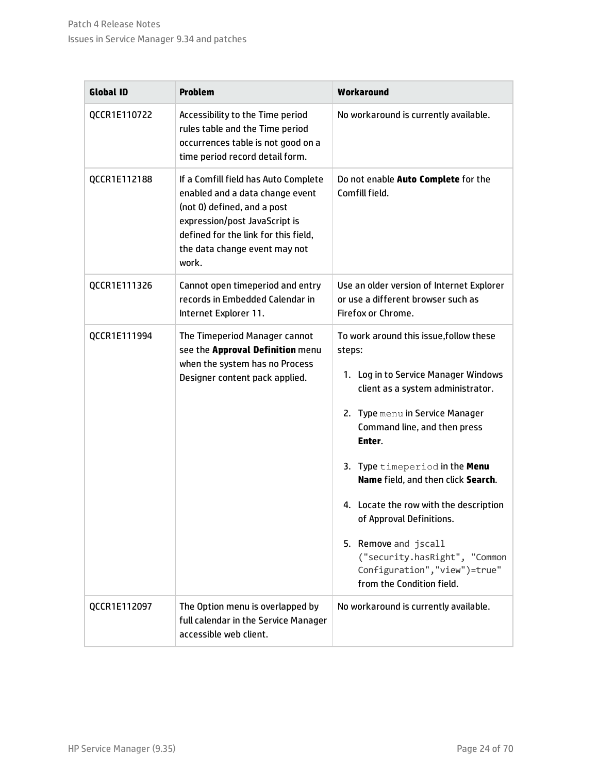| <b>Global ID</b> | <b>Problem</b>                                                                                                                                                                                                            | Workaround                                                                                                                                                                                                                                                                                                                                                                                                                                                                          |
|------------------|---------------------------------------------------------------------------------------------------------------------------------------------------------------------------------------------------------------------------|-------------------------------------------------------------------------------------------------------------------------------------------------------------------------------------------------------------------------------------------------------------------------------------------------------------------------------------------------------------------------------------------------------------------------------------------------------------------------------------|
| QCCR1E110722     | Accessibility to the Time period<br>rules table and the Time period<br>occurrences table is not good on a<br>time period record detail form.                                                                              | No workaround is currently available.                                                                                                                                                                                                                                                                                                                                                                                                                                               |
| QCCR1E112188     | If a Comfill field has Auto Complete<br>enabled and a data change event<br>(not 0) defined, and a post<br>expression/post JavaScript is<br>defined for the link for this field,<br>the data change event may not<br>work. | Do not enable Auto Complete for the<br>Comfill field.                                                                                                                                                                                                                                                                                                                                                                                                                               |
| QCCR1E111326     | Cannot open timeperiod and entry<br>records in Embedded Calendar in<br>Internet Explorer 11.                                                                                                                              | Use an older version of Internet Explorer<br>or use a different browser such as<br>Firefox or Chrome.                                                                                                                                                                                                                                                                                                                                                                               |
| QCCR1E111994     | The Timeperiod Manager cannot<br>see the Approval Definition menu<br>when the system has no Process<br>Designer content pack applied.                                                                                     | To work around this issue, follow these<br>steps:<br>1. Log in to Service Manager Windows<br>client as a system administrator.<br>Type menu in Service Manager<br>2.<br>Command line, and then press<br>Enter.<br>3. Type timeperiod in the Menu<br>Name field, and then click Search.<br>4. Locate the row with the description<br>of Approval Definitions.<br>5. Remove and jscall<br>("security.hasRight", "Common<br>Configuration", "view")=true"<br>from the Condition field. |
| QCCR1E112097     | The Option menu is overlapped by<br>full calendar in the Service Manager<br>accessible web client.                                                                                                                        | No workaround is currently available.                                                                                                                                                                                                                                                                                                                                                                                                                                               |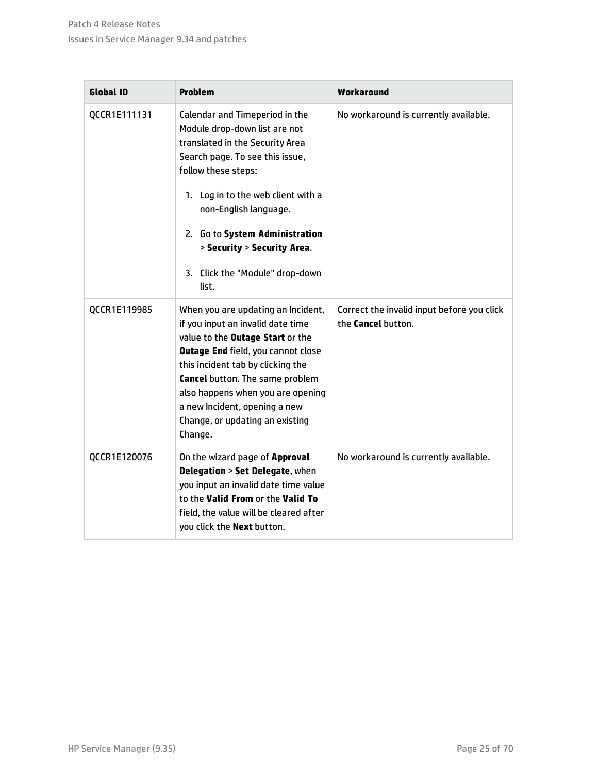| <b>Global ID</b> | <b>Problem</b>                                                                                                                                                                                                                                                                                                                                                     | Workaround                                                       |
|------------------|--------------------------------------------------------------------------------------------------------------------------------------------------------------------------------------------------------------------------------------------------------------------------------------------------------------------------------------------------------------------|------------------------------------------------------------------|
| QCCR1E111131     | Calendar and Timeperiod in the<br>Module drop-down list are not<br>translated in the Security Area<br>Search page. To see this issue,<br>follow these steps:<br>1. Log in to the web client with a<br>non-English language.<br>2. Go to System Administration<br>> Security > Security Area.<br>3. Click the "Module" drop-down<br>list.                           | No workaround is currently available.                            |
| QCCR1E119985     | When you are updating an Incident,<br>if you input an invalid date time<br>value to the <b>Outage Start</b> or the<br><b>Outage End field, you cannot close</b><br>this incident tab by clicking the<br><b>Cancel</b> button. The same problem<br>also happens when you are opening<br>a new Incident, opening a new<br>Change, or updating an existing<br>Change. | Correct the invalid input before you click<br>the Cancel button. |
| QCCR1E120076     | On the wizard page of Approval<br>Delegation > Set Delegate, when<br>you input an invalid date time value<br>to the Valid From or the Valid To<br>field, the value will be cleared after<br>you click the <b>Next</b> button.                                                                                                                                      | No workaround is currently available.                            |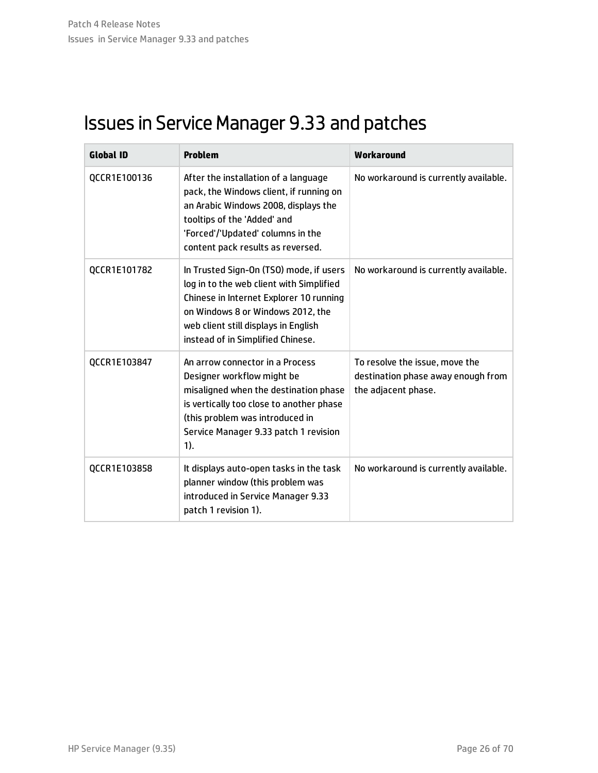## <span id="page-25-0"></span>Issues in Service Manager 9.33 and patches

| <b>Global ID</b> | <b>Problem</b>                                                                                                                                                                                                                                   | Workaround                                                                                  |
|------------------|--------------------------------------------------------------------------------------------------------------------------------------------------------------------------------------------------------------------------------------------------|---------------------------------------------------------------------------------------------|
| QCCR1E100136     | After the installation of a language<br>pack, the Windows client, if running on<br>an Arabic Windows 2008, displays the<br>tooltips of the 'Added' and<br>'Forced'/'Updated' columns in the<br>content pack results as reversed.                 | No workaround is currently available.                                                       |
| QCCR1E101782     | In Trusted Sign-On (TSO) mode, if users<br>log in to the web client with Simplified<br>Chinese in Internet Explorer 10 running<br>on Windows 8 or Windows 2012, the<br>web client still displays in English<br>instead of in Simplified Chinese. | No workaround is currently available.                                                       |
| QCCR1E103847     | An arrow connector in a Process<br>Designer workflow might be<br>misaligned when the destination phase<br>is vertically too close to another phase<br>(this problem was introduced in<br>Service Manager 9.33 patch 1 revision<br>1).            | To resolve the issue, move the<br>destination phase away enough from<br>the adjacent phase. |
| QCCR1E103858     | It displays auto-open tasks in the task<br>planner window (this problem was<br>introduced in Service Manager 9.33<br>patch 1 revision 1).                                                                                                        | No workaround is currently available.                                                       |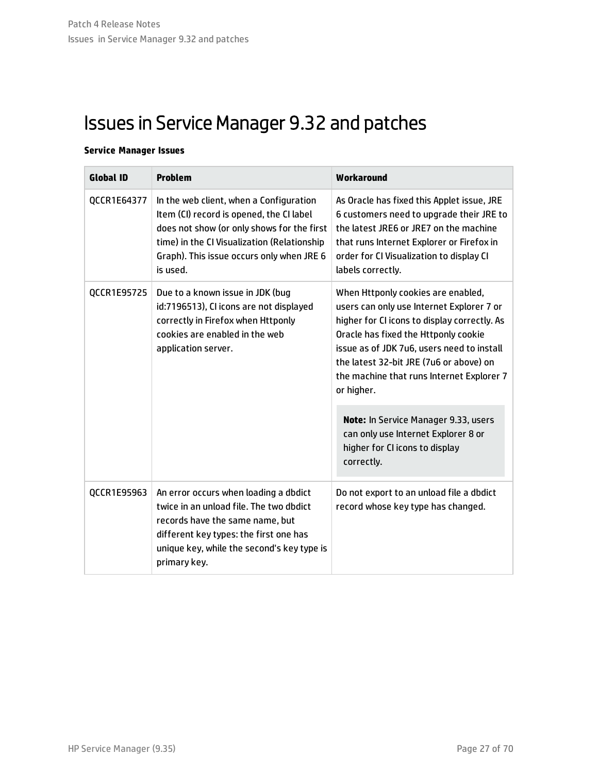## <span id="page-26-0"></span>Issues in Service Manager 9.32 and patches

### **Service Manager Issues**

| <b>Global ID</b>                                                                                                                                                                          | <b>Problem</b>                                                                                                                                                                                                                                                                                                              | Workaround                                                                                                                                                                                                                                     |
|-------------------------------------------------------------------------------------------------------------------------------------------------------------------------------------------|-----------------------------------------------------------------------------------------------------------------------------------------------------------------------------------------------------------------------------------------------------------------------------------------------------------------------------|------------------------------------------------------------------------------------------------------------------------------------------------------------------------------------------------------------------------------------------------|
| QCCR1E64377                                                                                                                                                                               | In the web client, when a Configuration<br>Item (CI) record is opened, the CI label<br>does not show (or only shows for the first<br>time) in the CI Visualization (Relationship<br>Graph). This issue occurs only when JRE 6<br>is used.                                                                                   | As Oracle has fixed this Applet issue, JRE<br>6 customers need to upgrade their JRE to<br>the latest JRE6 or JRE7 on the machine<br>that runs Internet Explorer or Firefox in<br>order for CI Visualization to display CI<br>labels correctly. |
| QCCR1E95725<br>Due to a known issue in JDK (bug<br>id:7196513), CI icons are not displayed<br>correctly in Firefox when Httponly<br>cookies are enabled in the web<br>application server. | When Httponly cookies are enabled,<br>users can only use Internet Explorer 7 or<br>higher for CI icons to display correctly. As<br>Oracle has fixed the Httponly cookie<br>issue as of JDK 7u6, users need to install<br>the latest 32-bit JRE (7u6 or above) on<br>the machine that runs Internet Explorer 7<br>or higher. |                                                                                                                                                                                                                                                |
|                                                                                                                                                                                           |                                                                                                                                                                                                                                                                                                                             | Note: In Service Manager 9.33, users<br>can only use Internet Explorer 8 or<br>higher for CI icons to display<br>correctly.                                                                                                                    |
| QCCR1E95963                                                                                                                                                                               | An error occurs when loading a dbdict<br>twice in an unload file. The two dbdict<br>records have the same name, but<br>different key types: the first one has<br>unique key, while the second's key type is<br>primary key.                                                                                                 | Do not export to an unload file a dbdict<br>record whose key type has changed.                                                                                                                                                                 |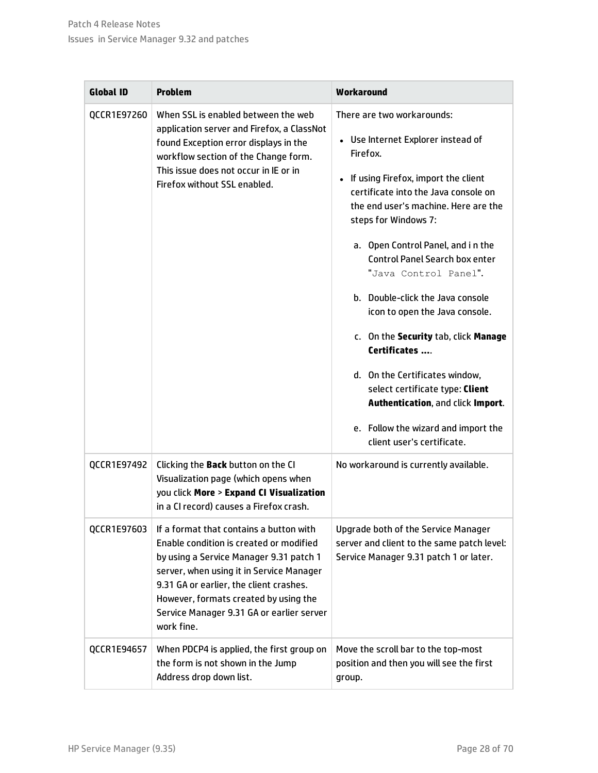| <b>Global ID</b> | <b>Problem</b>                                                                                                                                                                                                                                                                                                           | Workaround                                                                                                                                                                                                                                                                                                                                                                                                                                                                                                                                                                                                                                                   |
|------------------|--------------------------------------------------------------------------------------------------------------------------------------------------------------------------------------------------------------------------------------------------------------------------------------------------------------------------|--------------------------------------------------------------------------------------------------------------------------------------------------------------------------------------------------------------------------------------------------------------------------------------------------------------------------------------------------------------------------------------------------------------------------------------------------------------------------------------------------------------------------------------------------------------------------------------------------------------------------------------------------------------|
| QCCR1E97260      | When SSL is enabled between the web<br>application server and Firefox, a ClassNot<br>found Exception error displays in the<br>workflow section of the Change form.<br>This issue does not occur in IE or in<br>Firefox without SSL enabled.                                                                              | There are two workarounds:<br>• Use Internet Explorer instead of<br>Firefox.<br>If using Firefox, import the client<br>$\bullet$<br>certificate into the Java console on<br>the end user's machine. Here are the<br>steps for Windows 7:<br>a. Open Control Panel, and in the<br><b>Control Panel Search box enter</b><br>"Java Control Panel".<br>b. Double-click the Java console<br>icon to open the Java console.<br>c. On the Security tab, click Manage<br>Certificates<br>d. On the Certificates window,<br>select certificate type: Client<br>Authentication, and click Import.<br>e. Follow the wizard and import the<br>client user's certificate. |
| QCCR1E97492      | Clicking the Back button on the CI<br>Visualization page (which opens when<br>you click More > Expand CI Visualization<br>in a CI record) causes a Firefox crash.                                                                                                                                                        | No workaround is currently available.                                                                                                                                                                                                                                                                                                                                                                                                                                                                                                                                                                                                                        |
| QCCR1E97603      | If a format that contains a button with<br>Enable condition is created or modified<br>by using a Service Manager 9.31 patch 1<br>server, when using it in Service Manager<br>9.31 GA or earlier, the client crashes.<br>However, formats created by using the<br>Service Manager 9.31 GA or earlier server<br>work fine. | Upgrade both of the Service Manager<br>server and client to the same patch level:<br>Service Manager 9.31 patch 1 or later.                                                                                                                                                                                                                                                                                                                                                                                                                                                                                                                                  |
| QCCR1E94657      | When PDCP4 is applied, the first group on<br>the form is not shown in the Jump<br>Address drop down list.                                                                                                                                                                                                                | Move the scroll bar to the top-most<br>position and then you will see the first<br>group.                                                                                                                                                                                                                                                                                                                                                                                                                                                                                                                                                                    |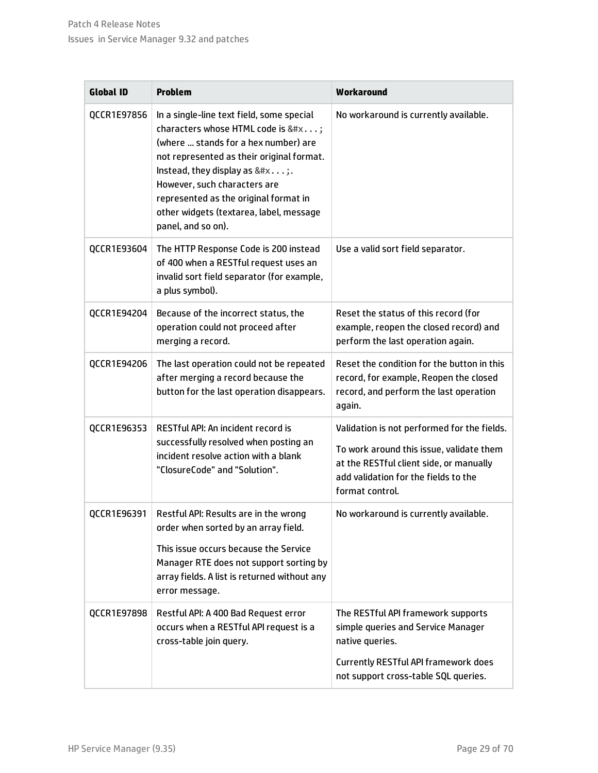| <b>Global ID</b> | <b>Problem</b>                                                                                                                                                                                                                                                                                                                                                                                                                                                                                                                                                                                                                                                                                                                                                                                                                                                                                                                                                                                                                                                                                                                                                                                                                                                                                                                                                                                                                                                                                                                                                                                                                                                                                                                                                                                                                                                                                                                                                                                                                                                                                                                                                                                                                                                                                                      | Workaround |
|------------------|---------------------------------------------------------------------------------------------------------------------------------------------------------------------------------------------------------------------------------------------------------------------------------------------------------------------------------------------------------------------------------------------------------------------------------------------------------------------------------------------------------------------------------------------------------------------------------------------------------------------------------------------------------------------------------------------------------------------------------------------------------------------------------------------------------------------------------------------------------------------------------------------------------------------------------------------------------------------------------------------------------------------------------------------------------------------------------------------------------------------------------------------------------------------------------------------------------------------------------------------------------------------------------------------------------------------------------------------------------------------------------------------------------------------------------------------------------------------------------------------------------------------------------------------------------------------------------------------------------------------------------------------------------------------------------------------------------------------------------------------------------------------------------------------------------------------------------------------------------------------------------------------------------------------------------------------------------------------------------------------------------------------------------------------------------------------------------------------------------------------------------------------------------------------------------------------------------------------------------------------------------------------------------------------------------------------|------------|
| QCCR1E97856      | In a single-line text field, some special<br>characters whose HTML code is &#x;<br>(where  stands for a hex number) are<br>not represented as their original format.<br>Instead, they display as $&#x;</math>.<br>However, such characters are<br>represented as the original format in<br>other widgets (textarea, label, message<br>panel, and so on).</td><td>No workaround is currently available.</td></tr><tr><td>QCCR1E93604</td><td>The HTTP Response Code is 200 instead<br>of 400 when a RESTful request uses an<br>invalid sort field separator (for example,<br>a plus symbol).</td><td>Use a valid sort field separator.</td></tr><tr><td>QCCR1E94204</td><td>Because of the incorrect status, the<br>operation could not proceed after<br>merging a record.</td><td>Reset the status of this record (for<br>example, reopen the closed record) and<br>perform the last operation again.</td></tr><tr><td>QCCR1E94206</td><td>The last operation could not be repeated<br>after merging a record because the<br>button for the last operation disappears.</td><td>Reset the condition for the button in this<br>record, for example, Reopen the closed<br>record, and perform the last operation<br>again.</td></tr><tr><td>QCCR1E96353</td><td>RESTful API: An incident record is<br>successfully resolved when posting an<br>incident resolve action with a blank<br>"ClosureCode" and "Solution".</td><td>Validation is not performed for the fields.<br>To work around this issue, validate them<br>at the RESTful client side, or manually<br>add validation for the fields to the<br>format control.</td></tr><tr><td>QCCR1E96391</td><td>Restful API: Results are in the wrong<br>order when sorted by an array field.<br>This issue occurs because the Service<br>Manager RTE does not support sorting by<br>array fields. A list is returned without any<br>error message.</td><td>No workaround is currently available.</td></tr><tr><td>QCCR1E97898</td><td>Restful API: A 400 Bad Request error<br>occurs when a RESTful API request is a<br>cross-table join query.</td><td>The RESTful API framework supports<br>simple queries and Service Manager<br>native queries.<br><b>Currently RESTful API framework does</b><br>not support cross-table SQL queries.</td></tr></tbody></table>$ |            |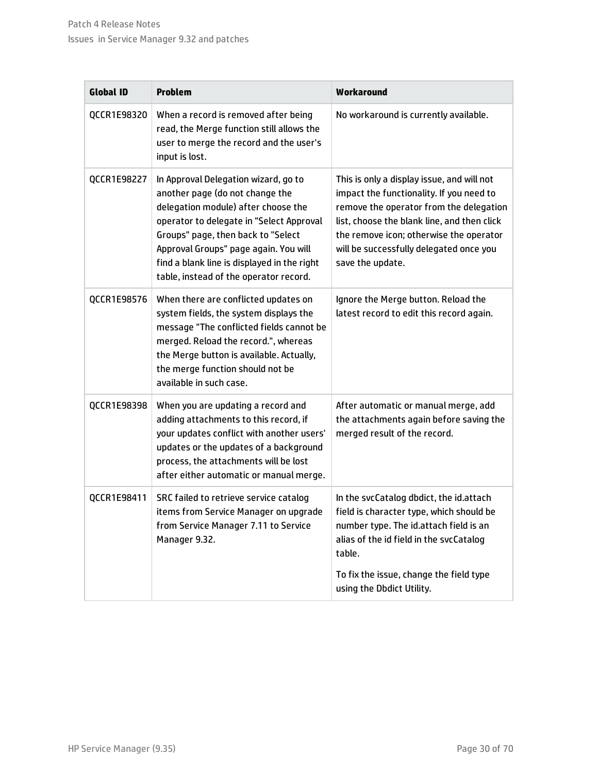| <b>Global ID</b> | <b>Problem</b>                                                                                                                                                                                                                                                                                                                     | Workaround                                                                                                                                                                                                                                                                                 |
|------------------|------------------------------------------------------------------------------------------------------------------------------------------------------------------------------------------------------------------------------------------------------------------------------------------------------------------------------------|--------------------------------------------------------------------------------------------------------------------------------------------------------------------------------------------------------------------------------------------------------------------------------------------|
| QCCR1E98320      | When a record is removed after being<br>read, the Merge function still allows the<br>user to merge the record and the user's<br>input is lost.                                                                                                                                                                                     | No workaround is currently available.                                                                                                                                                                                                                                                      |
| QCCR1E98227      | In Approval Delegation wizard, go to<br>another page (do not change the<br>delegation module) after choose the<br>operator to delegate in "Select Approval<br>Groups" page, then back to "Select<br>Approval Groups" page again. You will<br>find a blank line is displayed in the right<br>table, instead of the operator record. | This is only a display issue, and will not<br>impact the functionality. If you need to<br>remove the operator from the delegation<br>list, choose the blank line, and then click<br>the remove icon; otherwise the operator<br>will be successfully delegated once you<br>save the update. |
| QCCR1E98576      | When there are conflicted updates on<br>system fields, the system displays the<br>message "The conflicted fields cannot be<br>merged. Reload the record.", whereas<br>the Merge button is available. Actually,<br>the merge function should not be<br>available in such case.                                                      | Ignore the Merge button. Reload the<br>latest record to edit this record again.                                                                                                                                                                                                            |
| QCCR1E98398      | When you are updating a record and<br>adding attachments to this record, if<br>your updates conflict with another users'<br>updates or the updates of a background<br>process, the attachments will be lost<br>after either automatic or manual merge.                                                                             | After automatic or manual merge, add<br>the attachments again before saving the<br>merged result of the record.                                                                                                                                                                            |
| QCCR1E98411      | SRC failed to retrieve service catalog<br>items from Service Manager on upgrade<br>from Service Manager 7.11 to Service<br>Manager 9.32.                                                                                                                                                                                           | In the svcCatalog dbdict, the id.attach<br>field is character type, which should be<br>number type. The id.attach field is an<br>alias of the id field in the svcCatalog<br>table.<br>To fix the issue, change the field type<br>using the Dbdict Utility.                                 |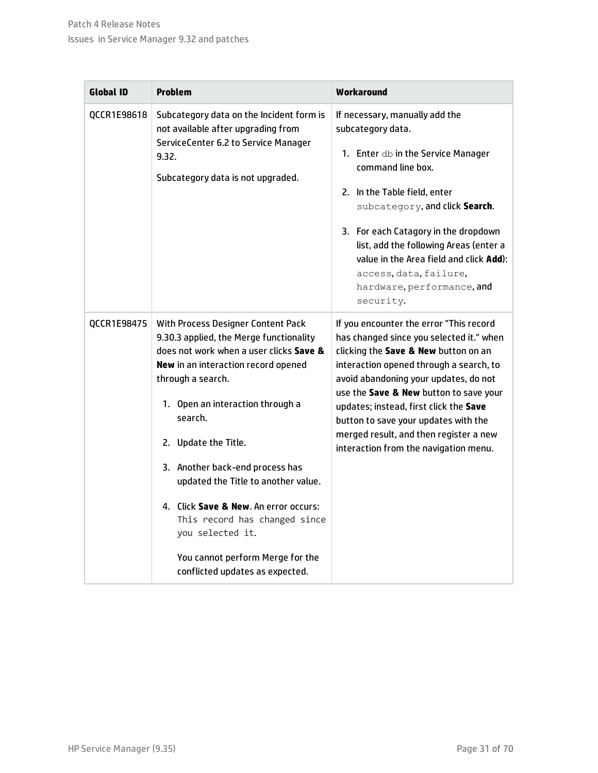| <b>Global ID</b> | <b>Problem</b>                                                                                                                                                                                                                                                                                                                                                                                                                                                                                             | Workaround                                                                                                                                                                                                                                                                                                                                                                                                                     |
|------------------|------------------------------------------------------------------------------------------------------------------------------------------------------------------------------------------------------------------------------------------------------------------------------------------------------------------------------------------------------------------------------------------------------------------------------------------------------------------------------------------------------------|--------------------------------------------------------------------------------------------------------------------------------------------------------------------------------------------------------------------------------------------------------------------------------------------------------------------------------------------------------------------------------------------------------------------------------|
| OCCR1E98618      | Subcategory data on the Incident form is<br>not available after upgrading from<br>ServiceCenter 6.2 to Service Manager<br>9.32.<br>Subcategory data is not upgraded.                                                                                                                                                                                                                                                                                                                                       | If necessary, manually add the<br>subcategory data.<br>1. Enter db in the Service Manager<br>command line box.<br>2. In the Table field, enter<br>subcategory, and click Search.<br>3. For each Catagory in the dropdown<br>list, add the following Areas (enter a<br>value in the Area field and click Add):<br>access, data, failure,<br>hardware, performance, and<br>security.                                             |
| QCCR1E98475      | With Process Designer Content Pack<br>9.30.3 applied, the Merge functionality<br>does not work when a user clicks Save &<br>New in an interaction record opened<br>through a search.<br>1. Open an interaction through a<br>search.<br>2. Update the Title.<br>3. Another back-end process has<br>updated the Title to another value.<br>4. Click Save & New. An error occurs:<br>This record has changed since<br>you selected it.<br>You cannot perform Merge for the<br>conflicted updates as expected. | If you encounter the error "This record<br>has changed since you selected it." when<br>clicking the Save & New button on an<br>interaction opened through a search, to<br>avoid abandoning your updates, do not<br>use the Save & New button to save your<br>updates; instead, first click the Save<br>button to save your updates with the<br>merged result, and then register a new<br>interaction from the navigation menu. |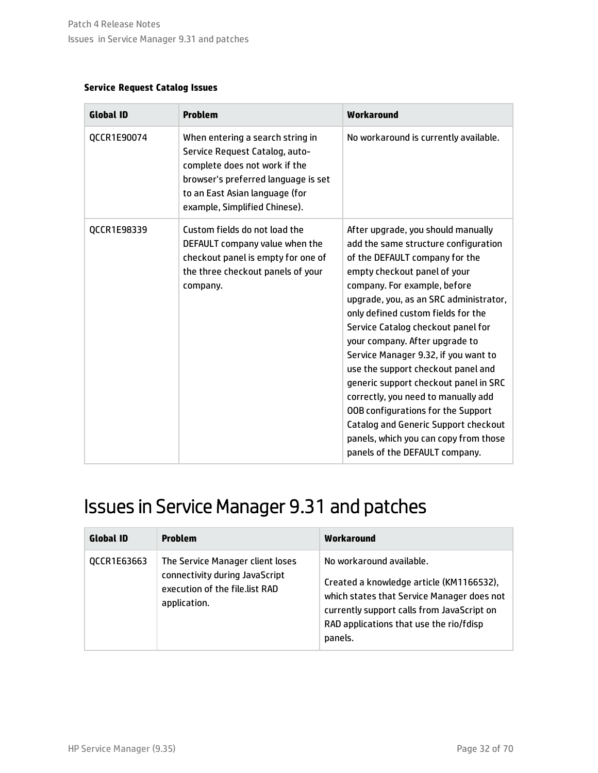### **Service Request Catalog Issues**

| <b>Global ID</b> | <b>Problem</b>                                                                                                                                                                                                | Workaround                                                                                                                                                                                                                                                                                                                                                                                                                                                                                                                                                                                                                                                  |
|------------------|---------------------------------------------------------------------------------------------------------------------------------------------------------------------------------------------------------------|-------------------------------------------------------------------------------------------------------------------------------------------------------------------------------------------------------------------------------------------------------------------------------------------------------------------------------------------------------------------------------------------------------------------------------------------------------------------------------------------------------------------------------------------------------------------------------------------------------------------------------------------------------------|
| QCCR1E90074      | When entering a search string in<br>Service Request Catalog, auto-<br>complete does not work if the<br>browser's preferred language is set<br>to an East Asian language (for<br>example, Simplified Chinese). | No workaround is currently available.                                                                                                                                                                                                                                                                                                                                                                                                                                                                                                                                                                                                                       |
| QCCR1E98339      | Custom fields do not load the<br>DEFAULT company value when the<br>checkout panel is empty for one of<br>the three checkout panels of your<br>company.                                                        | After upgrade, you should manually<br>add the same structure configuration<br>of the DEFAULT company for the<br>empty checkout panel of your<br>company. For example, before<br>upgrade, you, as an SRC administrator,<br>only defined custom fields for the<br>Service Catalog checkout panel for<br>your company. After upgrade to<br>Service Manager 9.32, if you want to<br>use the support checkout panel and<br>generic support checkout panel in SRC<br>correctly, you need to manually add<br>OOB configurations for the Support<br>Catalog and Generic Support checkout<br>panels, which you can copy from those<br>panels of the DEFAULT company. |

## <span id="page-31-0"></span>Issues in Service Manager 9.31 and patches

| <b>Global ID</b> | <b>Problem</b>                                                                                                       | Workaround                                                                                                                                                                                                             |
|------------------|----------------------------------------------------------------------------------------------------------------------|------------------------------------------------------------------------------------------------------------------------------------------------------------------------------------------------------------------------|
| QCCR1E63663      | The Service Manager client loses<br>connectivity during JavaScript<br>execution of the file.list RAD<br>application. | No workaround available.<br>Created a knowledge article (KM1166532),<br>which states that Service Manager does not<br>currently support calls from JavaScript on<br>RAD applications that use the rio/fdisp<br>panels. |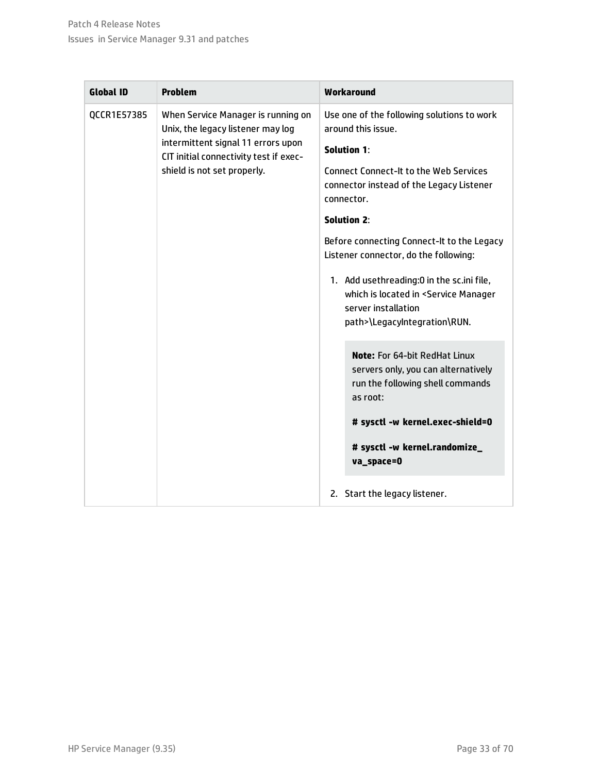| <b>Global ID</b> | <b>Problem</b>                                                               | Workaround                                                                                                                                                |
|------------------|------------------------------------------------------------------------------|-----------------------------------------------------------------------------------------------------------------------------------------------------------|
| QCCR1E57385      | When Service Manager is running on<br>Unix, the legacy listener may log      | Use one of the following solutions to work<br>around this issue.                                                                                          |
|                  | intermittent signal 11 errors upon<br>CIT initial connectivity test if exec- | <b>Solution 1:</b>                                                                                                                                        |
|                  | shield is not set properly.                                                  | <b>Connect Connect-It to the Web Services</b><br>connector instead of the Legacy Listener<br>connector.                                                   |
|                  |                                                                              | <b>Solution 2:</b>                                                                                                                                        |
|                  |                                                                              | Before connecting Connect-It to the Legacy<br>Listener connector, do the following:                                                                       |
|                  |                                                                              | 1. Add usethreading:0 in the sc.ini file,<br>which is located in <service manager<br="">server installation<br/>path&gt;\LegacyIntegration\RUN.</service> |
|                  |                                                                              | <b>Note:</b> For 64-bit RedHat Linux<br>servers only, you can alternatively<br>run the following shell commands<br>as root:                               |
|                  |                                                                              | # sysctl -w kernel.exec-shield=0                                                                                                                          |
|                  |                                                                              | # sysctl -w kernel.randomize_<br>va_space=0                                                                                                               |
|                  |                                                                              | 2. Start the legacy listener.                                                                                                                             |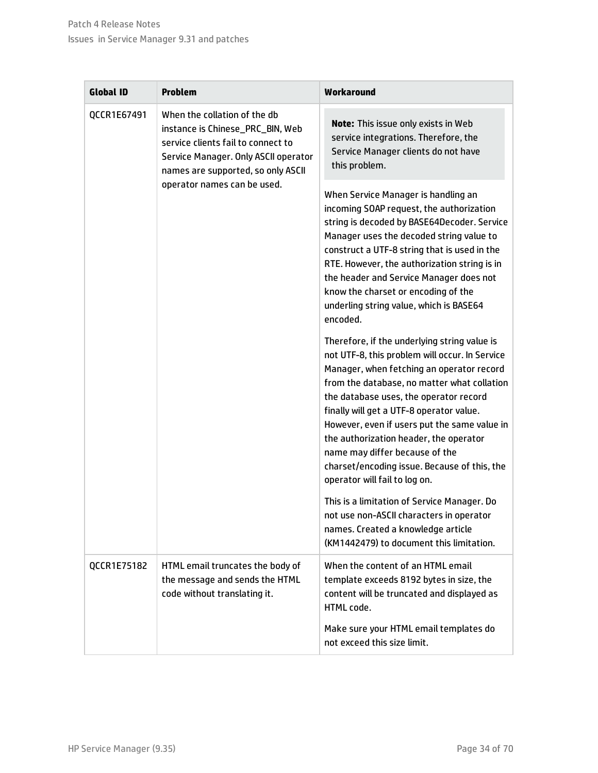| <b>Global ID</b>                            | <b>Problem</b>                                                                                                                                       | Workaround                                                                                                                                                                                                                                                                                                                                                                                                                                                                                    |
|---------------------------------------------|------------------------------------------------------------------------------------------------------------------------------------------------------|-----------------------------------------------------------------------------------------------------------------------------------------------------------------------------------------------------------------------------------------------------------------------------------------------------------------------------------------------------------------------------------------------------------------------------------------------------------------------------------------------|
| When the collation of the db<br>QCCR1E67491 | instance is Chinese_PRC_BIN, Web<br>service clients fail to connect to<br>Service Manager. Only ASCII operator<br>names are supported, so only ASCII | Note: This issue only exists in Web<br>service integrations. Therefore, the<br>Service Manager clients do not have<br>this problem.                                                                                                                                                                                                                                                                                                                                                           |
|                                             | operator names can be used.                                                                                                                          | When Service Manager is handling an<br>incoming SOAP request, the authorization<br>string is decoded by BASE64Decoder. Service<br>Manager uses the decoded string value to<br>construct a UTF-8 string that is used in the<br>RTE. However, the authorization string is in<br>the header and Service Manager does not<br>know the charset or encoding of the<br>underling string value, which is BASE64<br>encoded.                                                                           |
|                                             |                                                                                                                                                      | Therefore, if the underlying string value is<br>not UTF-8, this problem will occur. In Service<br>Manager, when fetching an operator record<br>from the database, no matter what collation<br>the database uses, the operator record<br>finally will get a UTF-8 operator value.<br>However, even if users put the same value in<br>the authorization header, the operator<br>name may differ because of the<br>charset/encoding issue. Because of this, the<br>operator will fail to log on. |
|                                             |                                                                                                                                                      | This is a limitation of Service Manager. Do<br>not use non-ASCII characters in operator<br>names. Created a knowledge article<br>(KM1442479) to document this limitation.                                                                                                                                                                                                                                                                                                                     |
| QCCR1E75182                                 | HTML email truncates the body of<br>the message and sends the HTML<br>code without translating it.                                                   | When the content of an HTML email<br>template exceeds 8192 bytes in size, the<br>content will be truncated and displayed as<br>HTML code.                                                                                                                                                                                                                                                                                                                                                     |
|                                             |                                                                                                                                                      | Make sure your HTML email templates do<br>not exceed this size limit.                                                                                                                                                                                                                                                                                                                                                                                                                         |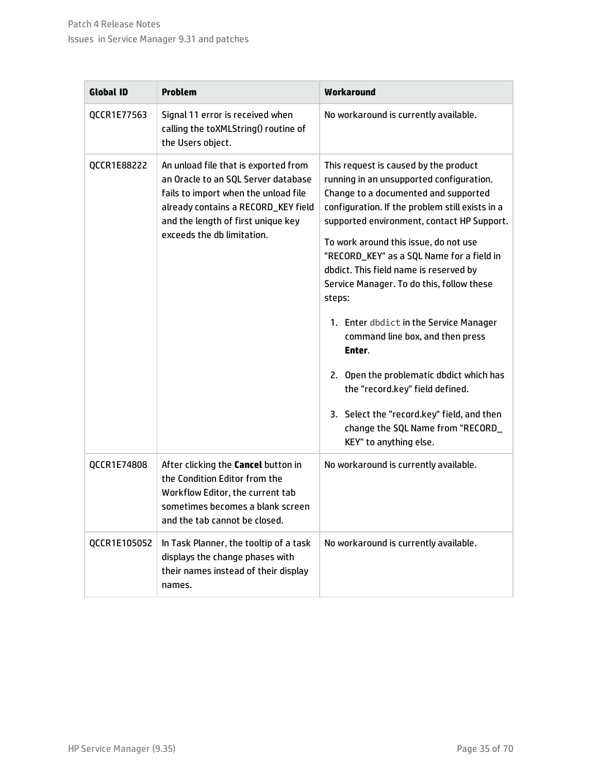| <b>Global ID</b> | <b>Problem</b>                                                                                                                                                                                                                 | Workaround                                                                                                                                                                                                                                                                                                                                                                                                                                                                                                                                                                                                                                                                                            |
|------------------|--------------------------------------------------------------------------------------------------------------------------------------------------------------------------------------------------------------------------------|-------------------------------------------------------------------------------------------------------------------------------------------------------------------------------------------------------------------------------------------------------------------------------------------------------------------------------------------------------------------------------------------------------------------------------------------------------------------------------------------------------------------------------------------------------------------------------------------------------------------------------------------------------------------------------------------------------|
| QCCR1E77563      | Signal 11 error is received when<br>calling the toXMLString() routine of<br>the Users object.                                                                                                                                  | No workaround is currently available.                                                                                                                                                                                                                                                                                                                                                                                                                                                                                                                                                                                                                                                                 |
| QCCR1E88222      | An unload file that is exported from<br>an Oracle to an SQL Server database<br>fails to import when the unload file<br>already contains a RECORD_KEY field<br>and the length of first unique key<br>exceeds the db limitation. | This request is caused by the product<br>running in an unsupported configuration.<br>Change to a documented and supported<br>configuration. If the problem still exists in a<br>supported environment, contact HP Support.<br>To work around this issue, do not use<br>"RECORD_KEY" as a SQL Name for a field in<br>dbdict. This field name is reserved by<br>Service Manager. To do this, follow these<br>steps:<br>1. Enter dbdict in the Service Manager<br>command line box, and then press<br>Enter.<br>2. Open the problematic dbdict which has<br>the "record.key" field defined.<br>3. Select the "record.key" field, and then<br>change the SQL Name from "RECORD_<br>KEY" to anything else. |
| QCCR1E74808      | After clicking the <b>Cancel</b> button in<br>the Condition Editor from the<br>Workflow Editor, the current tab<br>sometimes becomes a blank screen<br>and the tab cannot be closed.                                           | No workaround is currently available.                                                                                                                                                                                                                                                                                                                                                                                                                                                                                                                                                                                                                                                                 |
| QCCR1E105052     | In Task Planner, the tooltip of a task<br>displays the change phases with<br>their names instead of their display<br>names.                                                                                                    | No workaround is currently available.                                                                                                                                                                                                                                                                                                                                                                                                                                                                                                                                                                                                                                                                 |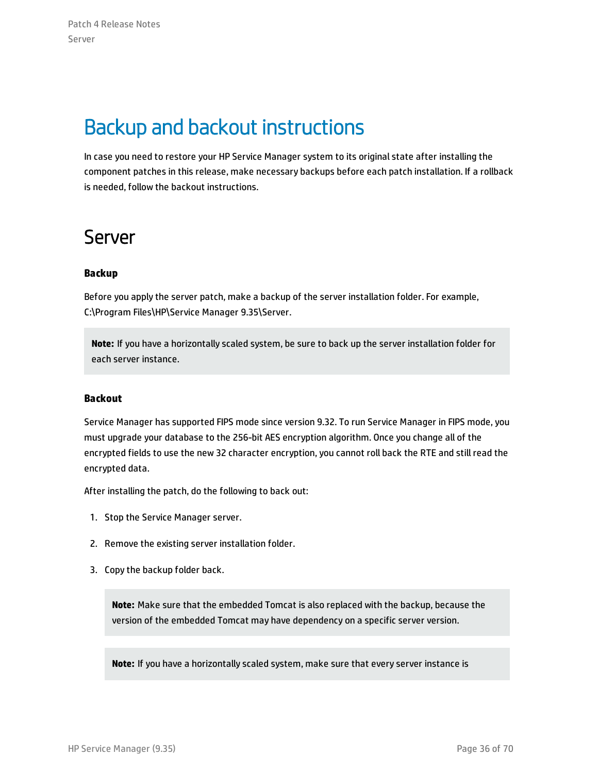## <span id="page-35-0"></span>Backup and backout instructions

In case you need to restore your HP Service Manager system to its original state after installing the component patches in this release, make necessary backups before each patch installation. If a rollback is needed, follow the backout instructions.

### <span id="page-35-1"></span>Server

### **Backup**

Before you apply the server patch, make a backup of the server installation folder. For example, C:\Program Files\HP\Service Manager 9.35\Server.

**Note:** If you have a horizontally scaled system, be sure to back up the server installation folder for each server instance.

### **Backout**

Service Manager has supported FIPS mode since version 9.32. To run Service Manager in FIPS mode, you must upgrade your database to the 256-bit AES encryption algorithm. Once you change all of the encrypted fields to use the new 32 character encryption, you cannot roll back the RTE and still read the encrypted data.

After installing the patch, do the following to back out:

- 1. Stop the Service Manager server.
- 2. Remove the existing server installation folder.
- 3. Copy the backup folder back.

**Note:** Make sure that the embedded Tomcat is also replaced with the backup, because the version of the embedded Tomcat may have dependency on a specific server version.

**Note:** If you have a horizontally scaled system, make sure that every server instance is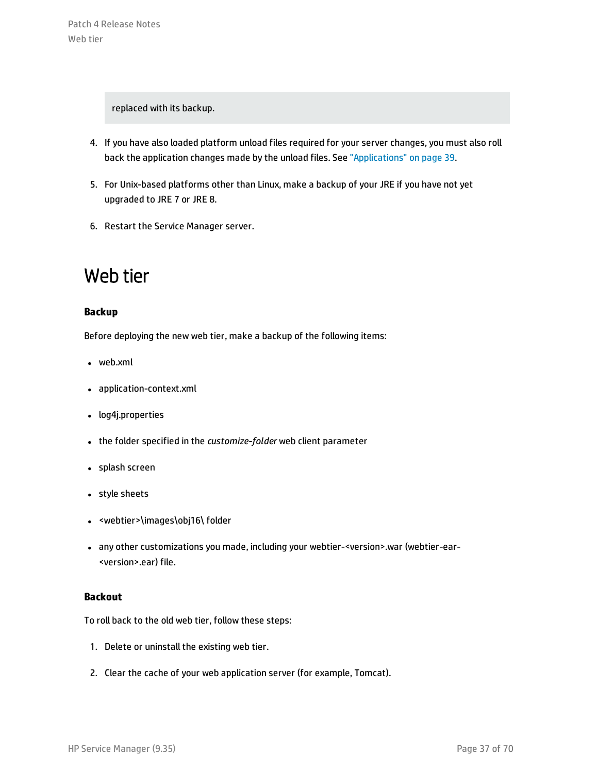replaced with its backup.

- 4. If you have also loaded platform unload files required for your server changes, you must also roll back the application changes made by the unload files. See ["Applications"](#page-38-0) on page 39.
- 5. For Unix-based platforms other than Linux, make a backup of your JRE if you have not yet upgraded to JRE 7 or JRE 8.
- <span id="page-36-0"></span>6. Restart the Service Manager server.

### Web tier

### **Backup**

Before deploying the new web tier, make a backup of the following items:

- $\bullet$  web.xml
- application-context.xml
- log4j.properties
- **.** the folder specified in the *customize-folder* web client parameter
- splash screen
- style sheets
- <webtier>\images\obj16\folder
- any other customizations you made, including your webtier-<version>.war (webtier-ear-<version>.ear) file.

### **Backout**

To roll back to the old web tier, follow these steps:

- 1. Delete or uninstall the existing web tier.
- 2. Clear the cache of your web application server (for example, Tomcat).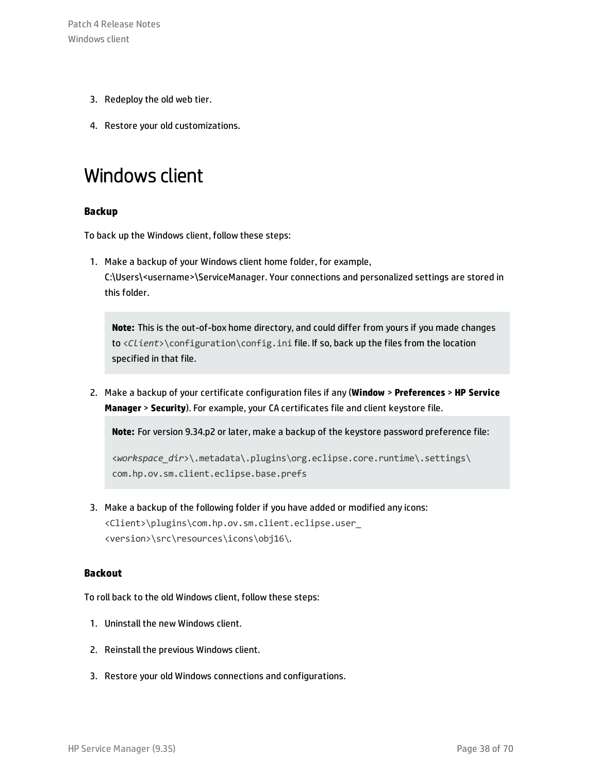- 3. Redeploy the old web tier.
- <span id="page-37-0"></span>4. Restore your old customizations.

### Windows client

### **Backup**

To back up the Windows client, follow these steps:

1. Make a backup of your Windows client home folder, for example, C:\Users\<username>\ServiceManager. Your connections and personalized settings are stored in this folder.

**Note:** This is the out-of-box home directory, and could differ from yours if you made changes to <*Client*>\configuration\config.ini file. If so, back up the files from the location specified in that file.

2. Make a backup of your certificate configuration files if any (**Window** > **Preferences** > **HP Service Manager** > **Security**). For example, your CA certificates file and client keystore file.

**Note:** For version 9.34.p2 or later, make a backup of the keystore password preference file:

```
<workspace_dir>\.metadata\.plugins\org.eclipse.core.runtime\.settings\
com.hp.ov.sm.client.eclipse.base.prefs
```
3. Make a backup of the following folder if you have added or modified any icons: <Client>\plugins\com.hp.ov.sm.client.eclipse.user\_ <version>\src\resources\icons\obj16\.

### **Backout**

To roll back to the old Windows client, follow these steps:

- 1. Uninstall the new Windows client.
- 2. Reinstall the previous Windows client.
- 3. Restore your old Windows connections and configurations.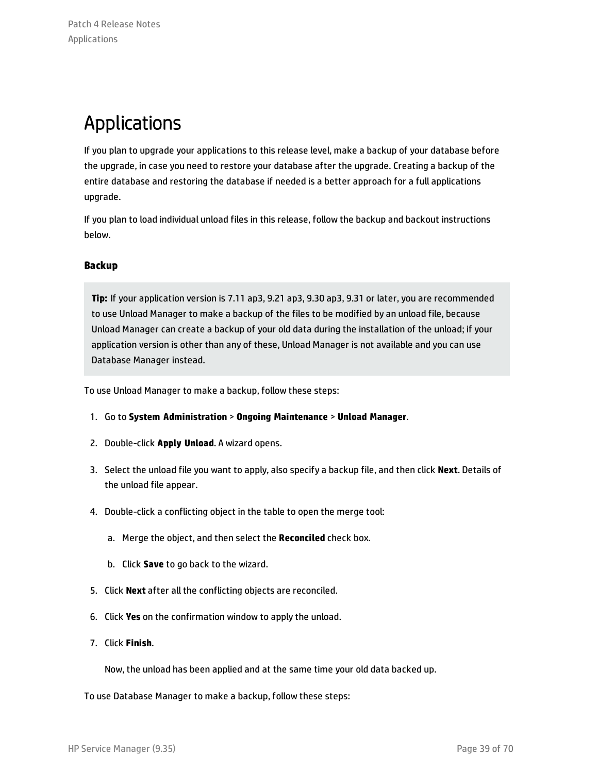## <span id="page-38-0"></span>Applications

If you plan to upgrade your applications to this release level, make a backup of your database before the upgrade, in case you need to restore your database after the upgrade. Creating a backup of the entire database and restoring the database if needed is a better approach for a full applications upgrade.

If you plan to load individual unload files in this release, follow the backup and backout instructions below.

### **Backup**

**Tip:** If your application version is 7.11 ap3, 9.21 ap3, 9.30 ap3, 9.31 or later, you are recommended to use Unload Manager to make a backup of the files to be modified by an unload file, because Unload Manager can create a backup of your old data during the installation of the unload; if your application version is other than any of these, Unload Manager is not available and you can use Database Manager instead.

To use Unload Manager to make a backup, follow these steps:

- 1. Go to **System Administration** > **Ongoing Maintenance** > **Unload Manager**.
- 2. Double-click **Apply Unload**. A wizard opens.
- 3. Select the unload file you want to apply, also specify a backup file, and then click **Next**. Details of the unload file appear.
- 4. Double-click a conflicting object in the table to open the merge tool:
	- a. Merge the object, and then select the **Reconciled** check box.
	- b. Click **Save** to go back to the wizard.
- 5. Click **Next** after all the conflicting objects are reconciled.
- 6. Click **Yes** on the confirmation window to apply the unload.
- 7. Click **Finish**.

Now, the unload has been applied and at the same time your old data backed up.

To use Database Manager to make a backup, follow these steps: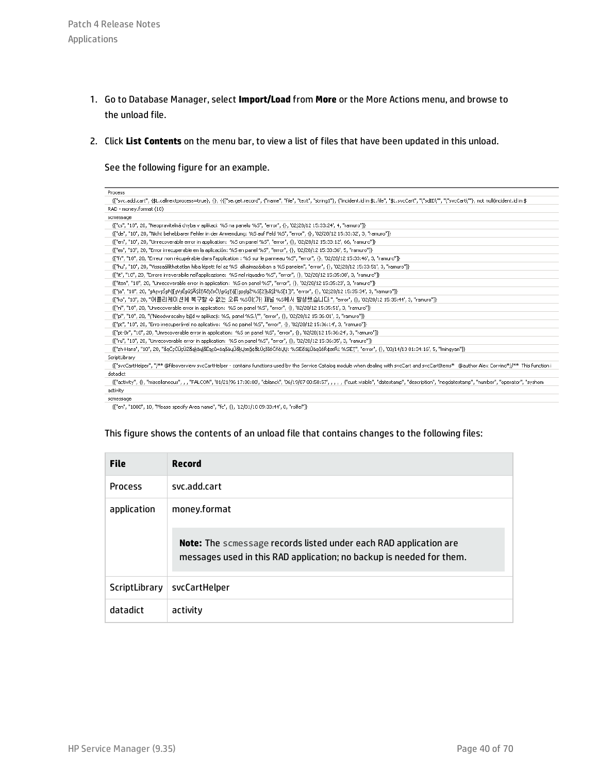- 1. Go to Database Manager, select **Import/Load** from **More** or the More Actions menu, and browse to the unload file.
- 2. Click **List Contents** on the menu bar, to view a list of files that have been updated in this unload.

See the following figure for an example.

| Process                                                                                                                                                                                                      |
|--------------------------------------------------------------------------------------------------------------------------------------------------------------------------------------------------------------|
| {["svc.add.cart", {\$L.callnextprocess=true}, {}, {{["se.get.record", {"name", "file", "text", "string1"}, {"incident.id in \$L.file", "\$L.svcCart", "\"sdID\"", "\"svcCart\""}, not null(incident.id in \$ |
| RAD - money.format (10)                                                                                                                                                                                      |
| scmessage                                                                                                                                                                                                    |
| {["cs", "10", 20, "Neopravitelná chyba v aplikaci: %S na panelu %S", "error", {}, '02/28/12 15:33:24', 4, "ramuro"]}                                                                                         |
| {["de", "10", 20, "Nicht behebbarer Fehler in der Anwendung: %S auf Feld %S", "error", {}, '02/28/12 15:33:32', 3, "ramuro"]}                                                                                |
| {["en", "10", 20, "Unrecoverable error in application: %S on panel %S", "error", {}, '02/28/12 15:33:12', 66, "ramuro"]}                                                                                     |
| {["es", "10", 20, "Error irrecuperable en la aplicación: %5 en panel %5", "error", {}, '02/28/12 15:33:36', 5, "ramuro"]}                                                                                    |
| {["fr", "10", 20, "Erreur non récupérable dans l'application : %S sur le panneau %S", "error", {}, '02/28/12 15:33:46', 3, "ramuro"]}                                                                        |
| {["hu", "10", 20, "Visszaállíthatatlan hiba lépett fel az %5  alkalmazásban a %5 panelen", "error", {}, '02/28/12 15:33:51', 3, "ramuro"]}                                                                   |
| {["it", "10", 20, "Errore irreversibile nell'applicazione: %5 nel riquadro %5", "error", {}, '02/28/12 15:35:08', 3, "ramuro"]}                                                                              |
| {["iten", "10", 20, "Unrecoverable error in application: %5 on panel %5", "error", {}, '02/28/12 15:35:23', 3, "ramuro"]}                                                                                    |
| {["ia", "10", 20, "sAsvsŠsPǎ[sVsĔsűSÂSÌTñčtčsČ\\sGsTǎ[(spslsŽ%S[2]kãSÌ%S[1])", "error", {}, '02/28/12 15:35:34', 3, "ramuro"]}                                                                               |
| {["ko", "10", 20, "머플리케이션에 복구할 수 없는 오류 %S이(가) 패널 %S에서 발생했습니다.", "error", {}, '02/28/12 15:35:44', 3, "ramuro"]}                                                                                              |
| {["nl", "10", 20, "Unrecoverable error in application: %S on panel %S", "error", {}, '02/28/12 15:35:51', 3, "ramuro"]}                                                                                      |
| {["pl", "10", 20, "\"Nieodwracalny bil̯d w aplikacji: %S, panel %S.\"", "error", {}, '02/28/12 15:36:01', 3, "ramuro"]}                                                                                      |
| {["pt", "10", 20, "Erro irrecuperável no aplicativo: %S no painel %S", "error", {}, '02/28/12 15:36:14', 3, "ramuro"]}                                                                                       |
| {["pt-Br", "10", 20, "Unrecoverable error in application: %5 on panel %5", "error", {}, '02/28/12 15:36:24', 3, "ramuro"]}                                                                                   |
| {["ru", "10", 20, "Unrecoverable error in application: %5 on panel %5", "error", {}, '02/28/12 15:36:35', 3, "ramuro"]}                                                                                      |
| {["zh-Hans", "10", 20, "åąČçČŪçŪŽåąķäų]åĔąçů×äąăäųŮåkŲæğ¢åŁŮçšİéČňèŲŲ: %SīÈĕäĻŮäąůéŘ¢æŘ¿ %SīÈŢ", "error", {}, '03/14/13 01:34:16', 5, " mingyan"]}-                                                          |
| ScriptLibrary                                                                                                                                                                                                |
| {["svcCartHelper", "/** @fileoverview svcCartHelper - contains functions used by the Service Catalog module when dealing with svcCart and svcCartItems* @author Alex Corvino*//** This function i            |
| datadict                                                                                                                                                                                                     |
| {["activity", {}, "miscellaneous", , , "FALCON", '01/21/96 17:00:00', "cblanck", '06/19/07 00:58:57', , , , {"cust.visible", "datestamp", "description", "neqdatestamp", "number", "operator", "syshom       |
| activity                                                                                                                                                                                                     |
| <b>SCMASSAGA</b>                                                                                                                                                                                             |

{["en", "1000", 10, "Please specify Area name", "fc", {}, '12/01/10 09:33:44', 0, "rolfel"]}

#### This figure shows the contents of an unload file that contains changes to the following files:

| <b>File</b>    | <b>Record</b>                                                                                                                                    |
|----------------|--------------------------------------------------------------------------------------------------------------------------------------------------|
| <b>Process</b> | svc.add.cart                                                                                                                                     |
| application    | money.format                                                                                                                                     |
|                | <b>Note:</b> The scmessage records listed under each RAD application are<br>messages used in this RAD application; no backup is needed for them. |
| ScriptLibrary  | svcCartHelper                                                                                                                                    |
| datadict       | activity                                                                                                                                         |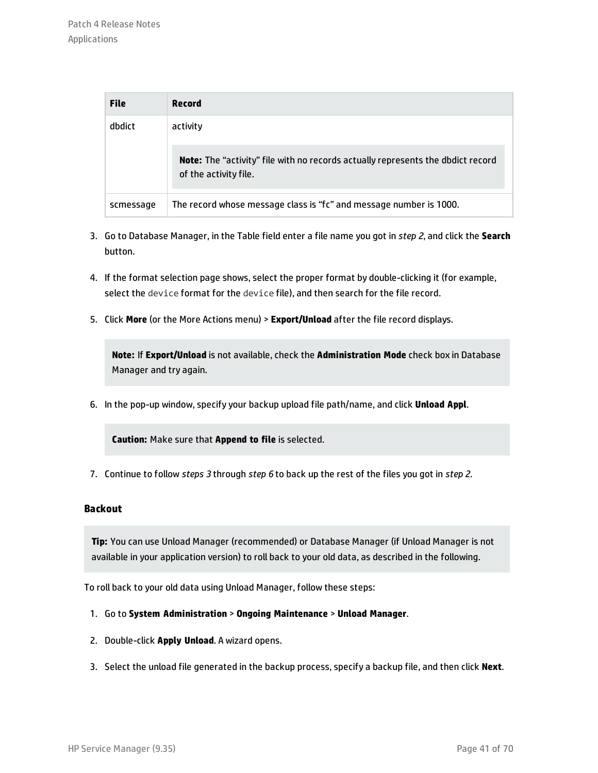| <b>File</b> | Record                                                                                                          |
|-------------|-----------------------------------------------------------------------------------------------------------------|
| dbdict      | activity                                                                                                        |
|             | <b>Note:</b> The "activity" file with no records actually represents the dbdict record<br>of the activity file. |
| scmessage   | The record whose message class is "fc" and message number is 1000.                                              |

- 3. Go to Database Manager, in the Table field enter a file name you got in *step 2*, and click the **Search** button.
- 4. If the format selection page shows, select the proper format by double-clicking it (for example, select the device format for the device file), and then search for the file record.
- 5. Click **More** (or the More Actions menu) > **Export/Unload** after the file record displays.

**Note:** If **Export/Unload** is not available, check the **Administration Mode** check box in Database Manager and try again.

6. In the pop-up window, specify your backup upload file path/name, and click **Unload Appl**.

**Caution:** Make sure that **Append to file** is selected.

7. Continue to follow *steps 3* through *step 6* to back up the rest of the files you got in *step 2*.

#### **Backout**

**Tip:** You can use Unload Manager (recommended) or Database Manager (if Unload Manager is not available in your application version) to roll back to your old data, as described in the following.

To roll back to your old data using Unload Manager, follow these steps:

- 1. Go to **System Administration** > **Ongoing Maintenance** > **Unload Manager**.
- 2. Double-click **Apply Unload**. A wizard opens.
- 3. Select the unload file generated in the backup process, specify a backup file, and then click **Next**.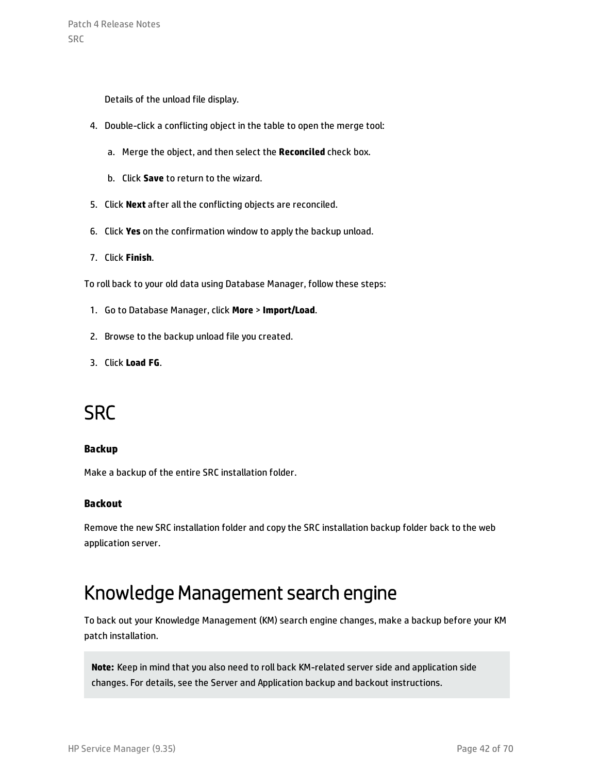Patch 4 Release Notes SRC

Details of the unload file display.

- 4. Double-click a conflicting object in the table to open the merge tool:
	- a. Merge the object, and then select the **Reconciled** check box.
	- b. Click **Save** to return to the wizard.
- 5. Click **Next** after all the conflicting objects are reconciled.
- 6. Click **Yes** on the confirmation window to apply the backup unload.
- 7. Click **Finish**.

To roll back to your old data using Database Manager, follow these steps:

- 1. Go to Database Manager, click **More** > **Import/Load**.
- 2. Browse to the backup unload file you created.
- <span id="page-41-0"></span>3. Click **Load FG**.

### **SRC**

#### **Backup**

Make a backup of the entire SRC installation folder.

#### **Backout**

<span id="page-41-1"></span>Remove the new SRC installation folder and copy the SRC installation backup folder back to the web application server.

### Knowledge Management search engine

To back out your Knowledge Management (KM) search engine changes, make a backup before your KM patch installation.

**Note:** Keep in mind that you also need to roll back KM-related server side and application side changes. For details, see the Server and Application backup and backout instructions.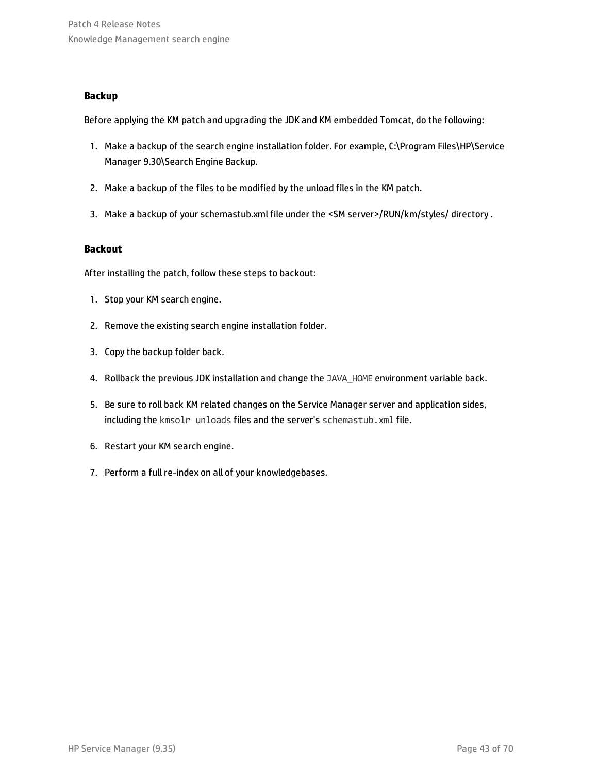### **Backup**

Before applying the KM patch and upgrading the JDK and KM embedded Tomcat, do the following:

- 1. Make a backup of the search engine installation folder. For example, C:\Program Files\HP\Service Manager 9.30\Search Engine Backup.
- 2. Make a backup of the files to be modified by the unload files in the KM patch.
- 3. Make a backup of your schemastub.xml file under the <SM server>/RUN/km/styles/ directory .

### **Backout**

After installing the patch, follow these steps to backout:

- 1. Stop your KM search engine.
- 2. Remove the existing search engine installation folder.
- 3. Copy the backup folder back.
- 4. Rollback the previous JDK installation and change the JAVA HOME environment variable back.
- 5. Be sure to roll back KM related changes on the Service Manager server and application sides, including the kmsolr unloads files and the server's schemastub. xml file.
- 6. Restart your KM search engine.
- 7. Perform a full re-index on all of your knowledgebases.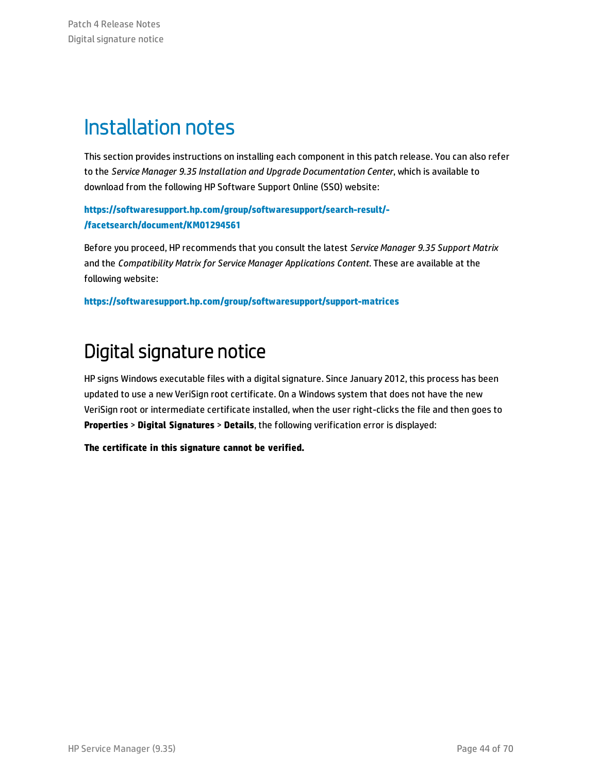## <span id="page-43-0"></span>Installation notes

This section provides instructions on installing each component in this patch release. You can also refer to the *Service Manager 9.35 Installation and Upgrade Documentation Center*, which is available to download from the following HP Software Support Online (SSO) website:

**[https://softwaresupport.hp.com/group/softwaresupport/search-result/-](https://softwaresupport.hp.com/group/softwaresupport/search-result/-/facetsearch/document/KM01294561) [/facetsearch/document/KM01294561](https://softwaresupport.hp.com/group/softwaresupport/search-result/-/facetsearch/document/KM01294561)**

Before you proceed, HP recommends that you consult the latest *Service Manager 9.35 Support Matrix* and the *Compatibility Matrix for Service Manager Applications Content*. These are available at the following website:

<span id="page-43-1"></span>**<https://softwaresupport.hp.com/group/softwaresupport/support-matrices>**

## Digital signature notice

HP signs Windows executable files with a digital signature. Since January 2012, this process has been updated to use a new VeriSign root certificate. On a Windows system that does not have the new VeriSign root or intermediate certificate installed, when the user right-clicks the file and then goes to **Properties** > **Digital Signatures** > **Details**, the following verification error is displayed:

**The certificate in this signature cannot be verified.**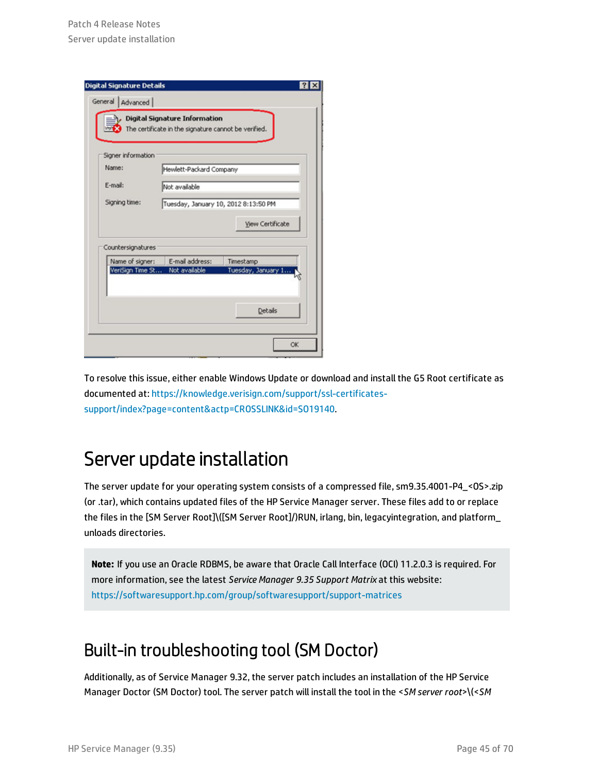| <b>Digital Signature Details</b> |                                                                                              |                         |
|----------------------------------|----------------------------------------------------------------------------------------------|-------------------------|
| General  <br>Advanced            |                                                                                              |                         |
| 冡                                | <b>Digital Signature Information</b><br>The certificate in the signature cannot be verified. |                         |
| Signer information               |                                                                                              |                         |
| Name:                            | Hewlett-Packard Company                                                                      |                         |
| E-mail:                          | Not available                                                                                |                         |
| Signing time:                    | Tuesday, January 10, 2012 8:13:50 PM                                                         |                         |
|                                  |                                                                                              | <b>View Certificate</b> |
| Countersignatures                |                                                                                              |                         |
| Name of signer:                  | E-mail address:                                                                              | Timestamp               |
| VeriSign Time St                 | Not available                                                                                | Tuesday, January 1      |
|                                  |                                                                                              | <b>Details</b>          |
|                                  |                                                                                              | OK                      |

To resolve this issue, either enable Windows Update or download and install the G5 Root certificate as documented at: [https://knowledge.verisign.com/support/ssl-certificates](https://knowledge.verisign.com/support/ssl-certificates-support/index?page=content&actp=CROSSLINK&id=SO19140)[support/index?page=content&actp=CROSSLINK&id=SO19140.](https://knowledge.verisign.com/support/ssl-certificates-support/index?page=content&actp=CROSSLINK&id=SO19140)

### <span id="page-44-0"></span>Server update installation

The server update for your operating system consists of a compressed file, sm9.35.4001-P4\_<0S>.zip (or .tar), which contains updated files of the HP Service Manager server. These files add to or replace the files in the [SM Server Root]\([SM Server Root]/)RUN, irlang, bin, legacyintegration, and platform\_ unloads directories.

**Note:** If you use an Oracle RDBMS, be aware that Oracle Call Interface (OCI) 11.2.0.3 is required. For more information, see the latest *Service Manager 9.35 Support Matrix* at this website: <https://softwaresupport.hp.com/group/softwaresupport/support-matrices>

### Built-in troubleshooting tool (SM Doctor)

Additionally, as of Service Manager 9.32, the server patch includes an installation of the HP Service Manager Doctor (SM Doctor) tool. The server patch will install the tool in the <*SM server root*>\(<*SM*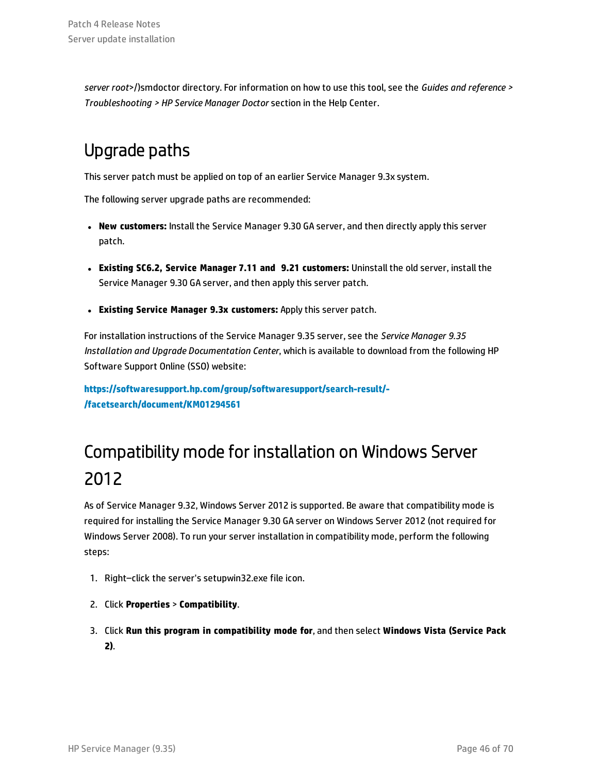*server root*>/)smdoctor directory. For information on how to use this tool, see the *Guides and reference > Troubleshooting > HP Service Manager Doctor* section in the Help Center.

### Upgrade paths

This server patch must be applied on top of an earlier Service Manager 9.3x system.

The following server upgrade paths are recommended:

- **New customers:** Install the Service Manager 9.30 GA server, and then directly apply this server patch.
- <sup>l</sup> **Existing SC6.2, Service Manager 7.11 and 9.21 customers:** Uninstall the old server, install the Service Manager 9.30 GA server, and then apply this server patch.
- <sup>l</sup> **Existing Service Manager 9.3x customers:** Apply this server patch.

For installation instructions of the Service Manager 9.35 server, see the *Service Manager 9.35 Installation and Upgrade Documentation Center*, which is available to download from the following HP Software Support Online (SSO) website:

**[https://softwaresupport.hp.com/group/softwaresupport/search-result/-](https://softwaresupport.hp.com/group/softwaresupport/search-result/-/facetsearch/document/KM01294561) [/facetsearch/document/KM01294561](https://softwaresupport.hp.com/group/softwaresupport/search-result/-/facetsearch/document/KM01294561)**

## Compatibility mode for installation on Windows Server 2012

As of Service Manager 9.32, Windows Server 2012 is supported. Be aware that compatibility mode is required for installing the Service Manager 9.30 GA server on Windows Server 2012 (not required for Windows Server 2008). To run your server installation in compatibility mode, perform the following steps:

- 1. Right–click the server's setupwin32.exe file icon.
- 2. Click **Properties** > **Compatibility**.
- 3. Click **Run this program in compatibility mode for**, and then select **Windows Vista (Service Pack 2)**.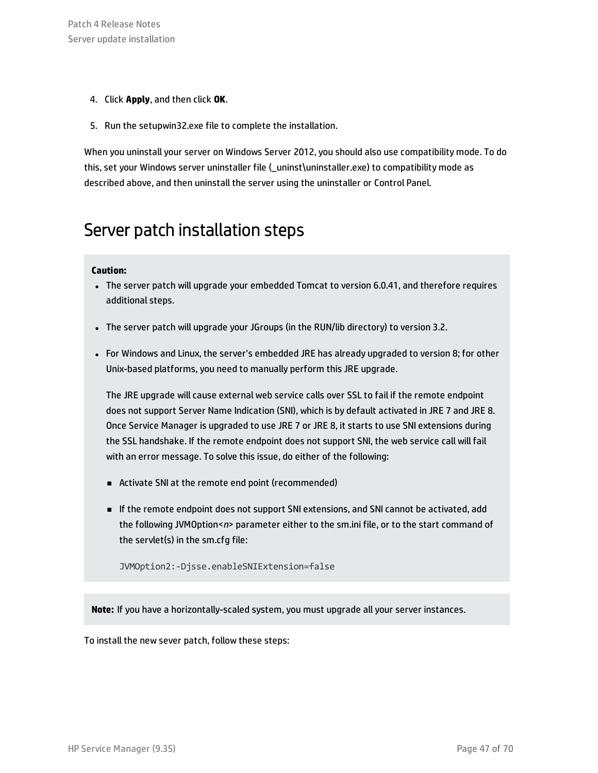- 4. Click **Apply**, and then click **OK**.
- 5. Run the setupwin32.exe file to complete the installation.

When you uninstall your server on Windows Server 2012, you should also use compatibility mode. To do this, set your Windows server uninstaller file ( \_uninst\uninstaller.exe) to compatibility mode as described above, and then uninstall the server using the uninstaller or Control Panel.

### Server patch installation steps

#### **Caution:**

- The server patch will upgrade your embedded Tomcat to version 6.0.41, and therefore requires additional steps.
- The server patch will upgrade your JGroups (in the RUN/lib directory) to version 3.2.
- For Windows and Linux, the server's embedded JRE has already upgraded to version 8; for other Unix-based platforms, you need to manually perform this JRE upgrade.

The JRE upgrade will cause external web service calls over SSL to fail if the remote endpoint does not support Server Name Indication (SNI), which is by default activated in JRE 7 and JRE 8. Once Service Manager is upgraded to use JRE 7 or JRE 8, it starts to use SNI extensions during the SSL handshake. If the remote endpoint does not support SNI, the web service call will fail with an error message. To solve this issue, do either of the following:

- <sup>n</sup> Activate SNI at the remote end point (recommended)
- <sup>n</sup> If the remote endpoint does not support SNI extensions, and SNI cannot be activated, add the following JVMOption<*n*> parameter either to the sm.ini file, or to the start command of the servlet(s) in the sm.cfg file:

JVMOption2:-Djsse.enableSNIExtension=false

**Note:** If you have a horizontally-scaled system, you must upgrade all your server instances.

To install the new sever patch, follow these steps: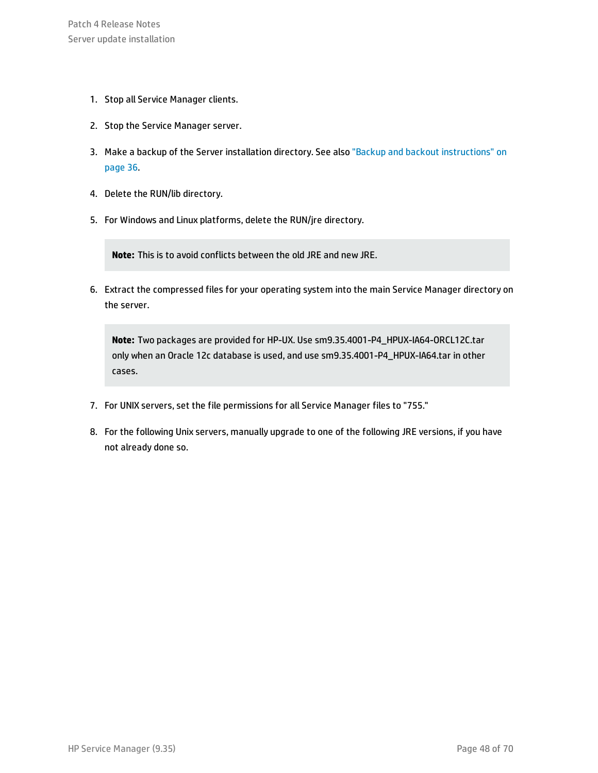- 1. Stop all Service Manager clients.
- 2. Stop the Service Manager server.
- 3. Make a backup of the Server installation directory. See also "Backup and backout [instructions"](#page-35-0) on [page 36](#page-35-0).
- 4. Delete the RUN/lib directory.
- 5. For Windows and Linux platforms, delete the RUN/jre directory.

**Note:** This is to avoid conflicts between the old JRE and new JRE.

6. Extract the compressed files for your operating system into the main Service Manager directory on the server.

**Note:** Two packages are provided for HP-UX. Use sm9.35.4001-P4\_HPUX-IA64-ORCL12C.tar only when an Oracle 12c database is used, and use sm9.35.4001-P4\_HPUX-IA64.tar in other cases.

- 7. For UNIX servers, set the file permissions for all Service Manager files to "755."
- 8. For the following Unix servers, manually upgrade to one of the following JRE versions, if you have not already done so.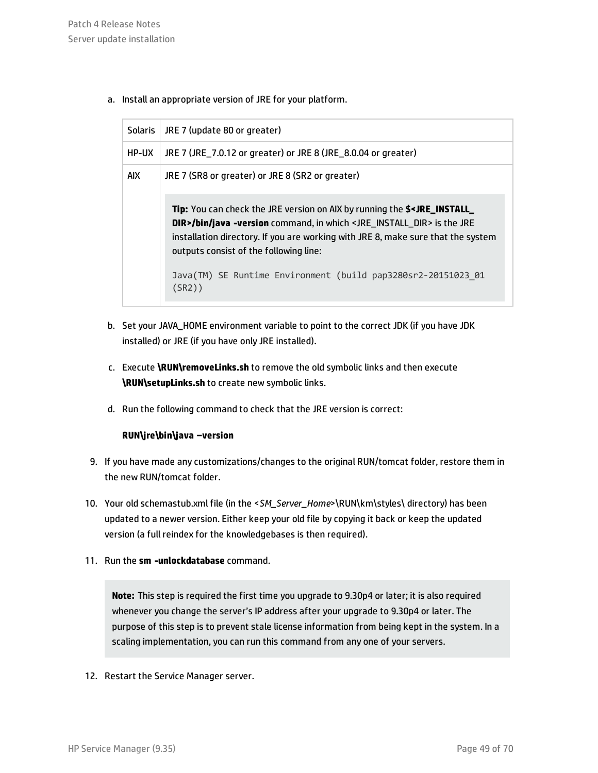a. Install an appropriate version of JRE for your platform.

| Solaris | JRE 7 (update 80 or greater)                                                                                                                                                                                                                                                                                                                                                                                  |
|---------|---------------------------------------------------------------------------------------------------------------------------------------------------------------------------------------------------------------------------------------------------------------------------------------------------------------------------------------------------------------------------------------------------------------|
| HP-UX   | JRE 7 (JRE_7.0.12 or greater) or JRE 8 (JRE_8.0.04 or greater)                                                                                                                                                                                                                                                                                                                                                |
| AIX     | JRE 7 (SR8 or greater) or JRE 8 (SR2 or greater)                                                                                                                                                                                                                                                                                                                                                              |
|         | <b>Tip:</b> You can check the JRE version on AIX by running the \$ <jre_install_<br>DIR&gt;/bin/java -version command, in which <jre_install_dir> is the JRE<br/>installation directory. If you are working with JRE 8, make sure that the system<br/>outputs consist of the following line:<br/>Java(TM) SE Runtime Environment (build pap3280sr2-20151023_01<br/>(SR2))</jre_install_dir></jre_install_<br> |
|         |                                                                                                                                                                                                                                                                                                                                                                                                               |

- b. Set your JAVA\_HOME environment variable to point to the correct JDK (if you have JDK installed) or JRE (if you have only JRE installed).
- c. Execute **\RUN\removeLinks.sh** to remove the old symbolic links and then execute **\RUN\setupLinks.sh** to create new symbolic links.
- d. Run the following command to check that the JRE version is correct:

### **RUN\jre\bin\java –version**

- 9. If you have made any customizations/changes to the original RUN/tomcat folder, restore them in the new RUN/tomcat folder.
- 10. Your old schemastub.xml file (in the <*SM\_Server\_Home*>\RUN\km\styles\ directory) has been updated to a newer version. Either keep your old file by copying it back or keep the updated version (a full reindex for the knowledgebases is then required).
- 11. Run the **sm -unlockdatabase** command.

**Note:** This step is required the first time you upgrade to 9.30p4 or later; it is also required whenever you change the server's IP address after your upgrade to 9.30p4 or later. The purpose of this step is to prevent stale license information from being kept in the system. In a scaling implementation, you can run this command from any one of your servers.

12. Restart the Service Manager server.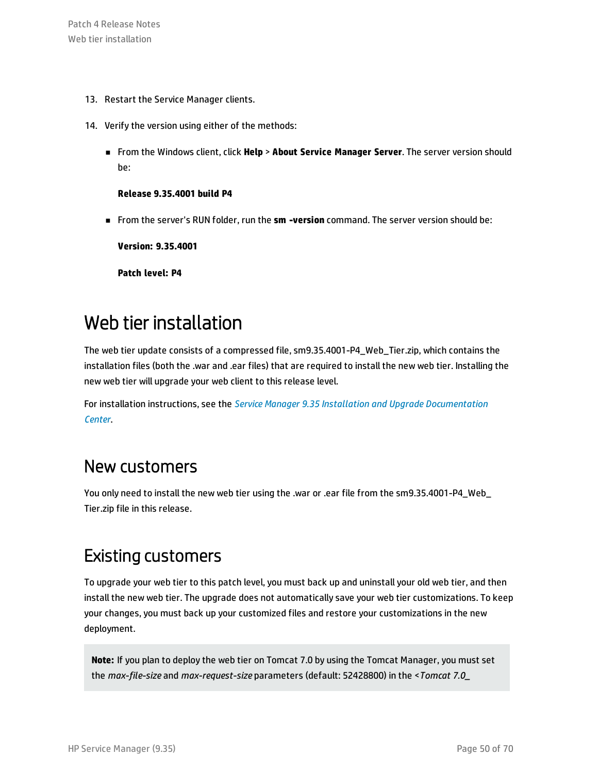- 13. Restart the Service Manager clients.
- 14. Verify the version using either of the methods:
	- <sup>n</sup> From the Windows client, click **Help** > **About Service Manager Server**. The server version should be:

#### **Release 9.35.4001 build P4**

<sup>n</sup> From the server's RUN folder, run the **sm -version** command. The server version should be:

**Version: 9.35.4001**

**Patch level: P4**

### <span id="page-49-0"></span>Web tier installation

The web tier update consists of a compressed file, sm9.35.4001-P4\_Web\_Tier.zip, which contains the installation files (both the .war and .ear files) that are required to install the new web tier. Installing the new web tier will upgrade your web client to this release level.

For installation instructions, see the *Service Manager 9.35 Installation and Upgrade [Documentation](https://softwaresupport.hp.com/group/softwaresupport/search-result/-/facetsearch/document/KM01294561) [Center](https://softwaresupport.hp.com/group/softwaresupport/search-result/-/facetsearch/document/KM01294561)*.

### New customers

You only need to install the new web tier using the .war or .ear file from the sm9.35.4001-P4\_Web\_ Tier.zip file in this release.

### Existing customers

To upgrade your web tier to this patch level, you must back up and uninstall your old web tier, and then install the new web tier. The upgrade does not automatically save your web tier customizations. To keep your changes, you must back up your customized files and restore your customizations in the new deployment.

**Note:** If you plan to deploy the web tier on Tomcat 7.0 by using the Tomcat Manager, you must set the *max-file-size* and *max-request-size* parameters (default: 52428800) in the <*Tomcat 7.0\_*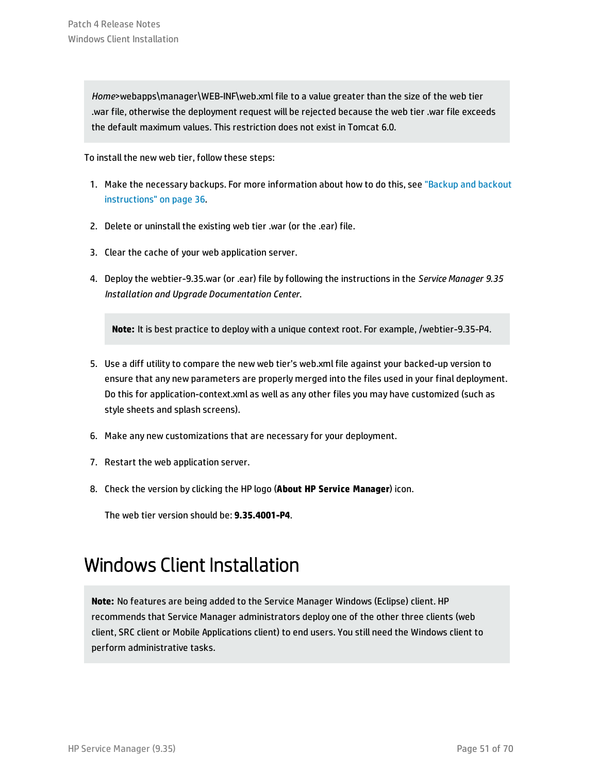*Home*>webapps\manager\WEB-INF\web.xml file to a value greater than the size of the web tier .war file, otherwise the deployment request will be rejected because the web tier .war file exceeds the default maximum values. This restriction does not exist in Tomcat 6.0.

To install the new web tier, follow these steps:

- 1. Make the necessary backups. For more information about how to do this, see ["Backup](#page-35-0) and backout [instructions"](#page-35-0) on page 36.
- 2. Delete or uninstall the existing web tier .war (or the .ear) file.
- 3. Clear the cache of your web application server.
- 4. Deploy the webtier-9.35.war (or .ear) file by following the instructions in the *Service Manager 9.35 Installation and Upgrade Documentation Center*.

**Note:** It is best practice to deploy with a unique context root. For example, /webtier-9.35-P4.

- 5. Use a diff utility to compare the new web tier's web.xml file against your backed-up version to ensure that any new parameters are properly merged into the files used in your final deployment. Do this for application-context.xml as well as any other files you may have customized (such as style sheets and splash screens).
- 6. Make any new customizations that are necessary for your deployment.
- 7. Restart the web application server.
- 8. Check the version by clicking the HP logo (**About HP Service Manager**) icon.

<span id="page-50-0"></span>The web tier version should be: **9.35.4001-P4**.

### Windows Client Installation

**Note:** No features are being added to the Service Manager Windows (Eclipse) client. HP recommends that Service Manager administrators deploy one of the other three clients (web client, SRC client or Mobile Applications client) to end users. You still need the Windows client to perform administrative tasks.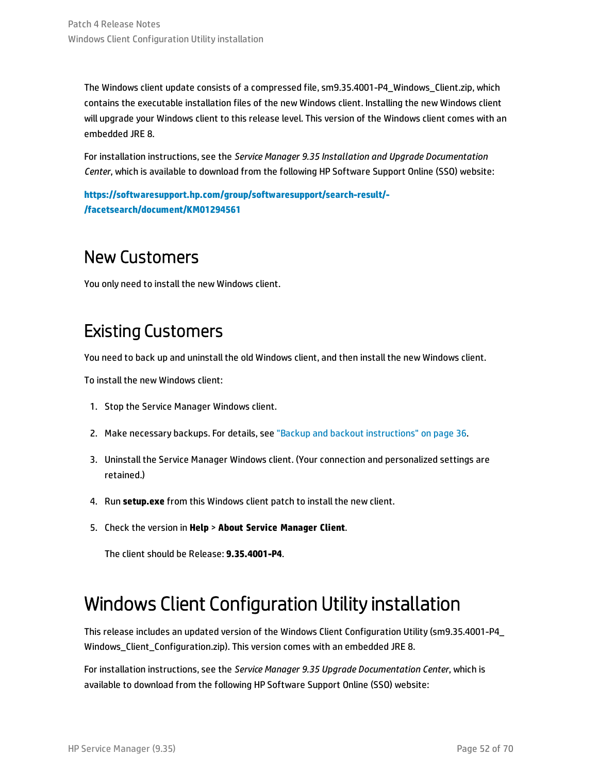The Windows client update consists of a compressed file, sm9.35.4001-P4\_Windows\_Client.zip, which contains the executable installation files of the new Windows client. Installing the new Windows client will upgrade your Windows client to this release level. This version of the Windows client comes with an embedded JRE 8.

For installation instructions, see the *Service Manager 9.35 Installation and Upgrade Documentation Center*, which is available to download from the following HP Software Support Online (SSO) website:

**[https://softwaresupport.hp.com/group/softwaresupport/search-result/-](https://softwaresupport.hp.com/group/softwaresupport/search-result/-/facetsearch/document/KM01294561) [/facetsearch/document/KM01294561](https://softwaresupport.hp.com/group/softwaresupport/search-result/-/facetsearch/document/KM01294561)**

### New Customers

You only need to install the new Windows client.

### Existing Customers

You need to back up and uninstall the old Windows client, and then install the new Windows client.

To install the new Windows client:

- 1. Stop the Service Manager Windows client.
- 2. Make necessary backups. For details, see "Backup and backout [instructions"](#page-35-0) on page 36.
- 3. Uninstall the Service Manager Windows client. (Your connection and personalized settings are retained.)
- 4. Run **setup.exe** from this Windows client patch to install the new client.
- 5. Check the version in **Help** > **About Service Manager Client**.

<span id="page-51-0"></span>The client should be Release: **9.35.4001-P4**.

### Windows Client Configuration Utility installation

This release includes an updated version of the Windows Client Configuration Utility (sm9.35.4001-P4\_ Windows Client Configuration.zip). This version comes with an embedded JRE 8.

For installation instructions, see the *Service Manager 9.35 Upgrade Documentation Center*, which is available to download from the following HP Software Support Online (SSO) website: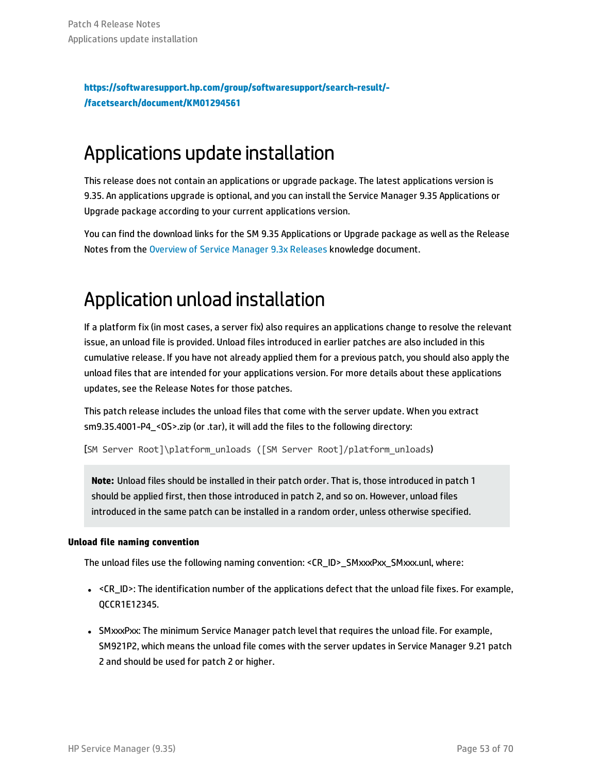**[https://softwaresupport.hp.com/group/softwaresupport/search-result/-](https://softwaresupport.hp.com/group/softwaresupport/search-result/-/facetsearch/document/KM01294561) [/facetsearch/document/KM01294561](https://softwaresupport.hp.com/group/softwaresupport/search-result/-/facetsearch/document/KM01294561)**

### <span id="page-52-0"></span>Applications update installation

This release does not contain an applications or upgrade package. The latest applications version is 9.35. An applications upgrade is optional, and you can install the Service Manager 9.35 Applications or Upgrade package according to your current applications version.

You can find the download links for the SM 9.35 Applications or Upgrade package as well as the Release Notes from the [Overview](https://softwaresupport.hp.com/group/softwaresupport/search-result/-/facetsearch/document/KM00705452) of Service Manager 9.3x Releases knowledge document.

## <span id="page-52-1"></span>Application unload installation

If a platform fix (in most cases, a server fix) also requires an applications change to resolve the relevant issue, an unload file is provided. Unload files introduced in earlier patches are also included in this cumulative release. If you have not already applied them for a previous patch, you should also apply the unload files that are intended for your applications version. For more details about these applications updates, see the Release Notes for those patches.

This patch release includes the unload files that come with the server update. When you extract sm9.35.4001-P4\_<OS>.zip (or .tar), it will add the files to the following directory:

[SM Server Root]\platform\_unloads ([SM Server Root]/platform\_unloads)

**Note:** Unload files should be installed in their patch order. That is, those introduced in patch 1 should be applied first, then those introduced in patch 2, and so on. However, unload files introduced in the same patch can be installed in a random order, unless otherwise specified.

### **Unload file naming convention**

The unload files use the following naming convention: <CR\_ID>\_SMxxxPxx\_SMxxx.unl, where:

- <CR\_ID>: The identification number of the applications defect that the unload file fixes. For example, QCCR1E12345.
- SMxxxPxx: The minimum Service Manager patch level that requires the unload file. For example, SM921P2, which means the unload file comes with the server updates in Service Manager 9.21 patch 2 and should be used for patch 2 or higher.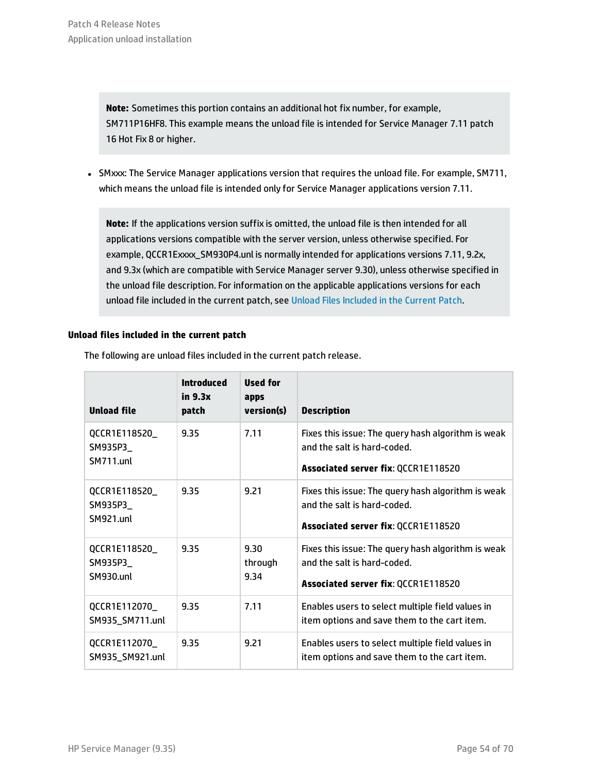**Note:** Sometimes this portion contains an additional hot fix number, for example, SM711P16HF8. This example means the unload file is intended for Service Manager 7.11 patch 16 Hot Fix 8 or higher.

• SMxxx: The Service Manager applications version that requires the unload file. For example, SM711, which means the unload file is intended only for Service Manager applications version 7.11.

**Note:** If the applications version suffix is omitted, the unload file is then intended for all applications versions compatible with the server version, unless otherwise specified. For example, QCCR1Exxxx\_SM930P4.unl is normally intended for applications versions 7.11, 9.2x, and 9.3x (which are compatible with Service Manager server 9.30), unless otherwise specified in the unload file description. For information on the applicable applications versions for each unload file included in the current patch, see Unload Files [Included](#page-53-0) in the Current Patch.

#### <span id="page-53-0"></span>**Unload files included in the current patch**

| <b>Unload file</b>                            | <b>Introduced</b><br>in 9.3x<br>patch | Used for<br>apps<br>version(s) | <b>Description</b>                                                                                                              |
|-----------------------------------------------|---------------------------------------|--------------------------------|---------------------------------------------------------------------------------------------------------------------------------|
| QCCR1E118520_<br>SM935P3_<br><b>SM711.unl</b> | 9.35                                  | 7.11                           | Fixes this issue: The query hash algorithm is weak<br>and the salt is hard-coded.<br>Associated server fix: QCCR1E118520        |
| QCCR1E118520_<br>SM935P3_<br>SM921.unl        | 9.35                                  | 9.21                           | Fixes this issue: The query hash algorithm is weak<br>and the salt is hard-coded.<br>Associated server fix: QCCR1E118520        |
| QCCR1E118520_<br>SM935P3_<br><b>SM930.unl</b> | 9.35                                  | 9.30<br>through<br>9.34        | Fixes this issue: The query hash algorithm is weak<br>and the salt is hard-coded.<br><b>Associated server fix: QCCR1E118520</b> |
| QCCR1E112070_<br>SM935_SM711.unl              | 9.35                                  | 7.11                           | Enables users to select multiple field values in<br>item options and save them to the cart item.                                |
| QCCR1E112070_<br>SM935_SM921.unl              | 9.35                                  | 9.21                           | Enables users to select multiple field values in<br>item options and save them to the cart item.                                |

The following are unload files included in the current patch release.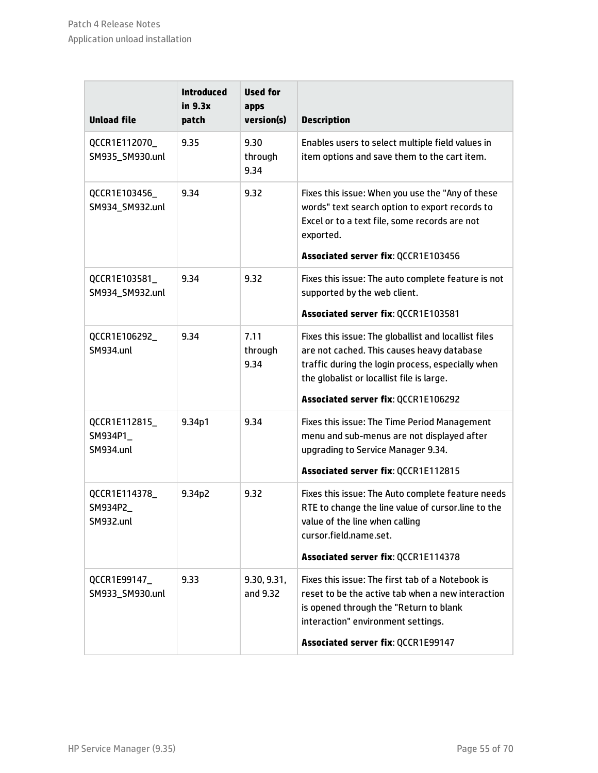| <b>Unload file</b>                            | <b>Introduced</b><br>in 9.3x<br>patch | <b>Used for</b><br>apps<br>version(s) | <b>Description</b>                                                                                                                                                                                                                          |
|-----------------------------------------------|---------------------------------------|---------------------------------------|---------------------------------------------------------------------------------------------------------------------------------------------------------------------------------------------------------------------------------------------|
| QCCR1E112070_<br>SM935_SM930.unl              | 9.35                                  | 9.30<br>through<br>9.34               | Enables users to select multiple field values in<br>item options and save them to the cart item.                                                                                                                                            |
| QCCR1E103456<br>SM934_SM932.unl               | 9.34                                  | 9.32                                  | Fixes this issue: When you use the "Any of these<br>words" text search option to export records to<br>Excel or to a text file, some records are not<br>exported.                                                                            |
|                                               |                                       |                                       | Associated server fix: QCCR1E103456                                                                                                                                                                                                         |
| QCCR1E103581_<br>SM934_SM932.unl              | 9.34                                  | 9.32                                  | Fixes this issue: The auto complete feature is not<br>supported by the web client.                                                                                                                                                          |
|                                               |                                       |                                       | Associated server fix: QCCR1E103581                                                                                                                                                                                                         |
| QCCR1E106292_<br><b>SM934.unl</b>             | 9.34                                  | 7.11<br>through<br>9.34               | Fixes this issue: The globallist and locallist files<br>are not cached. This causes heavy database<br>traffic during the login process, especially when<br>the globalist or locallist file is large.<br>Associated server fix: QCCR1E106292 |
| QCCR1E112815_<br>SM934P1_<br><b>SM934.unl</b> | 9.34p1                                | 9.34                                  | Fixes this issue: The Time Period Management<br>menu and sub-menus are not displayed after<br>upgrading to Service Manager 9.34.<br>Associated server fix: QCCR1E112815                                                                     |
| QCCR1E114378_<br>SM934P2_<br>SM932.unl        | 9.34p2                                | 9.32                                  | Fixes this issue: The Auto complete feature needs<br>RTE to change the line value of cursor.line to the<br>value of the line when calling<br>cursor.field.name.set.<br>Associated server fix: QCCR1E114378                                  |
|                                               |                                       |                                       |                                                                                                                                                                                                                                             |
| QCCR1E99147_<br>SM933_SM930.unl               | 9.33                                  | 9.30, 9.31,<br>and 9.32               | Fixes this issue: The first tab of a Notebook is<br>reset to be the active tab when a new interaction<br>is opened through the "Return to blank<br>interaction" environment settings.                                                       |
|                                               |                                       |                                       | Associated server fix: QCCR1E99147                                                                                                                                                                                                          |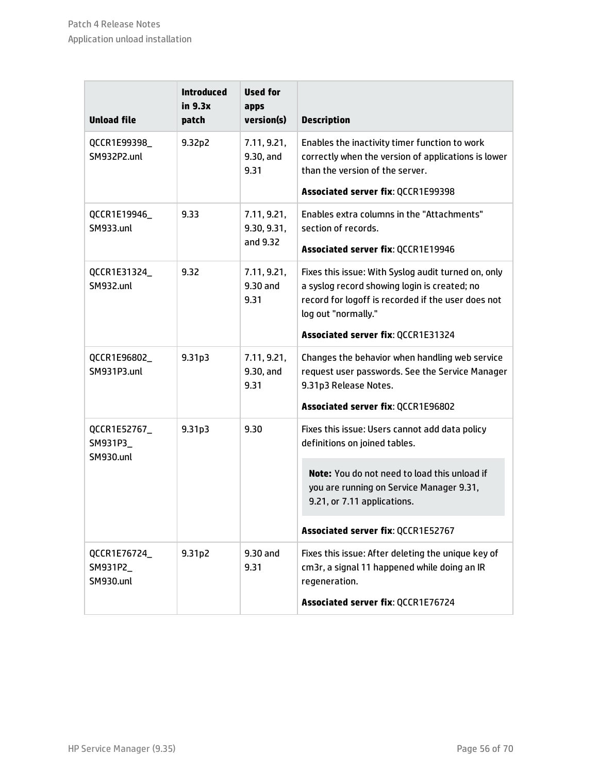| <b>Unload file</b>                                     | <b>Introduced</b><br>in 9.3x<br>patch | <b>Used for</b><br>apps<br>version(s)  | <b>Description</b>                                                                                                                                                                                                     |
|--------------------------------------------------------|---------------------------------------|----------------------------------------|------------------------------------------------------------------------------------------------------------------------------------------------------------------------------------------------------------------------|
| QCCR1E99398_<br>SM932P2.unl                            | 9.32p2                                | 7.11, 9.21,<br>9.30, and<br>9.31       | Enables the inactivity timer function to work<br>correctly when the version of applications is lower<br>than the version of the server.<br>Associated server fix: QCCR1E99398                                          |
| QCCR1E19946_<br><b>SM933.unl</b>                       | 9.33                                  | 7.11, 9.21,<br>9.30, 9.31,<br>and 9.32 | Enables extra columns in the "Attachments"<br>section of records.<br>Associated server fix: QCCR1E19946                                                                                                                |
| QCCR1E31324_<br><b>SM932.unl</b>                       | 9.32                                  | 7.11, 9.21,<br>9.30 and<br>9.31        | Fixes this issue: With Syslog audit turned on, only<br>a syslog record showing login is created; no<br>record for logoff is recorded if the user does not<br>log out "normally."<br>Associated server fix: QCCR1E31324 |
|                                                        |                                       |                                        |                                                                                                                                                                                                                        |
| QCCR1E96802_<br>SM931P3.unl                            | 9.31 <sub>p3</sub>                    | 7.11, 9.21,<br>9.30, and<br>9.31       | Changes the behavior when handling web service<br>request user passwords. See the Service Manager<br>9.31p3 Release Notes.                                                                                             |
|                                                        |                                       |                                        | Associated server fix: QCCR1E96802                                                                                                                                                                                     |
| 9.31p3<br>QCCR1E52767_<br>SM931P3_<br><b>SM930.unl</b> |                                       | 9.30                                   | Fixes this issue: Users cannot add data policy<br>definitions on joined tables.                                                                                                                                        |
|                                                        |                                       |                                        | Note: You do not need to load this unload if<br>you are running on Service Manager 9.31,<br>9.21, or 7.11 applications.                                                                                                |
|                                                        |                                       |                                        | Associated server fix: QCCR1E52767                                                                                                                                                                                     |
| QCCR1E76724_<br>SM931P2_<br><b>SM930.unl</b>           | 9.31p2                                | 9.30 and<br>9.31                       | Fixes this issue: After deleting the unique key of<br>cm3r, a signal 11 happened while doing an IR<br>regeneration.                                                                                                    |
|                                                        |                                       |                                        | Associated server fix: QCCR1E76724                                                                                                                                                                                     |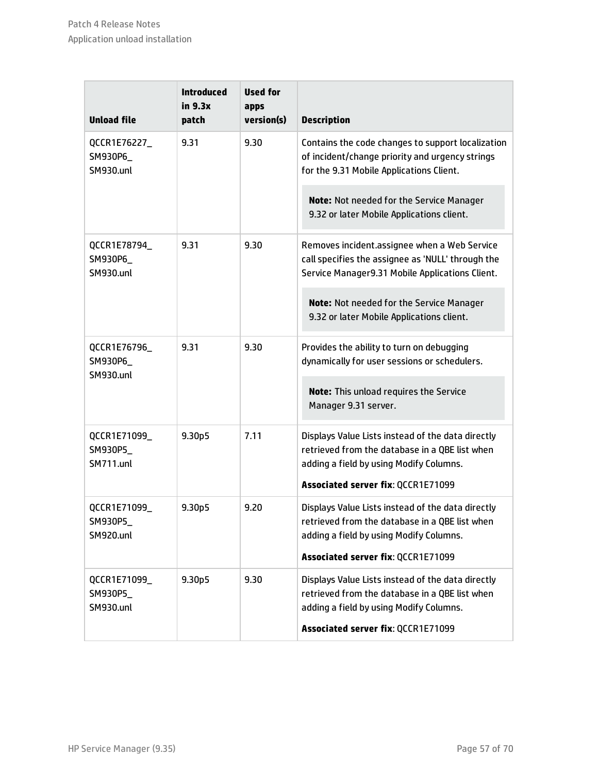| <b>Unload file</b>                           | <b>Introduced</b><br>in 9.3x<br>patch | <b>Used for</b><br>apps<br>version(s) | <b>Description</b>                                                                                                                                   |
|----------------------------------------------|---------------------------------------|---------------------------------------|------------------------------------------------------------------------------------------------------------------------------------------------------|
| QCCR1E76227_<br>SM930P6_<br><b>SM930.unl</b> | 9.31                                  | 9.30                                  | Contains the code changes to support localization<br>of incident/change priority and urgency strings<br>for the 9.31 Mobile Applications Client.     |
|                                              |                                       |                                       | Note: Not needed for the Service Manager<br>9.32 or later Mobile Applications client.                                                                |
| QCCR1E78794_<br>SM930P6_<br><b>SM930.unl</b> | 9.31                                  | 9.30                                  | Removes incident.assignee when a Web Service<br>call specifies the assignee as 'NULL' through the<br>Service Manager9.31 Mobile Applications Client. |
|                                              |                                       |                                       | Note: Not needed for the Service Manager<br>9.32 or later Mobile Applications client.                                                                |
| QCCR1E76796_<br>SM930P6_<br><b>SM930.unl</b> | 9.31                                  | 9.30                                  | Provides the ability to turn on debugging<br>dynamically for user sessions or schedulers.                                                            |
|                                              |                                       |                                       | Note: This unload requires the Service<br>Manager 9.31 server.                                                                                       |
| QCCR1E71099_<br>SM930P5_<br><b>SM711.unl</b> | 9.30p5                                | 7.11                                  | Displays Value Lists instead of the data directly<br>retrieved from the database in a QBE list when<br>adding a field by using Modify Columns.       |
|                                              |                                       |                                       | Associated server fix: QCCR1E71099                                                                                                                   |
| QCCR1E71099_<br>SM930P5_<br>SM920.unl        | 9.30p5                                | 9.20                                  | Displays Value Lists instead of the data directly<br>retrieved from the database in a QBE list when<br>adding a field by using Modify Columns.       |
|                                              |                                       |                                       | Associated server fix: QCCR1E71099                                                                                                                   |
| QCCR1E71099_<br>SM930P5_<br><b>SM930.unl</b> | 9.30p5                                | 9.30                                  | Displays Value Lists instead of the data directly<br>retrieved from the database in a QBE list when<br>adding a field by using Modify Columns.       |
|                                              |                                       |                                       | Associated server fix: QCCR1E71099                                                                                                                   |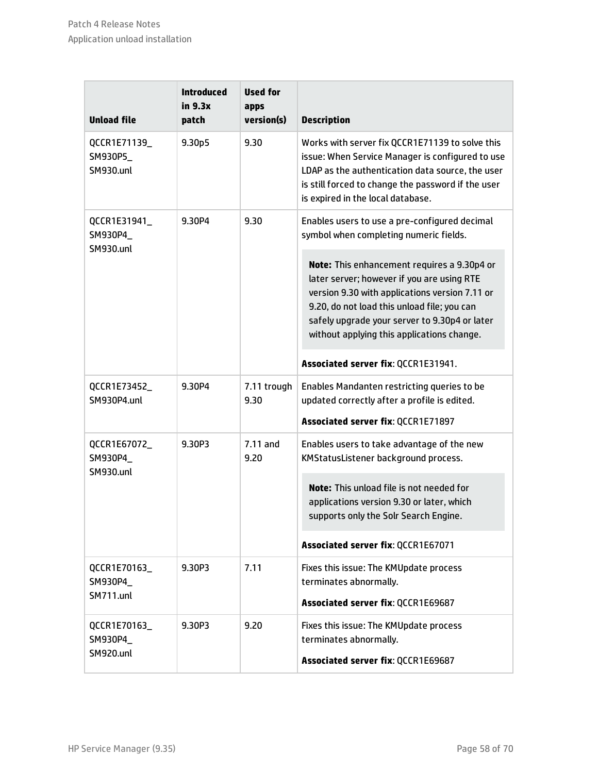| <b>Unload file</b>                           | <b>Introduced</b><br>in 9.3x<br>patch | <b>Used for</b><br>apps<br>version(s) | <b>Description</b>                                                                                                                                                                                                                                                                        |
|----------------------------------------------|---------------------------------------|---------------------------------------|-------------------------------------------------------------------------------------------------------------------------------------------------------------------------------------------------------------------------------------------------------------------------------------------|
| QCCR1E71139_<br>SM930P5_<br><b>SM930.unl</b> | 9.30 <sub>p5</sub>                    | 9.30                                  | Works with server fix QCCR1E71139 to solve this<br>issue: When Service Manager is configured to use<br>LDAP as the authentication data source, the user<br>is still forced to change the password if the user<br>is expired in the local database.                                        |
| QCCR1E31941_<br>SM930P4_<br><b>SM930.unl</b> | 9.30P4                                | 9.30                                  | Enables users to use a pre-configured decimal<br>symbol when completing numeric fields.                                                                                                                                                                                                   |
|                                              |                                       |                                       | Note: This enhancement requires a 9.30p4 or<br>later server; however if you are using RTE<br>version 9.30 with applications version 7.11 or<br>9.20, do not load this unload file; you can<br>safely upgrade your server to 9.30p4 or later<br>without applying this applications change. |
|                                              |                                       |                                       | Associated server fix: QCCR1E31941.                                                                                                                                                                                                                                                       |
| QCCR1E73452_<br>SM930P4.unl                  | 9.30P4                                | 7.11 trough<br>9.30                   | Enables Mandanten restricting queries to be<br>updated correctly after a profile is edited.<br>Associated server fix: QCCR1E71897                                                                                                                                                         |
| QCCR1E67072_<br>SM930P4_<br><b>SM930.unl</b> | 9.30P3                                | $7.11$ and<br>9.20                    | Enables users to take advantage of the new<br>KMStatusListener background process.                                                                                                                                                                                                        |
|                                              |                                       |                                       | Note: This unload file is not needed for<br>applications version 9.30 or later, which<br>supports only the Solr Search Engine.                                                                                                                                                            |
|                                              |                                       |                                       | Associated server fix: QCCR1E67071                                                                                                                                                                                                                                                        |
| QCCR1E70163_<br>SM930P4_<br><b>SM711.unl</b> | 9.30P3                                | 7.11                                  | Fixes this issue: The KMUpdate process<br>terminates abnormally.<br>Associated server fix: QCCR1E69687                                                                                                                                                                                    |
| QCCR1E70163_<br>SM930P4_<br><b>SM920.unl</b> | 9.30P3                                | 9.20                                  | Fixes this issue: The KMUpdate process<br>terminates abnormally.<br>Associated server fix: QCCR1E69687                                                                                                                                                                                    |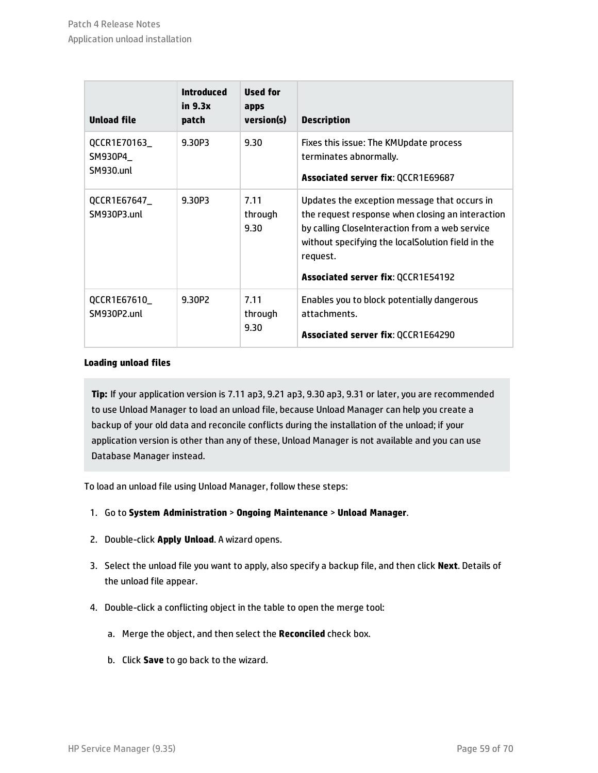| <b>Unload file</b>                   | <b>Introduced</b><br>in 9.3x<br>patch | Used for<br>apps<br>version(s) | <b>Description</b>                                                                                                                                                                                                                                               |
|--------------------------------------|---------------------------------------|--------------------------------|------------------------------------------------------------------------------------------------------------------------------------------------------------------------------------------------------------------------------------------------------------------|
| QCCR1E70163_<br>SM930P4<br>SM930.unl | 9.30P3                                | 9.30                           | Fixes this issue: The KMUpdate process<br>terminates abnormally.<br><b>Associated server fix: QCCR1E69687</b>                                                                                                                                                    |
| QCCR1E67647_<br>SM930P3.unl          | 9.30P3                                | 7.11<br>through<br>9.30        | Updates the exception message that occurs in<br>the request response when closing an interaction<br>by calling CloseInteraction from a web service<br>without specifying the localSolution field in the<br>request.<br><b>Associated server fix: QCCR1E54192</b> |
| QCCR1E67610_<br>SM930P2.unl          | 9.30P2                                | 7.11<br>through<br>9.30        | Enables you to block potentially dangerous<br>attachments.<br><b>Associated server fix: QCCR1E64290</b>                                                                                                                                                          |

#### **Loading unload files**

**Tip:** If your application version is 7.11 ap3, 9.21 ap3, 9.30 ap3, 9.31 or later, you are recommended to use Unload Manager to load an unload file, because Unload Manager can help you create a backup of your old data and reconcile conflicts during the installation of the unload; if your application version is other than any of these, Unload Manager is not available and you can use Database Manager instead.

To load an unload file using Unload Manager, follow these steps:

- 1. Go to **System Administration** > **Ongoing Maintenance** > **Unload Manager**.
- 2. Double-click **Apply Unload**. A wizard opens.
- 3. Select the unload file you want to apply, also specify a backup file, and then click **Next**. Details of the unload file appear.
- 4. Double-click a conflicting object in the table to open the merge tool:
	- a. Merge the object, and then select the **Reconciled** check box.
	- b. Click **Save** to go back to the wizard.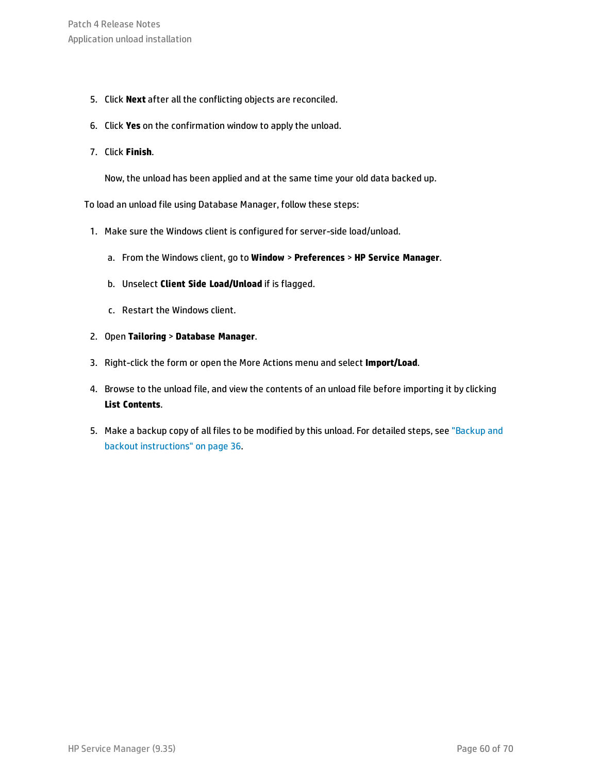- 5. Click **Next** after all the conflicting objects are reconciled.
- 6. Click **Yes** on the confirmation window to apply the unload.
- 7. Click **Finish**.

Now, the unload has been applied and at the same time your old data backed up.

To load an unload file using Database Manager, follow these steps:

- 1. Make sure the Windows client is configured for server-side load/unload.
	- a. From the Windows client, go to **Window** > **Preferences** > **HP Service Manager**.
	- b. Unselect **Client Side Load/Unload** if is flagged.
	- c. Restart the Windows client.
- 2. Open **Tailoring** > **Database Manager**.
- 3. Right-click the form or open the More Actions menu and select **Import/Load**.
- 4. Browse to the unload file, and view the contents of an unload file before importing it by clicking **List Contents**.
- 5. Make a backup copy of all files to be modified by this unload. For detailed steps, see ["Backup](#page-35-0) and backout [instructions"](#page-35-0) on page 36.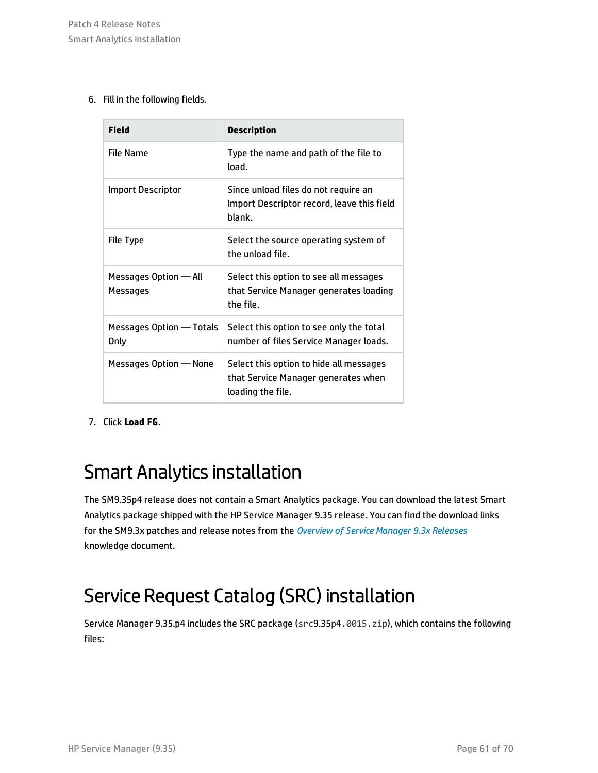6. Fill in the following fields.

| <b>Field</b>                            | <b>Description</b>                                                                                  |
|-----------------------------------------|-----------------------------------------------------------------------------------------------------|
| File Name                               | Type the name and path of the file to<br>load.                                                      |
| Import Descriptor                       | Since unload files do not require an<br>Import Descriptor record, leave this field<br>blank.        |
| File Type                               | Select the source operating system of<br>the unload file.                                           |
| Messages Option - All<br>Messages       | Select this option to see all messages<br>that Service Manager generates loading<br>the file.       |
| Messages Option - Totals<br><b>Only</b> | Select this option to see only the total<br>number of files Service Manager loads.                  |
| Messages Option - None                  | Select this option to hide all messages<br>that Service Manager generates when<br>loading the file. |

<span id="page-60-0"></span>7. Click **Load FG**.

### Smart Analytics installation

The SM9.35p4 release does not contain a Smart Analytics package. You can download the latest Smart Analytics package shipped with the HP Service Manager 9.35 release. You can find the download links for the SM9.3x patches and release notes from the *[Overview](https://softwaresupport.hp.com/group/softwaresupport/search-result/-/facetsearch/document/KM00705452) of Service Manager 9.3x Releases* knowledge document.

## <span id="page-60-1"></span>Service Request Catalog (SRC) installation

Service Manager 9.35.p4 includes the SRC package (src9.35p4.0015.zip), which contains the following files: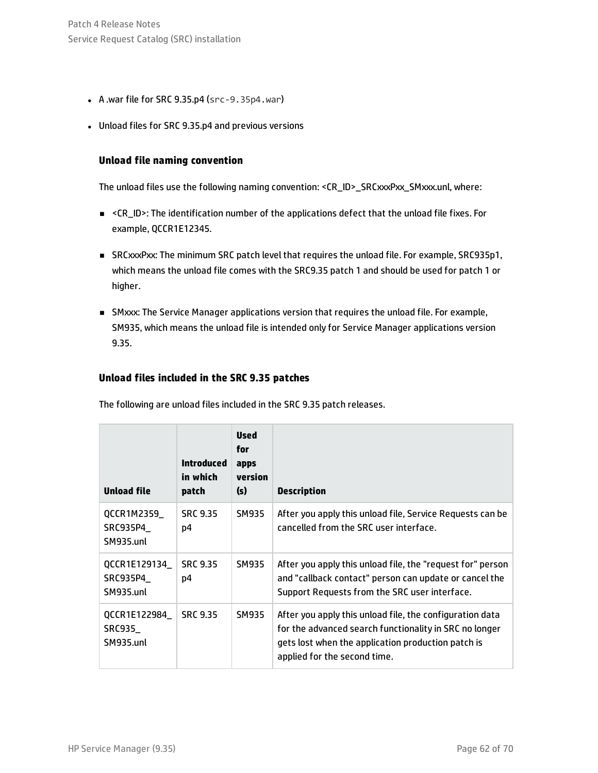- $\bullet$  A .war file for SRC 9.35.p4 (src-9.35p4.war)
- Unload files for SRC 9.35.p4 and previous versions

#### **Unload file naming convention**

The unload files use the following naming convention: <CR\_ID>\_SRCxxxPxx\_SMxxx.unl, where:

- <sup>n</sup> <CR\_ID>: The identification number of the applications defect that the unload file fixes. For example, QCCR1E12345.
- <sup>n</sup> SRCxxxPxx: The minimum SRC patch level that requires the unload file. For example, SRC935p1, which means the unload file comes with the SRC9.35 patch 1 and should be used for patch 1 or higher.
- <sup>n</sup> SMxxx: The Service Manager applications version that requires the unload file. For example, SM935, which means the unload file is intended only for Service Manager applications version 9.35.

### **Unload files included in the SRC 9.35 patches**

The following are unload files included in the SRC 9.35 patch releases.

| <b>Unload file</b>                     | <b>Introduced</b><br>in which<br>patch | <b>Used</b><br>for<br>apps<br>version<br>(s) | <b>Description</b>                                                                                                                                                                                       |
|----------------------------------------|----------------------------------------|----------------------------------------------|----------------------------------------------------------------------------------------------------------------------------------------------------------------------------------------------------------|
| QCCR1M2359_<br>SRC935P4<br>SM935.unl   | <b>SRC 9.35</b><br>D4                  | <b>SM935</b>                                 | After you apply this unload file, Service Requests can be<br>cancelled from the SRC user interface.                                                                                                      |
| QCCR1E129134_<br>SRC935P4<br>SM935.unl | <b>SRC 9.35</b><br>D4                  | <b>SM935</b>                                 | After you apply this unload file, the "request for" person<br>and "callback contact" person can update or cancel the<br>Support Requests from the SRC user interface.                                    |
| QCCR1E122984_<br>SRC935<br>SM935.unl   | <b>SRC 9.35</b>                        | SM935                                        | After you apply this unload file, the configuration data<br>for the advanced search functionality in SRC no longer<br>gets lost when the application production patch is<br>applied for the second time. |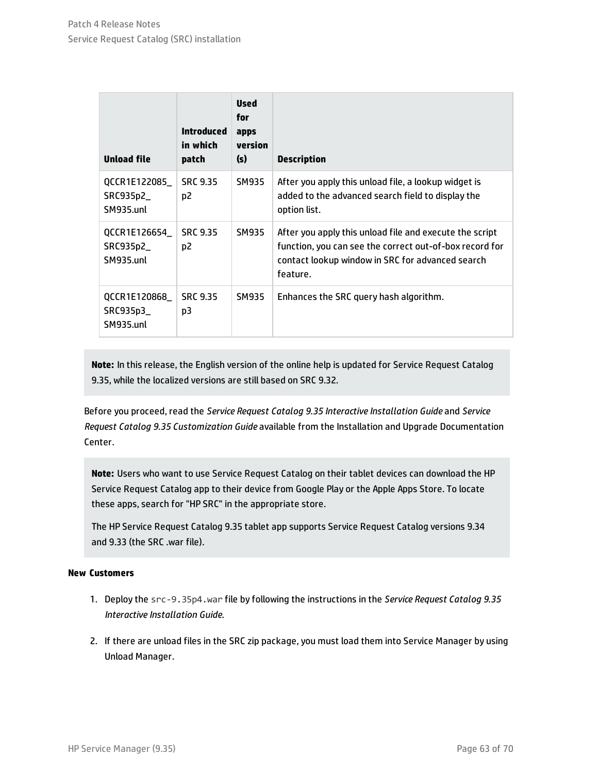| <b>Unload file</b>                      | <b>Introduced</b><br>in which<br>patch | <b>Used</b><br>for<br>apps<br>version<br>(s) | <b>Description</b>                                                                                                                                                                 |
|-----------------------------------------|----------------------------------------|----------------------------------------------|------------------------------------------------------------------------------------------------------------------------------------------------------------------------------------|
| QCCR1E122085<br>SRC935p2_<br>SM935.unl  | <b>SRC 9.35</b><br>D <sub>2</sub>      | <b>SM935</b>                                 | After you apply this unload file, a lookup widget is<br>added to the advanced search field to display the<br>option list.                                                          |
| QCCR1E126654_<br>SRC935p2_<br>SM935.unl | <b>SRC 9.35</b><br>p <sub>2</sub>      | SM935                                        | After you apply this unload file and execute the script<br>function, you can see the correct out-of-box record for<br>contact lookup window in SRC for advanced search<br>feature. |
| QCCR1E120868_<br>SRC935p3_<br>SM935.unl | <b>SRC 9.35</b><br>p3                  | <b>SM935</b>                                 | Enhances the SRC query hash algorithm.                                                                                                                                             |

**Note:** In this release, the English version of the online help is updated for Service Request Catalog 9.35, while the localized versions are still based on SRC 9.32.

Before you proceed, read the *Service Request Catalog 9.35 Interactive Installation Guide* and *Service Request Catalog 9.35 Customization Guide* available from the Installation and Upgrade Documentation Center.

**Note:** Users who want to use Service Request Catalog on their tablet devices can download the HP Service Request Catalog app to their device from Google Play or the Apple Apps Store. To locate these apps, search for "HP SRC" in the appropriate store.

The HP Service Request Catalog 9.35 tablet app supports Service Request Catalog versions 9.34 and 9.33 (the SRC .war file).

#### **New Customers**

- 1. Deploy the src-9.35p4.war file by following the instructions in the *Service Request Catalog 9.35 Interactive Installation Guide*.
- 2. If there are unload files in the SRC zip package, you must load them into Service Manager by using Unload Manager.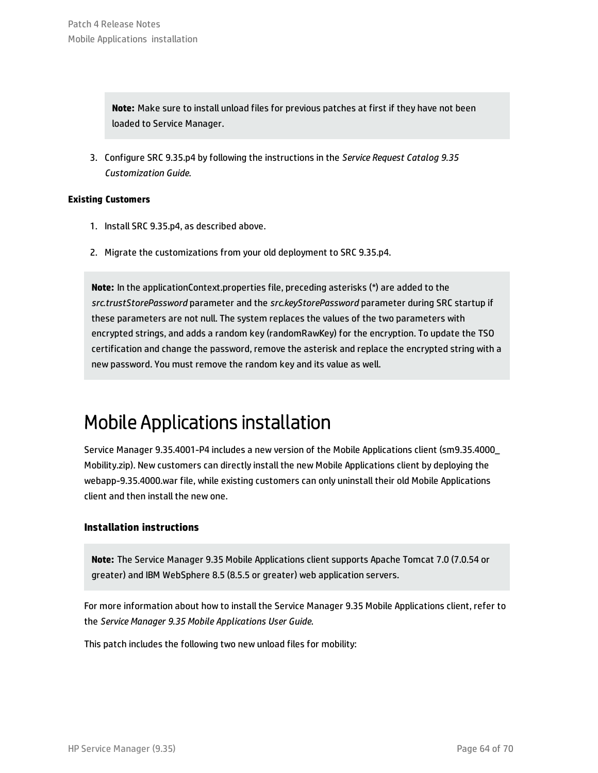**Note:** Make sure to install unload files for previous patches at first if they have not been loaded to Service Manager.

3. Configure SRC 9.35.p4 by following the instructions in the *Service Request Catalog 9.35 Customization Guide*.

#### **Existing Customers**

- 1. Install SRC 9.35.p4, as described above.
- 2. Migrate the customizations from your old deployment to SRC 9.35.p4.

**Note:** In the applicationContext.properties file, preceding asterisks (\*) are added to the *src.trustStorePassword* parameter and the *src.keyStorePassword* parameter during SRC startup if these parameters are not null. The system replaces the values of the two parameters with encrypted strings, and adds a random key (randomRawKey) for the encryption. To update the TSO certification and change the password, remove the asterisk and replace the encrypted string with a new password. You must remove the random key and its value as well.

### <span id="page-63-0"></span>Mobile Applications installation

Service Manager 9.35.4001-P4 includes a new version of the Mobile Applications client (sm9.35.4000\_ Mobility.zip). New customers can directly install the new Mobile Applications client by deploying the webapp-9.35.4000.war file, while existing customers can only uninstall their old Mobile Applications client and then install the new one.

### **Installation instructions**

**Note:** The Service Manager 9.35 Mobile Applications client supports Apache Tomcat 7.0 (7.0.54 or greater) and IBM WebSphere 8.5 (8.5.5 or greater) web application servers.

For more information about how to install the Service Manager 9.35 Mobile Applications client, refer to the *Service Manager 9.35 Mobile Applications User Guide*.

This patch includes the following two new unload files for mobility: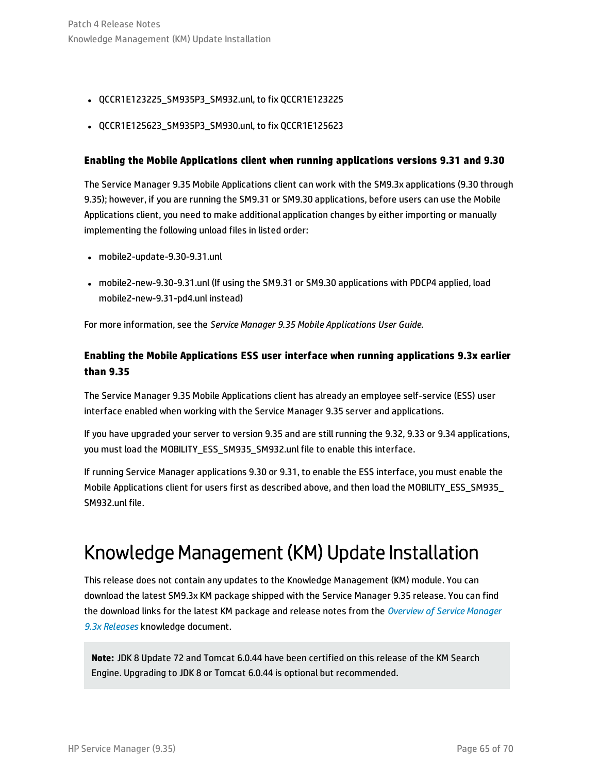- <sup>l</sup> QCCR1E123225\_SM935P3\_SM932.unl, to fix QCCR1E123225
- QCCR1E125623 SM935P3 SM930.unl, to fix QCCR1E125623

#### **Enabling the Mobile Applications client when running applications versions 9.31 and 9.30**

The Service Manager 9.35 Mobile Applications client can work with the SM9.3x applications (9.30 through 9.35); however, if you are running the SM9.31 or SM9.30 applications, before users can use the Mobile Applications client, you need to make additional application changes by either importing or manually implementing the following unload files in listed order:

- mobile2-update-9.30-9.31.unl
- <sup>l</sup> mobile2-new-9.30-9.31.unl (If using the SM9.31 or SM9.30 applications with PDCP4 applied, load mobile2-new-9.31-pd4.unl instead)

For more information, see the *Service Manager 9.35 Mobile Applications User Guide*.

### **Enabling the Mobile Applications ESS user interface when running applications 9.3x earlier than 9.35**

The Service Manager 9.35 Mobile Applications client has already an employee self-service (ESS) user interface enabled when working with the Service Manager 9.35 server and applications.

If you have upgraded your server to version 9.35 and are still running the 9.32, 9.33 or 9.34 applications, you must load the MOBILITY\_ESS\_SM935\_SM932.unl file to enable this interface.

If running Service Manager applications 9.30 or 9.31, to enable the ESS interface, you must enable the Mobile Applications client for users first as described above, and then load the MOBILITY\_ESS\_SM935\_ SM932.unl file.

### <span id="page-64-0"></span>Knowledge Management (KM) Update Installation

This release does not contain any updates to the Knowledge Management (KM) module. You can download the latest SM9.3x KM package shipped with the Service Manager 9.35 release. You can find the download links for the latest KM package and release notes from the *[Overview](https://softwaresupport.hp.com/group/softwaresupport/search-result/-/facetsearch/document/KM00705452) of Service Manager 9.3x [Releases](https://softwaresupport.hp.com/group/softwaresupport/search-result/-/facetsearch/document/KM00705452)* knowledge document.

**Note:** JDK 8 Update 72 and Tomcat 6.0.44 have been certified on this release of the KM Search Engine. Upgrading to JDK 8 or Tomcat 6.0.44 is optional but recommended.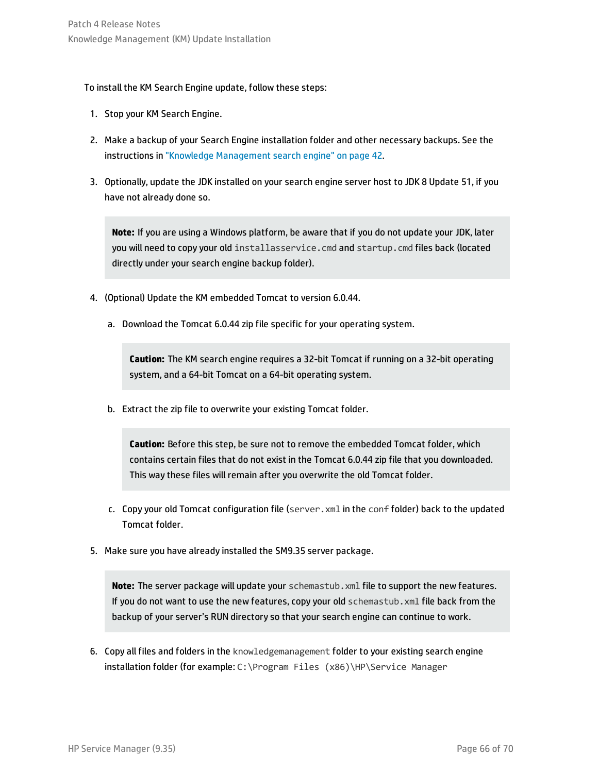#### To install the KM Search Engine update, follow these steps:

- 1. Stop your KM Search Engine.
- 2. Make a backup of your Search Engine installation folder and other necessary backups. See the instructions in "Knowledge [Management](#page-41-1) search engine" on page 42.
- 3. Optionally, update the JDK installed on your search engine server host to JDK 8 Update 51, if you have not already done so.

**Note:** If you are using a Windows platform, be aware that if you do not update your JDK, later you will need to copy your old installasservice.cmd and startup.cmd files back (located directly under your search engine backup folder).

- 4. (Optional) Update the KM embedded Tomcat to version 6.0.44.
	- a. Download the Tomcat 6.0.44 zip file specific for your operating system.

**Caution:** The KM search engine requires a 32-bit Tomcat if running on a 32-bit operating system, and a 64-bit Tomcat on a 64-bit operating system.

b. Extract the zip file to overwrite your existing Tomcat folder.

**Caution:** Before this step, be sure not to remove the embedded Tomcat folder, which contains certain files that do not exist in the Tomcat 6.0.44 zip file that you downloaded. This way these files will remain after you overwrite the old Tomcat folder.

- c. Copy your old Tomcat configuration file (server.xml in the conf folder) back to the updated Tomcat folder.
- 5. Make sure you have already installed the SM9.35 server package.

**Note:** The server package will update your schemastub.xml file to support the new features. If you do not want to use the new features, copy your old schemastub.xml file back from the backup of your server's RUN directory so that your search engine can continue to work.

6. Copy all files and folders in the knowledgemanagement folder to your existing search engine installation folder (for example: C:\Program Files (x86)\HP\Service Manager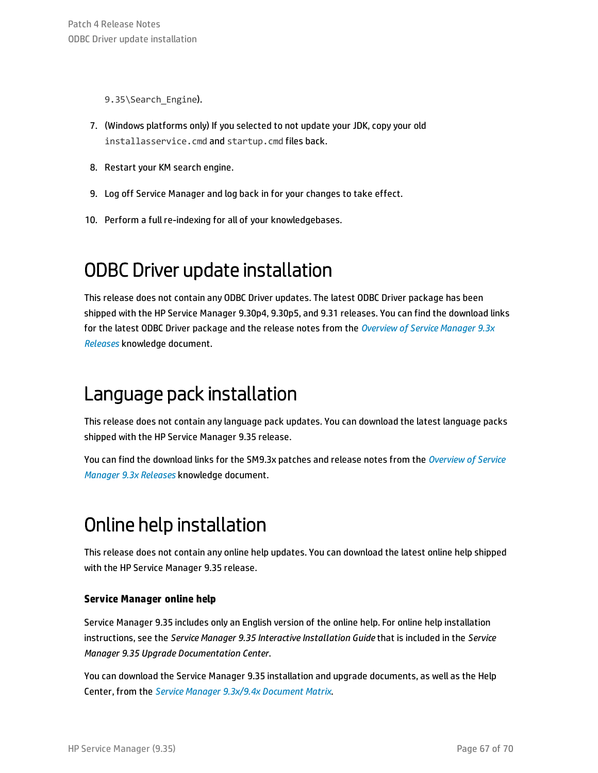9.35\Search Engine).

- 7. (Windows platforms only) If you selected to not update your JDK, copy your old installasservice.cmd and startup.cmd files back.
- 8. Restart your KM search engine.
- 9. Log off Service Manager and log back in for your changes to take effect.
- <span id="page-66-0"></span>10. Perform a full re-indexing for all of your knowledgebases.

## ODBC Driver update installation

This release does not contain any ODBC Driver updates. The latest ODBC Driver package has been shipped with the HP Service Manager 9.30p4, 9.30p5, and 9.31 releases. You can find the download links for the latest ODBC Driver package and the release notes from the *[Overview](https://softwaresupport.hp.com/group/softwaresupport/search-result/-/facetsearch/document/KM00705452) of Service Manager 9.3x [Releases](https://softwaresupport.hp.com/group/softwaresupport/search-result/-/facetsearch/document/KM00705452)* knowledge document.

### <span id="page-66-1"></span>Language pack installation

This release does not contain any language pack updates. You can download the latest language packs shipped with the HP Service Manager 9.35 release.

You can find the download links for the SM9.3x patches and release notes from the *[Overview](https://softwaresupport.hp.com/group/softwaresupport/search-result/-/facetsearch/document/KM00705452) of Service [Manager](https://softwaresupport.hp.com/group/softwaresupport/search-result/-/facetsearch/document/KM00705452) 9.3x Releases* knowledge document.

## <span id="page-66-2"></span>Online help installation

This release does not contain any online help updates. You can download the latest online help shipped with the HP Service Manager 9.35 release.

### **Service Manager online help**

Service Manager 9.35 includes only an English version of the online help. For online help installation instructions, see the *Service Manager 9.35 Interactive Installation Guide* that is included in the *Service Manager 9.35 Upgrade Documentation Center*.

You can download the Service Manager 9.35 installation and upgrade documents, as well as the Help Center, from the *Service Manager 9.3x/9.4x [Document](https://softwaresupport.hp.com/group/softwaresupport/search-result/-/facetsearch/document/KM01294561) Matrix*.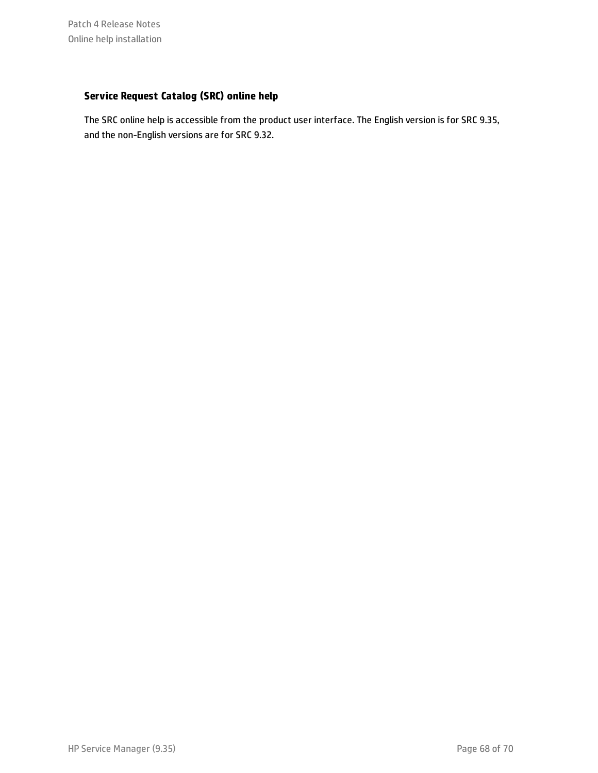### **Service Request Catalog (SRC) online help**

The SRC online help is accessible from the product user interface. The English version is for SRC 9.35, and the non-English versions are for SRC 9.32.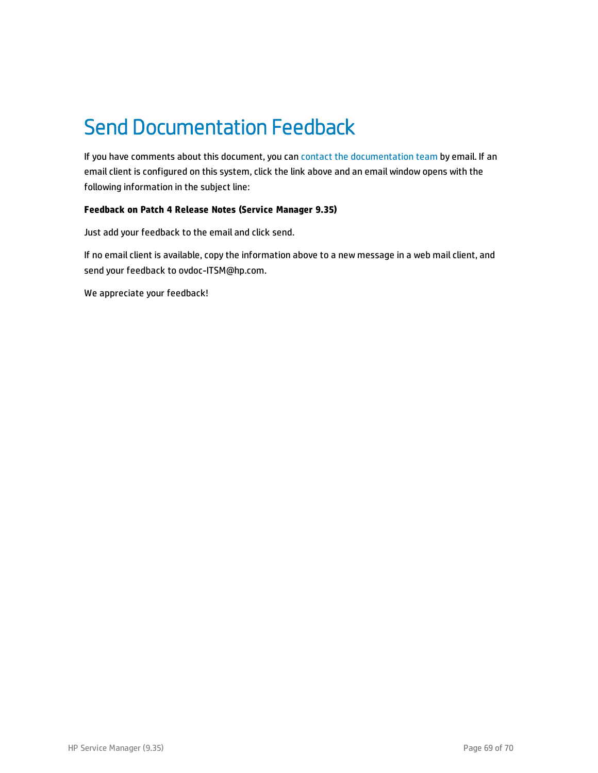## <span id="page-68-0"></span>Send Documentation Feedback

If you have comments about this document, you can contact the [documentation](mailto:ovdoc-ITSM@hp.com?subject=Feedback on Patch 4 Release Notes (Service Manager 9.35)) team by email. If an email client is configured on this system, click the link above and an email window opens with the following information in the subject line:

### **Feedback on Patch 4 Release Notes (Service Manager 9.35)**

Just add your feedback to the email and click send.

If no email client is available, copy the information above to a new message in a web mail client, and send your feedback to ovdoc-ITSM@hp.com.

We appreciate your feedback!